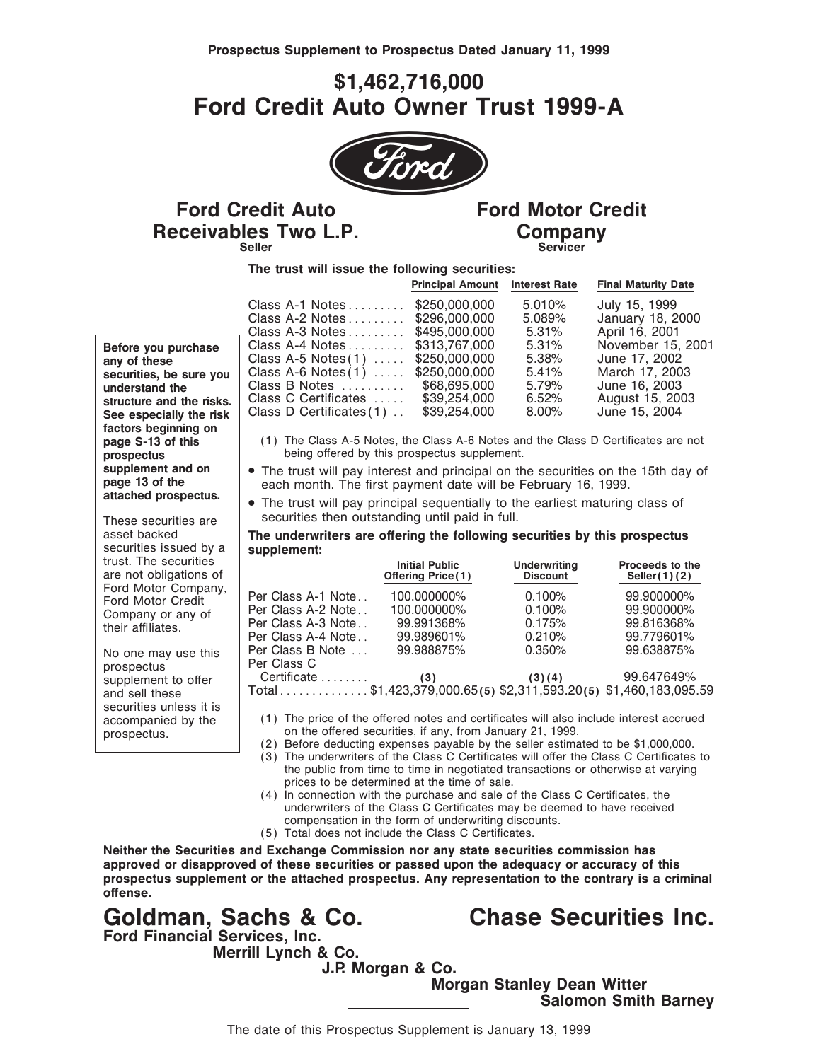## **\$1,462,716,000 Ford Credit Auto Owner Trust 1999-A**



## **Receivables Two L.P.** Company **Ford Credit Auto** Ford Motor Credit

# Servicer

**The trust will issue the following securities:**

|                          |                                                                    | <b>Principal Amount</b> Interest Rate |                  | <b>Final Maturity Date</b>        |
|--------------------------|--------------------------------------------------------------------|---------------------------------------|------------------|-----------------------------------|
|                          | Class $A-1$ Notes $\ldots \ldots$<br>Class A-2 Notes \$296,000,000 | \$250,000,000                         | 5.010%<br>5.089% | July 15, 1999<br>January 18, 2000 |
|                          | Class A-3 Notes \$495,000,000                                      |                                       | 5.31%            | April 16, 2001                    |
| Before you purchase      | Class A-4 Notes \$313.767.000                                      |                                       | $5.31\%$         | November 15, 2001                 |
| any of these             | Class A-5 Notes $(1)$                                              | \$250.000.000                         | 5.38%            | June 17, 2002                     |
| securities, be sure you  | Class A-6 Notes $(1)$                                              | \$250.000.000                         | $5.41\%$         | March 17, 2003                    |
| understand the           | Class B Notes                                                      | \$68,695,000                          | 5.79%            | June 16, 2003                     |
| structure and the risks. | Class C Certificates                                               | \$39,254,000                          | 6.52%            | August 15, 2003                   |
| See especially the risk  | Class D Certificates $(1)$ .                                       | \$39,254,000                          | $8.00\%$         | June 15, 2004                     |
|                          |                                                                    |                                       |                  |                                   |

- (1) The Class A-5 Notes, the Class A-6 Notes and the Class D Certificates are not
- supplement and on <br> **examplement and principal on the securities on the 15th day of**<br> **each month.** The first payment date will be February 16, 1999.<br>
The trust will pay principal sequentially to the earliest maturing clas
- These securities are  $\left| \right|$  securities then outstanding until paid in full.

## asset backed **The underwriters are offering the following securities by this prospectus**<br>securities issued by a supplement:

| trust. The securities<br>are not obligations of               |                                                                                | <b>Initial Public</b><br><b>Offering Price(1)</b> | <b>Underwriting</b><br><b>Discount</b> | Proceeds to the<br>Seller $(1)(2)$ |
|---------------------------------------------------------------|--------------------------------------------------------------------------------|---------------------------------------------------|----------------------------------------|------------------------------------|
| Ford Motor Company,<br>Ford Motor Credit<br>Company or any of | Per Class A-1 Note<br>Per Class A-2 Note                                       | 100.000000%<br>100.000000%                        | 0.100%<br>0.100%                       | 99.900000%<br>99.900000%           |
| their affiliates.                                             | Per Class A-3 Note<br>Per Class A-4 Note                                       | 99.991368%<br>99.989601%                          | 0.175%<br>0.210%                       | 99.816368%<br>99.779601%           |
| No one may use this<br>prospectus                             | Per Class B Note<br>Per Class C                                                | 99.988875%                                        | 0.350%                                 | 99.638875%                         |
| supplement to offer<br>and sell these                         | Certificate<br>Total\$1,423,379,000.65(5) \$2,311,593.20(5) \$1,460,183,095.59 | (3)                                               | (3)(4)                                 | 99.647649%                         |

accompanied by the  $\begin{pmatrix} 1 \\ 1 \end{pmatrix}$  The price of the offered notes and certificates will also include interest accrued prospectus.  $\sim$  0n the offered securities, if any, from January 21, 1999.

(2) Before deducting expenses payable by the seller estimated to be \$1,000,000.

(3) The underwriters of the Class C Certificates will offer the Class C Certificates to the public from time to time in negotiated transactions or otherwise at varying prices to be determined at the time of sale.

- (4) In connection with the purchase and sale of the Class C Certificates, the underwriters of the Class C Certificates may be deemed to have received compensation in the form of underwriting discounts.
- (5) Total does not include the Class C Certificates.

**Neither the Securities and Exchange Commission nor any state securities commission has approved or disapproved of these securities or passed upon the adequacy or accuracy of this prospectus supplement or the attached prospectus. Any representation to the contrary is a criminal** offense.

**Goldman, Sachs & Co. Chase Securities Inc. Ford Financial Services, Inc. Merrill Lynch & Co.**

**J.P. Morgan & Co.**

**Morgan Stanley Dean Witter Salomon Smith Barney**

**Before you purchase**<br>any of these securities, be sure you understand the structure and the risks. See especially the risk **factors beginning on prospectus** being offered by this prospectus supplement.<br> **supplement and on**<br> **e** The trust will pay interest and principal on the

securities issued by a trust. The securities  $are not$  obligations of Ford Motor Company, Ford Motor Credit Company or any of their affiliates.

No one may use this prospectus supplement to offer<br>and sell these securities unless it is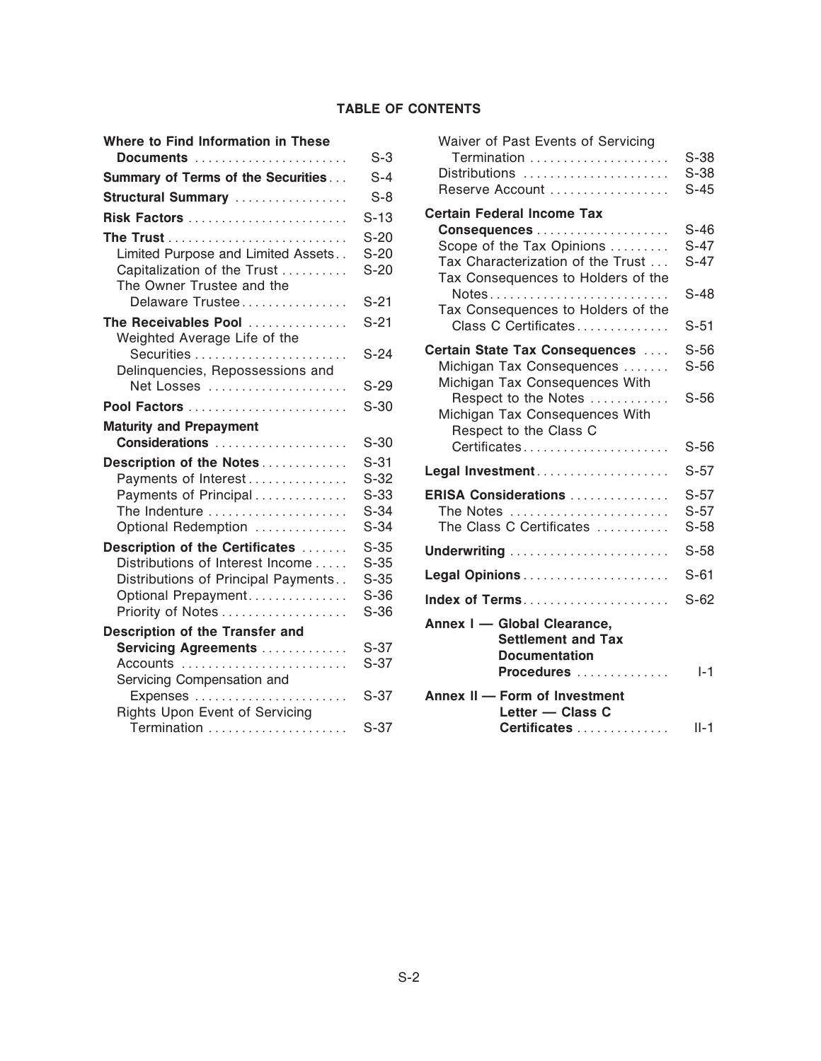### **TABLE OF CONTENTS**

| Where to Find Information in These<br>Documents                                                                    | $S-3$                                | Waiver of Past Events of Servicing<br>Termination                                                                                                   | $S-38$                               |
|--------------------------------------------------------------------------------------------------------------------|--------------------------------------|-----------------------------------------------------------------------------------------------------------------------------------------------------|--------------------------------------|
| Summary of Terms of the Securities                                                                                 | $S-4$                                | Distributions                                                                                                                                       | $S-38$                               |
| Structural Summary                                                                                                 | $S-8$                                | Reserve Account                                                                                                                                     | $S-45$                               |
| Risk Factors                                                                                                       | $S-13$                               | <b>Certain Federal Income Tax</b>                                                                                                                   |                                      |
| Limited Purpose and Limited Assets<br>Capitalization of the Trust<br>The Owner Trustee and the<br>Delaware Trustee | $S-20$<br>$S-20$<br>$S-20$<br>$S-21$ | Scope of the Tax Opinions<br>Tax Characterization of the Trust<br>Tax Consequences to Holders of the<br>Notes<br>Tax Consequences to Holders of the | $S-46$<br>$S-47$<br>$S-47$<br>$S-48$ |
| The Receivables Pool<br>Weighted Average Life of the                                                               | $S-21$                               | Class C Certificates                                                                                                                                | $S-51$                               |
| Securities<br>Delinquencies, Repossessions and<br>Net Losses                                                       | $S-24$<br>$S-29$                     | Certain State Tax Consequences<br>Michigan Tax Consequences<br>Michigan Tax Consequences With                                                       | $S-56$<br>$S-56$                     |
| Pool Factors                                                                                                       | $S-30$                               | Respect to the Notes                                                                                                                                | $S-56$                               |
| <b>Maturity and Prepayment</b>                                                                                     |                                      | Michigan Tax Consequences With<br>Respect to the Class C                                                                                            |                                      |
| Considerations                                                                                                     | $S-30$                               | Certificates                                                                                                                                        | $S-56$                               |
| Description of the Notes<br>Payments of Interest                                                                   | $S-31$<br>$S-32$                     | Legal Investment                                                                                                                                    | $S-57$                               |
| Payments of Principal<br>The Indenture<br>Optional Redemption                                                      | $S-33$<br>$S-34$<br>$S-34$           | ERISA Considerations<br>The Notes<br>The Class C Certificates                                                                                       | $S-57$<br>$S-57$<br>$S-58$           |
| Description of the Certificates<br>Distributions of Interest Income                                                | $S-35$<br>$S-35$                     | Underwriting                                                                                                                                        | $S-58$                               |
| Distributions of Principal Payments                                                                                | $S-35$                               |                                                                                                                                                     | $S-61$                               |
| Optional Prepayment<br>Priority of Notes                                                                           | $S-36$<br>$S-36$                     | Index of Terms                                                                                                                                      | $S-62$                               |
| Description of the Transfer and<br><b>Servicing Agreements </b><br>Accounts<br>Servicing Compensation and          | $S-37$<br>$S-37$                     | Annex I - Global Clearance,<br><b>Settlement and Tax</b><br><b>Documentation</b><br>Procedures                                                      | $I-1$                                |
| Expenses<br>Rights Upon Event of Servicing<br>Termination                                                          | $S-37$<br>$S-37$                     | Annex II - Form of Investment<br>Letter - Class C<br>Certificates                                                                                   | $II-1$                               |
|                                                                                                                    |                                      |                                                                                                                                                     |                                      |

| here to Find Information in These<br>Documents                                                                                           | $S-3$                                          | Waiver of Past Events of Servicing<br>Termination                                                                                                                           | $S-38$                                         |
|------------------------------------------------------------------------------------------------------------------------------------------|------------------------------------------------|-----------------------------------------------------------------------------------------------------------------------------------------------------------------------------|------------------------------------------------|
| <b>Immary of Terms of the Securities</b>                                                                                                 | $S-4$                                          | Distributions                                                                                                                                                               | $S-38$                                         |
| ructural Summary                                                                                                                         | $S-8$                                          | Reserve Account                                                                                                                                                             | $S-45$                                         |
|                                                                                                                                          | $S-13$                                         | <b>Certain Federal Income Tax</b>                                                                                                                                           |                                                |
| Limited Purpose and Limited Assets<br>Capitalization of the Trust<br>The Owner Trustee and the<br>Delaware Trustee<br>e Receivables Pool | $S-20$<br>$S-20$<br>$S-20$<br>$S-21$<br>$S-21$ | Scope of the Tax Opinions<br>Tax Characterization of the Trust<br>Tax Consequences to Holders of the<br>Notes<br>Tax Consequences to Holders of the<br>Class C Certificates | $S-46$<br>$S-47$<br>$S-47$<br>$S-48$<br>$S-51$ |
| Weighted Average Life of the<br>Delinquencies, Repossessions and<br>Net Losses                                                           | $S-24$<br>$S-29$                               | Certain State Tax Consequences<br>Michigan Tax Consequences<br>Michigan Tax Consequences With                                                                               | $S-56$<br>$S-56$                               |
|                                                                                                                                          | $S-30$                                         | Respect to the Notes                                                                                                                                                        | $S-56$                                         |
| aturity and Prepayment<br>Considerations                                                                                                 | $S-30$                                         | Michigan Tax Consequences With<br>Respect to the Class C<br>Certificates                                                                                                    | $S-56$                                         |
| escription of the Notes<br>Payments of Interest                                                                                          | $S-31$<br>$S-32$                               | Legal Investment                                                                                                                                                            | $S-57$                                         |
| Payments of Principal<br>The Indenture<br>Optional Redemption                                                                            | $S-33$<br>$S-34$<br>$S-34$                     | ERISA Considerations<br>The Notes<br>The Class C Certificates                                                                                                               | $S-57$<br>$S-57$<br>$S-58$                     |
| escription of the Certificates                                                                                                           | $S-35$                                         |                                                                                                                                                                             | $S-58$                                         |
| Distributions of Interest Income<br>Distributions of Principal Payments                                                                  | $S-35$<br>$S-35$                               |                                                                                                                                                                             | $S-61$                                         |
| Optional Prepayment                                                                                                                      | $S-36$                                         | Index of Terms                                                                                                                                                              | $S-62$                                         |
| Priority of Notes                                                                                                                        | $S-36$                                         | Annex I - Global Clearance,                                                                                                                                                 |                                                |
| <b>scription of the Transfer and</b><br><b>Servicing Agreements </b><br>Accounts<br>Servicing Compensation and                           | $S-37$<br>$S-37$                               | <b>Settlement and Tax</b><br><b>Documentation</b><br>Procedures                                                                                                             | $I-1$                                          |
| Expenses<br><b>Rights Upon Event of Servicing</b>                                                                                        | $S-37$                                         | Annex II - Form of Investment<br>Letter - Class C                                                                                                                           |                                                |
| Termination                                                                                                                              | $S-37$                                         | Certificates                                                                                                                                                                | $II-1$                                         |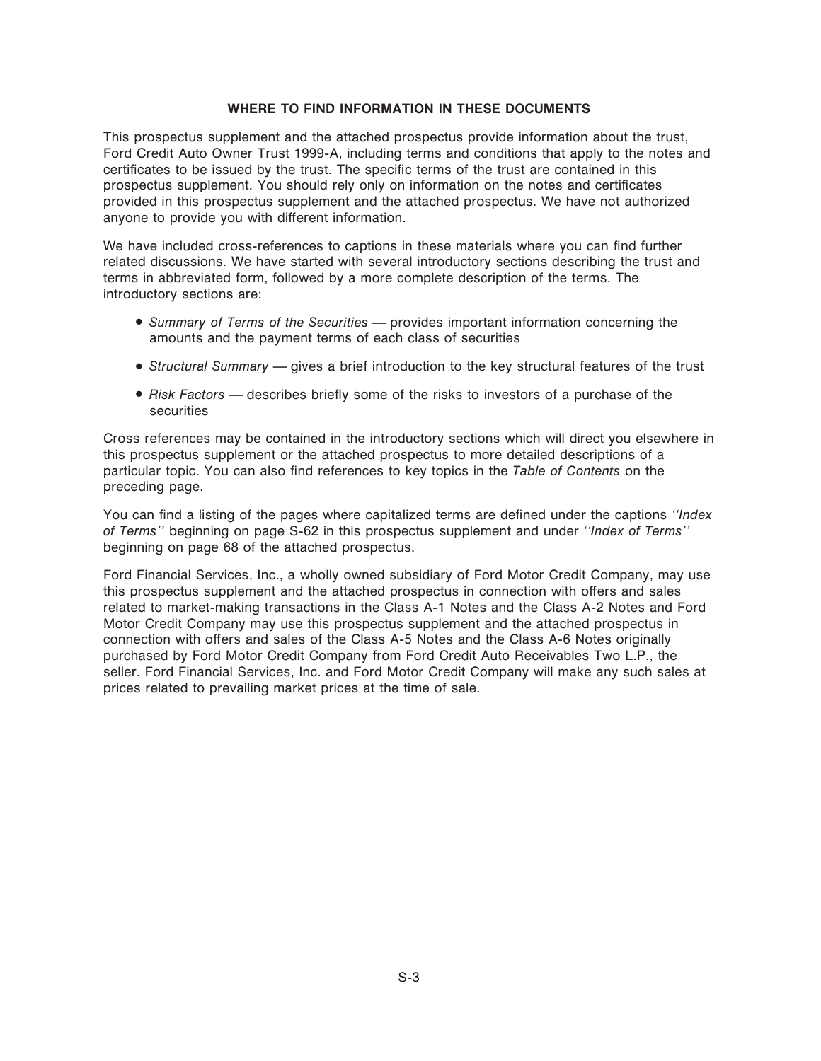#### **WHERE TO FIND INFORMATION IN THESE DOCUMENTS**

This prospectus supplement and the attached prospectus provide information about the trust, Ford Credit Auto Owner Trust 1999-A, including terms and conditions that apply to the notes and certificates to be issued by the trust. The specific terms of the trust are contained in this prospectus supplement. You should rely only on information on the notes and certificates provided in this prospectus supplement and the attached prospectus. We have not authorized anyone to provide you with different information.

We have included cross-references to captions in these materials where you can find further related discussions. We have started with several introductory sections describing the trust and terms in abbreviated form, followed by a more complete description of the terms. The introductory sections are:

- Summary of Terms of the Securities provides important information concerning the amounts and the payment terms of each class of securities
- *Structural Summary* gives a brief introduction to the key structural features of the trust
- *Risk Factors* describes briefly some of the risks to investors of a purchase of the securities

Cross references may be contained in the introductory sections which will direct you elsewhere in this prospectus supplement or the attached prospectus to more detailed descriptions of a particular topic. You can also find references to key topics in the *Table of Contents* on the preceding page.

You can find a listing of the pages where capitalized terms are defined under the captions *"Index*" *of Terms''* beginning on page S-62 in this prospectus supplement and under *""Index of Terms''* beginning on page 68 of the attached prospectus.

Ford Financial Services, Inc., a wholly owned subsidiary of Ford Motor Credit Company, may use this prospectus supplement and the attached prospectus in connection with offers and sales related to market-making transactions in the Class A-1 Notes and the Class A-2 Notes and Ford Motor Credit Company may use this prospectus supplement and the attached prospectus in connection with offers and sales of the Class A-5 Notes and the Class A-6 Notes originally purchased by Ford Motor Credit Company from Ford Credit Auto Receivables Two L.P., the seller. Ford Financial Services, Inc. and Ford Motor Credit Company will make any such sales at prices related to prevailing market prices at the time of sale.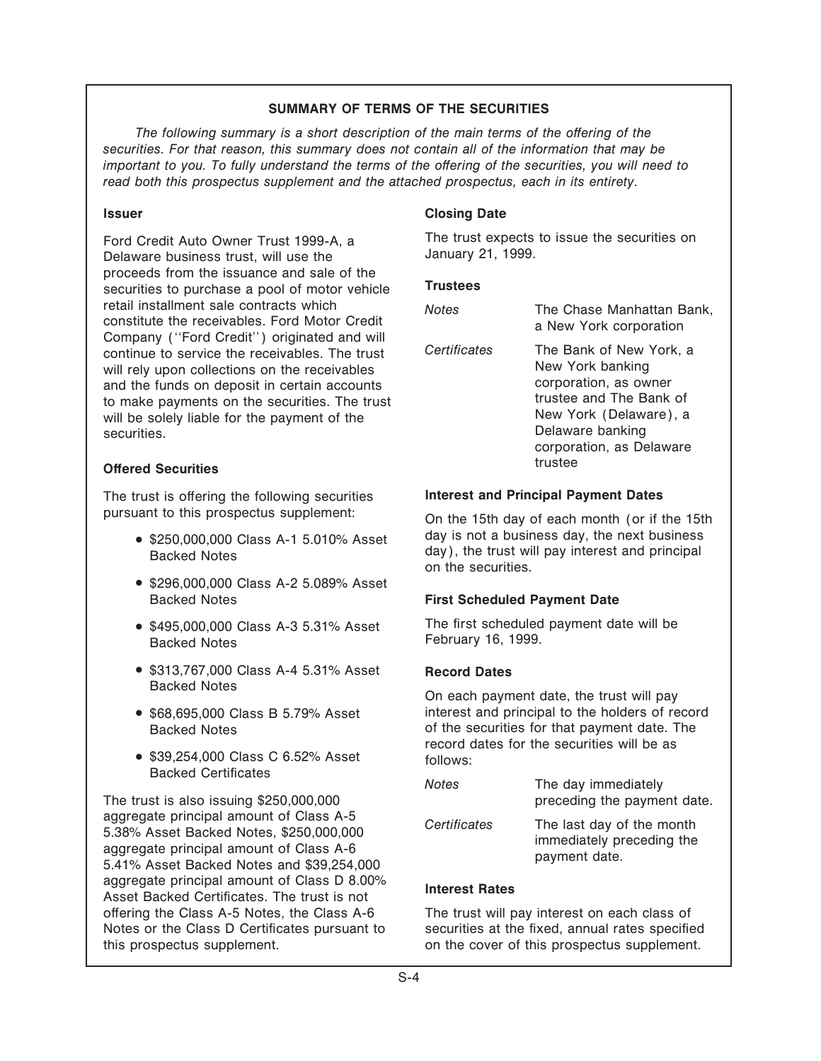### **SUMMARY OF TERMS OF THE SECURITIES**

The following summary is a short description of the main terms of the offering of the *securities. For that reason, this summary does not contain all of the information that may be important to you. To fully understand the terms of the offering of the securities, you will need to read both this prospectus supplement and the attached prospectus, each in its entirety.*

Delaware business trust, will use the proceeds from the issuance and sale of the securities to purchase a pool of motor vehicle **Trustees** retail installment sale contracts which<br>
constitute the receivables. Ford Motor Credit<br>
Company ("Ford Credit") originated and will continue to service the receivables. The trust will rely upon collections on the receivables and the funds on deposit in certain accounts to make payments on the securities. The trust will be solely liable for the payment of the securities. **Delaware banking** 

### **Offered Securities**

The trust is offering the following securities **Interest and Principal Payment Dates** 

- 
- <sup>¬</sup> \$296,000,000 Class A-2 5.089% Asset Backed Notes **First Scheduled Payment Date**
- Backed Notes February 16, 1999.
- <sup>¬</sup> \$313,767,000 Class A-4 5.31% Asset **Record Dates**
- 
- $\bullet$  \$39,254,000 Class C 6.52% Asset follows: **Backed Certificates**

The trust is also issuing  $$250,000,000$ aggregate principal amount of Class A-5<br>5.38% Asset Backed Notes, \$250,000,000<br>aggregate principal amount of Class A-6<br>5.41% Asset Backed Notes and \$39.254,000 aggregate principal amount of Class D 8.00% **Interest Rates**<br>Asset Backed Certificates. The trust is not **Interest Rates** offering the Class A-5 Notes, the Class A-6 The trust will pay interest on each class of Notes or the Class D Certificates pursuant to securities at the fixed, annual rates specified this prospectus supplement.  $\blacksquare$  on the cover of this prospectus supplement.

### **Issuer Closing Date**

Ford Credit Auto Owner Trust 1999-A, a The trust expects to issue the securities on<br>Delaware business trust will use the **January 21, 1999**.

| <b>Notes</b> | The Chase Manhattan Bank,<br>a New York corporation                                                                                                                                  |
|--------------|--------------------------------------------------------------------------------------------------------------------------------------------------------------------------------------|
| Certificates | The Bank of New York, a<br>New York banking<br>corporation, as owner<br>trustee and The Bank of<br>New York (Delaware), a<br>Delaware banking<br>corporation, as Delaware<br>trustee |

pursuant to this prospectus supplement: On the 15th day of each month (or if the 15th <sup>¬</sup> day is not a business day, the next business \$250,000,000 Class A-1 5.010% Asset day), the trust will pay interest and principal Backed Notes on the securities.

<sup>¬</sup> \$495,000,000 Class A-3 5.31% Asset The Ñrst scheduled payment date will be

On each payment date, the trust will pay <sup>¬</sup> \$68,695,000 Class B 5.79% Asset interest and principal to the holders of record Backed Notes of the securities for that payment date. The record dates for the securities will be as

| Notes        | The day immediately<br>preceding the payment date.                      |
|--------------|-------------------------------------------------------------------------|
| Certificates | The last day of the month<br>immediately preceding the<br>payment date. |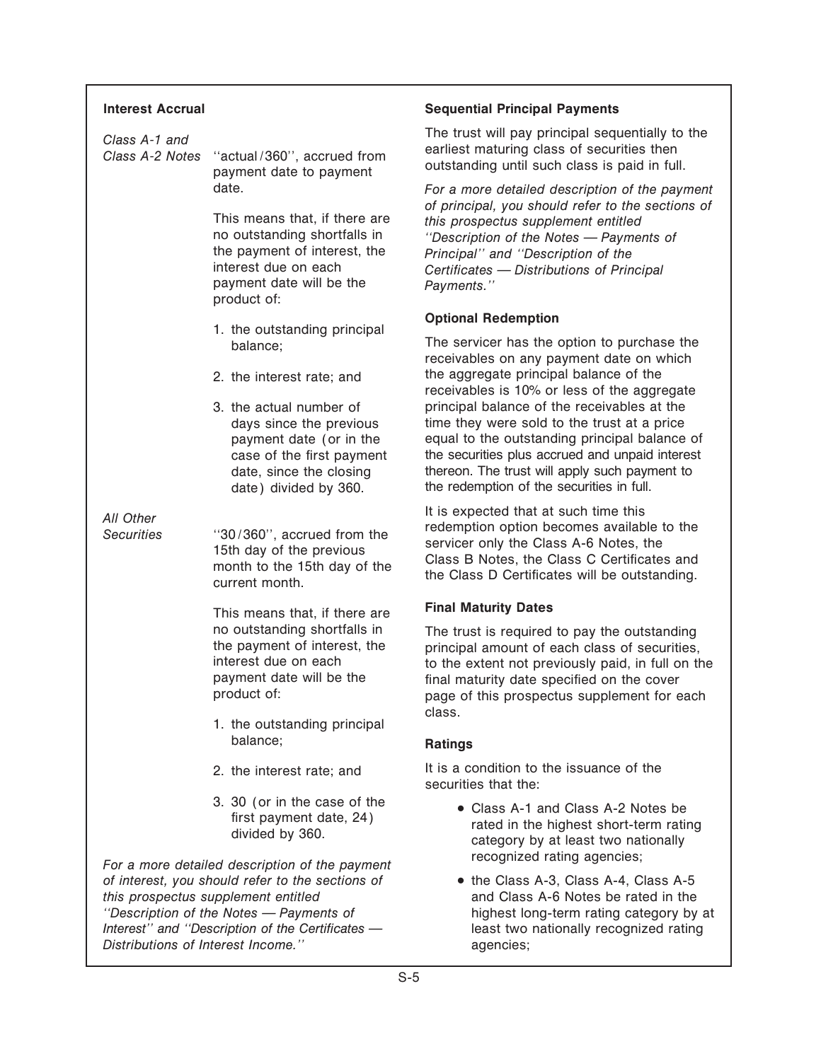|                               | <b>Interest Accrual</b>                                                                                                         |                                                                                                                                                                                                                                                       | <b>Sequential Principal Payments</b>                                                                                                                                                                                                                                                       |
|-------------------------------|---------------------------------------------------------------------------------------------------------------------------------|-------------------------------------------------------------------------------------------------------------------------------------------------------------------------------------------------------------------------------------------------------|--------------------------------------------------------------------------------------------------------------------------------------------------------------------------------------------------------------------------------------------------------------------------------------------|
|                               | Class A-1 and<br>Class A-2 Notes                                                                                                | "actual/360", accrued from<br>payment date to payment                                                                                                                                                                                                 | The trust will pay principal sequentially to the<br>earliest maturing class of securities then<br>outstanding until such class is paid in full.                                                                                                                                            |
|                               |                                                                                                                                 | date.<br>This means that, if there are<br>no outstanding shortfalls in<br>the payment of interest, the<br>interest due on each<br>payment date will be the<br>product of:                                                                             | For a more detailed description of the payme<br>of principal, you should refer to the sections<br>this prospectus supplement entitled<br>"Description of the Notes - Payments of<br>Principal" and "Description of the<br>Certificates - Distributions of Principal<br>Payments."          |
|                               |                                                                                                                                 |                                                                                                                                                                                                                                                       | <b>Optional Redemption</b>                                                                                                                                                                                                                                                                 |
|                               |                                                                                                                                 | 1. the outstanding principal<br>balance;                                                                                                                                                                                                              | The servicer has the option to purchase the<br>receivables on any payment date on which                                                                                                                                                                                                    |
|                               |                                                                                                                                 | 2. the interest rate; and                                                                                                                                                                                                                             | the aggregate principal balance of the<br>receivables is 10% or less of the aggregate                                                                                                                                                                                                      |
|                               |                                                                                                                                 | 3. the actual number of<br>days since the previous<br>payment date (or in the<br>case of the first payment<br>date, since the closing<br>date) divided by 360.                                                                                        | principal balance of the receivables at the<br>time they were sold to the trust at a price<br>equal to the outstanding principal balance o<br>the securities plus accrued and unpaid interes<br>thereon. The trust will apply such payment to<br>the redemption of the securities in full. |
|                               | All Other<br><b>Securities</b>                                                                                                  | "30/360", accrued from the<br>15th day of the previous<br>month to the 15th day of the<br>current month.                                                                                                                                              | It is expected that at such time this<br>redemption option becomes available to the<br>servicer only the Class A-6 Notes, the<br>Class B Notes, the Class C Certificates and<br>the Class D Certificates will be outstanding.                                                              |
| This means that, if there are |                                                                                                                                 |                                                                                                                                                                                                                                                       | <b>Final Maturity Dates</b>                                                                                                                                                                                                                                                                |
|                               | no outstanding shortfalls in<br>the payment of interest, the<br>interest due on each<br>payment date will be the<br>product of: | The trust is required to pay the outstanding<br>principal amount of each class of securities<br>to the extent not previously paid, in full on t<br>final maturity date specified on the cover<br>page of this prospectus supplement for eac<br>class. |                                                                                                                                                                                                                                                                                            |
|                               |                                                                                                                                 | 1. the outstanding principal<br>balance;                                                                                                                                                                                                              | <b>Ratings</b>                                                                                                                                                                                                                                                                             |
|                               |                                                                                                                                 | 2. the interest rate; and                                                                                                                                                                                                                             | It is a condition to the issuance of the<br>securities that the:                                                                                                                                                                                                                           |
|                               |                                                                                                                                 | 3. 30 (or in the case of the<br>first payment date, 24)<br>divided by 360.                                                                                                                                                                            | • Class A-1 and Class A-2 Notes be<br>rated in the highest short-term rating<br>category by at least two nationally<br>recognized rating agencies;                                                                                                                                         |
|                               | Distributions of Interest Income."                                                                                              | For a more detailed description of the payment<br>of interest, you should refer to the sections of<br>this prospectus supplement entitled<br>"Description of the Notes - Payments of<br>Interest" and "Description of the Certificates -              | • the Class A-3, Class A-4, Class A-5<br>and Class A-6 Notes be rated in the<br>highest long-term rating category by<br>least two nationally recognized rating<br>agencies;                                                                                                                |
|                               |                                                                                                                                 |                                                                                                                                                                                                                                                       |                                                                                                                                                                                                                                                                                            |

### **Sequential Principal Payments**

For a more detailed description of the payment *of principal, you should refer to the sections of* this prospectus supplement entitled "Description of the Notes - Payments of **Principal'' and "Description of the Certificates — Distributions of Principal** Payments."

### **Optional Redemption**

### **Final Maturity Dates**

The trust is required to pay the outstanding principal amount of each class of securities, to the extent not previously paid, in full on the final maturity date specified on the cover page of this prospectus supplement for each class.

### **Ratings**

- Class A-1 and Class A-2 Notes be<br>
rated in the highest short-term rating<br>
category by at least two nationally recognized rating agencies;
- the Class A-3, Class A-4, Class A-5 and Class A-6 Notes be rated in the highest long-term rating category by at least two nationally recognized rating *Distributions of Interest Income.''* agencies;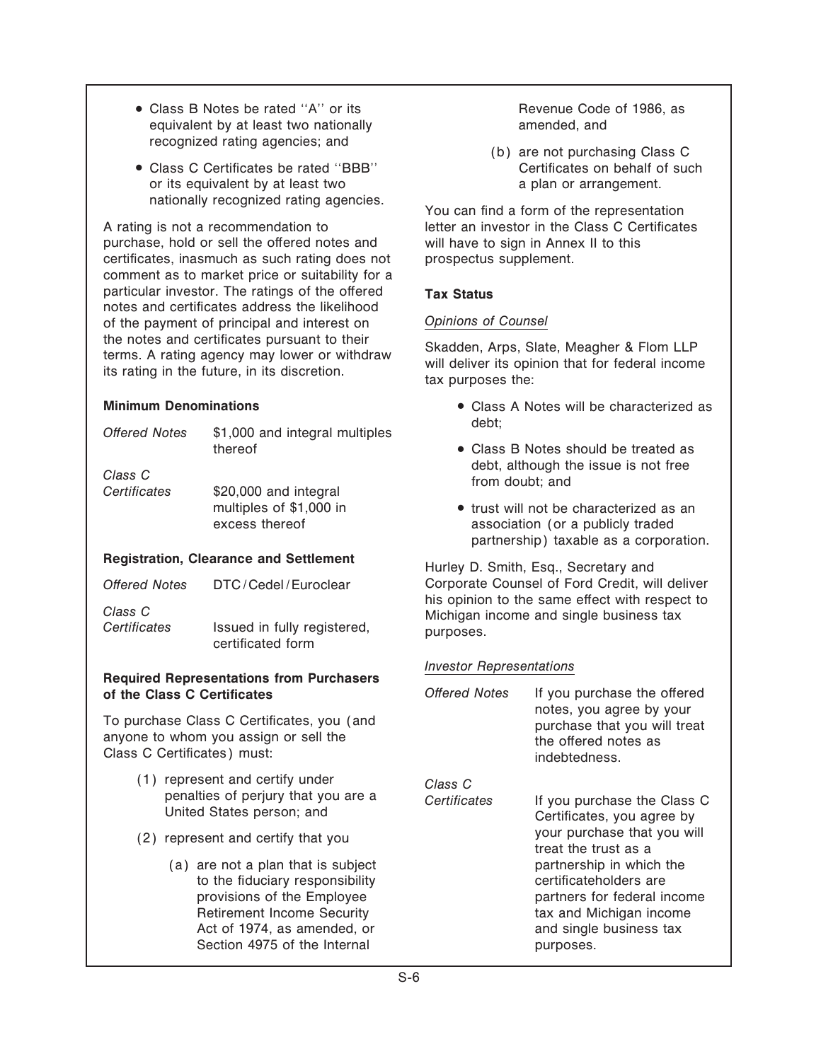- Class B Notes be rated "A" or its Revenue Code of 1986, as equivalent by at least two nationally example amended, and recognized rating agencies; and (b) are not purchasing Class C
- Class C Certificates be rated "BBB" Certificates on behalf of such or its equivalent by at least two a plan or arrangement. nationally recognized rating agencies.<br>You can find a form of the representation

A rating is not a recommendation to letter an investor in the Class C Certificates purchase, hold or sell the offered notes and will have to sign in Annex II to this certificates, inasmuch as such rating does not prospectus supplement. comment as to market price or suitability for a particular investor. The ratings of the offered **Tax Status** notes and certificates address the likelihood of the payment of principal and interest on *Opinions of Counsel*

| <b>Offered Notes</b>    | \$1,000 and integral multiples                | debt;                     |
|-------------------------|-----------------------------------------------|---------------------------|
|                         | thereof                                       | $\bullet$ Class           |
| Class C<br>Certificates | \$20,000 and integral                         | debt.<br>from             |
|                         | multiples of \$1,000 in                       | $\bullet$ trust           |
|                         | excess thereof                                | asso                      |
|                         |                                               | partn                     |
|                         | <b>Registration, Clearance and Settlement</b> | $11$ a $1.$ $\Box$ $\Box$ |

| Offered Notes | DTC/Cedel/Euroclear |
|---------------|---------------------|
|               |                     |

## *Investor Representations* **Required Representations from Purchasers of the Class C Certificates**

To purchase Class C Certificates, you (and anyone to whom you assign or sell the Class C Certificates) must:

- (1) represent and certify under<br>penalties of perjury that you are a United States person; and
- $(2)$  represent and certify that you
	- $(a)$  are not a plan that is subject to the fiduciary responsibility provisions of the Employee Retirement Income Security Act of 1974, as amended, or Section 4975 of the Internal

the notes and certificates pursuant to them<br>terms. A rating agency may lower or withdraw<br>its rating in the future, in its discretion.<br>tax purposes the:

- **Minimum Denominations** and the class A Notes will be characterized as
	- Class B Notes should be treated as debt, although the issue is not free *from doubt*: and
	- trust will not be characterized as an association (or a publicly traded partnership) taxable as a corporation.

Hurley D. Smith, Esq., Secretary and Corporate Counsel of Ford Credit, will deliver<br>his opinion to the same effect with respect to *Class C* Mis opinion to the same effect with respect to **Class C**<br>Certificates Issued in fully registered, purposes. certificates and single business tax purposes.

| Offered Notes | If you purchase the offered<br>notes, you agree by your<br>purchase that you will treat<br>the offered notes as<br>indebtedness.                                                                                                                                         |
|---------------|--------------------------------------------------------------------------------------------------------------------------------------------------------------------------------------------------------------------------------------------------------------------------|
| Class C       |                                                                                                                                                                                                                                                                          |
| Certificates  | If you purchase the Class C<br>Certificates, you agree by<br>your purchase that you will<br>treat the trust as a<br>partnership in which the<br>certificateholders are<br>partners for federal income<br>tax and Michigan income<br>and single business tax<br>purposes. |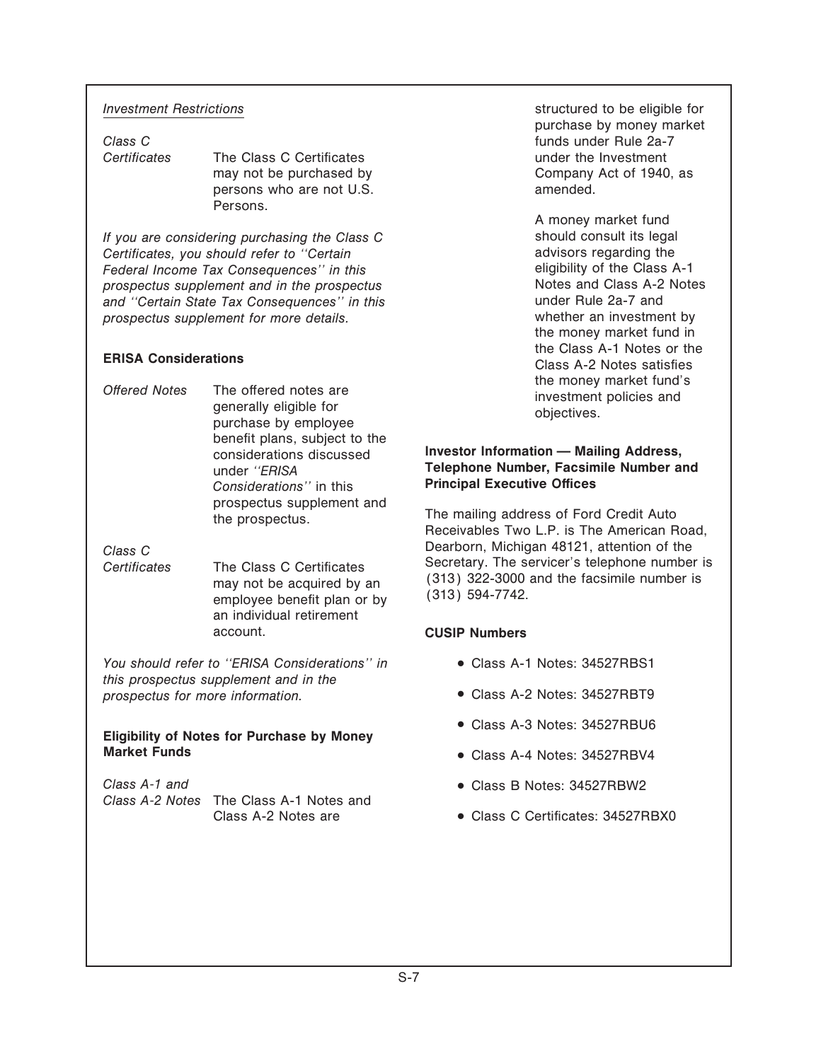**Certificates** The Class C Certificates **The Class C Certificates** under the Investment persons who are not U.S. **amended**. Persons.

*If you are considering purchasing the Class C* should consult its legal<br>Certificates, you should refer to "Certain consults" advisors regarding the *Certificates, you should refer to "Certain* and advisors regarding the contract of the Class A-1 contract regarding the Class A-1 *Federal Income Tax Consequences'' in this* eligibility of the Class A-1 eligibility of the Class A-1 **For the Class A-1** crospectus element and in the prospectus **For the Class A-2** Notes *prospectus supplement and in the prospectus* end notes and Class A-2<br>and "Certain State Tax Consequences" in this entity and the Under Rule 2a-7 and *and "Certain State Tax Consequences" in this* **under Rule 2a-7 and** *prospectus supplement for more details and prospectus supplement for more details. prospectus supplement for more details.* 

Offered Notes The offered notes are investment policies and generally eligible for objectives.<br>
purchase by employee **investment policies and objectives**. benefit plans, subject to the

employee benefit plan or by an individual retirement account. **CUSIP Numbers**

You should refer to "ERISA Considerations" in **· Class A-1 Notes: 34527RBS1** *this prospectus supplement and in the prospectus for more information.*  $\bullet$  Class A-2 Notes: 34527RBT9

## **Eligibility of Notes for Purchase by Money**

*Class A-1 and* <sup>¬</sup> Class B Notes: 34527RBW2 *Class A-2 Notes* The Class A-1 Notes and

*Investment Restrictions Investment Restrictions Investment Restrictions* purchase by money market *Class C* funds under Rule 2a-7 may not be purchased by Company Act of 1940, as

A money market fund the money market fund in the Class A-1 Notes or the **ERISA Considerations** Class A-2 Notes or the **ERISA** Considerations

### considerations discussed **Investor Information — Mailing Address**, under *"ERISA* **Telephone Number, Facsimile Number and**<br>
Considerations'' in this **Principal Executive Offices Principal Executive Offices**

prospectus supplement and The mailing address of Ford Credit Auto<br>the prospectus. Receivables Two L.P. is The American Road, Dearborn, Michigan 48121, attention of the *Class C* Secretary. The servicer's telephone number is may not be acquired by an  $(313)$  322-3000 and the facsimile number is<br>employed benefit plan or by  $(313)$  594-7742.

- 
- 
- <sup>¬</sup> Class A-3 Notes: 34527RBU6
- **Class A-4 Notes: 34527RBV4**
- 
- Class A-2 Notes are  $\bullet$  Class C Certificates: 34527RBX0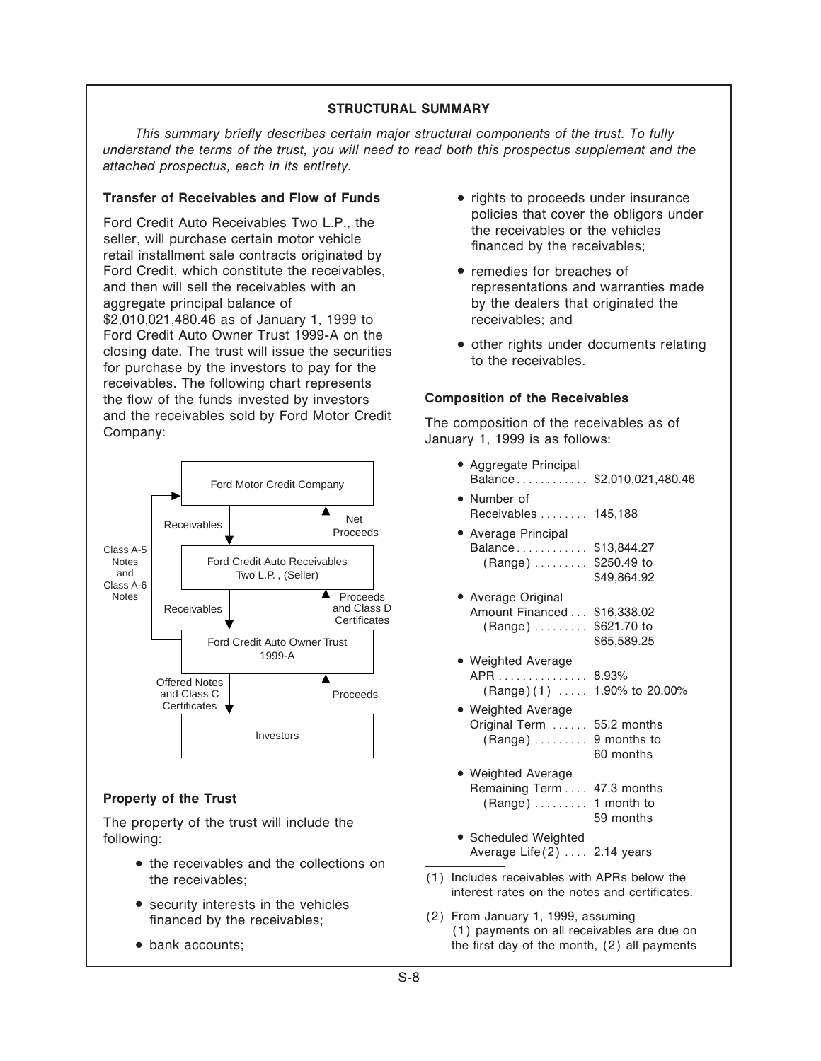### **STRUCTURAL SUMMARY**

*This summary brieÖy describes certain major structural components of the trust. To fully understand the terms of the trust, you will need to read both this prospectus supplement and the attached prospectus, each in its entirety.*

### **Transfer of Receivables and Flow of Funds** • rights to proceeds under insurance

Ford Credit Auto Receivables Two L.P., the policies that cover the obligors under<br>seller, will purchase certain motor vehicle<br>retail installment sale contracts originated by the receivables;<br>retail installment sale contrac Ford Credit, which constitute the receivables, **•** remedies for breaches of and then will sell the receivables with an representations and warranties made aggregate principal balance of by the dealers that originated the \$2,010,021,480.46 as of January 1, 1999 to receivables; and Ford Credit Auto Owner Trust 1999-A on the  $\frac{1}{2}$  other rights under documents relating closing date. The trust will issue the securities to the receivables. receivables. The following chart represents the Öow of the funds invested by investors **Composition of the Receivables** and the receivables sold by Ford Motor Credit The composition of the receivables as of Company:<br>Company: January 1, 1999 is as follows:



The property of the trust will include the following:  $\bullet$  Scheduled Weighted

- <sup>¬</sup> the receivables and the collections on the receivables; (1) Includes receivables with APRs below the
- 
- 
- 
- 
- 

- <sup>¬</sup> Aggregate Principal Balance........... \$2,010,021,480.46 • Number of Receivables ........ 145,188 <sup>¬</sup> Average Principal Balance.......... \$13,844.27  $(Ranqe)$  ....... \$250.49 to \$49,864.92 <sup>¬</sup> Average Original Amount Financed . . . \$16,338.02  $(Range) \ldots \ldots$  \$621.70 to \$65,589.25 <sup>¬</sup> Weighted Average APR . . . . . . . . . . . . . 8.93%  $(Range)(1) \ldots 1.90\%$  to 20.00% <sup>¬</sup> Weighted Average Original Term  $\dots$  55.2 months  $(Range) \ldots \ldots$  9 months to 60 months <sup>¬</sup> Weighted Average **Property of the Trust**<br>Remaining Term  $\ldots$  47.3 months (Range)  $\ldots$  1 month to<br>The preperty of the trust will include the set of the set of the set of the set of the set of the set of the set of the set of the set of th
	- Average Life $(2)$   $\ldots$  2.14 years
	- interest rates on the notes and certificates.
	- security interests in the vehicles (2) From January 1, 1999, assuming financed by the receivables; (2) From January 1, 1999, assuming financed by the receivables; • bank accounts; the first day of the month, (2) all payments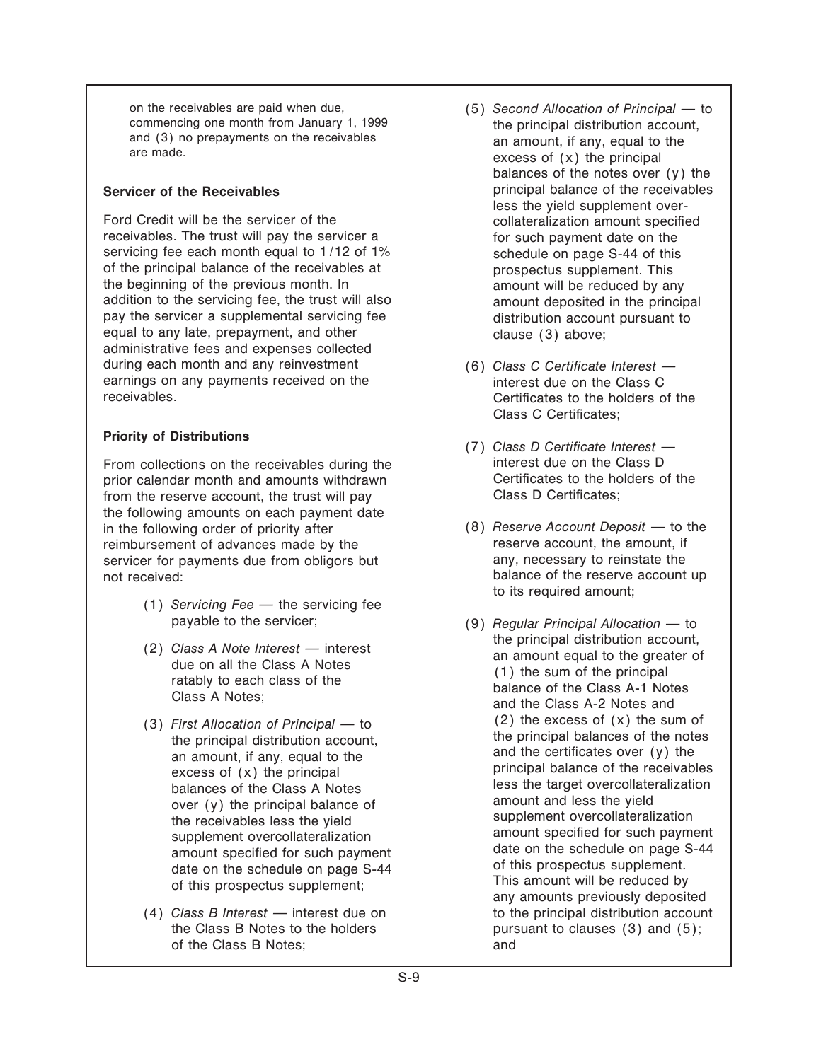on the receivables are paid when due,<br>
commencing one month from January 1, 1999<br>
the principal distribution account<br>
the principal distribution account and (3) no prepayments on the receivables and amount, if any, equal to the are made.<br>  $\alpha$  excess of (x) the principal

Ford Credit will be the servicer of the collateralization amount specified receivables. The trust will pay the servicer a for such payment date on the servicing fee each month equal to 1/12 of 1% schedule on page S-44 of this of the principal balance of the receivables at prospectus supplement. This the beginning of the previous month. In amount will be reduced by any addition to the servicing fee, the trust will also amount deposited in the principal pay the servicer a supplemental servicing fee distribution account pursuant to equal to any late, prepayment, and other clause (3) above; administrative fees and expenses collected during each month and any reinvestment (6) *Class C Certificate Interest*  $$ earnings on any payments received on the interest due on the Class C<br>receivables. Certificates to the holders of

From collections on the receivables during the interest due on the Class D<br>
prior calendar month and amounts withdrawn<br>
Certificates to the holders of the prior calendar month and amounts withdrawn **Certificates to the holders of the holders** of the holders of the trust will pay from the reserve account, the trust will pay the following amounts on each payment date in the following order of priority after (8) *Reserve Account Deposit* — to the reimbursement of advances made by the reserve account, the amount, if reimbursement of advances made by the reserve account, the amount, if<br>servicer for payments due from obligors but any, necessary to reinstate the servicer for payments due from obligors but not received:

- (1) *Servicing Fee* the servicing fee
- 
- 
- of the Class B Notes; and
- the principal distribution account, balances of the notes over (y) the **Servicer of the Receivables principal balance of the receivables** less the yield supplement over-
	- Certificates to the holders of the Class C Certificates:
- **Priority of Distributions** (7) *Class D Certificate Interest*  $\rightarrow$ 
	- balance of the reserve account up to its required amount;
	- payable to the servicer; (9) *Regular Principal Allocation to* (2)  $\text{Class } A \text{ Note } \text{Interest} \longrightarrow \text{interest}$  the principal distribution account,<br>due on all the Class A Notes<br>ratably to each class of the Class of the Class A Notes;<br>class A Notes;<br>and the Class A-2 Notes and (3) *First Allocation of Principal*  $-$  to  $(2)$  the excess of  $(x)$  the sum of the principal balances of the notes the principal distribution account,<br>
	an amount, if any, equal to the<br>
	excess of (x) the principal<br>
	balances of the Class A Notes<br>
	balances of the Class A Notes<br>
	balance of the creeivables<br>
	less the target overcollateraliza over (y) the principal balance of<br>
	the receivables less the yield<br>
	supplement overcollateralization<br>
	supplement overcollateralization<br>
	amount specified for such payment<br>
	date on the schedule on page S-44<br>
	of this prospectu (4) *Class B Interest* — interest due on to the principal distribution account the Class B Notes to the holders pursuant to clauses  $(3)$  and  $(5)$ ;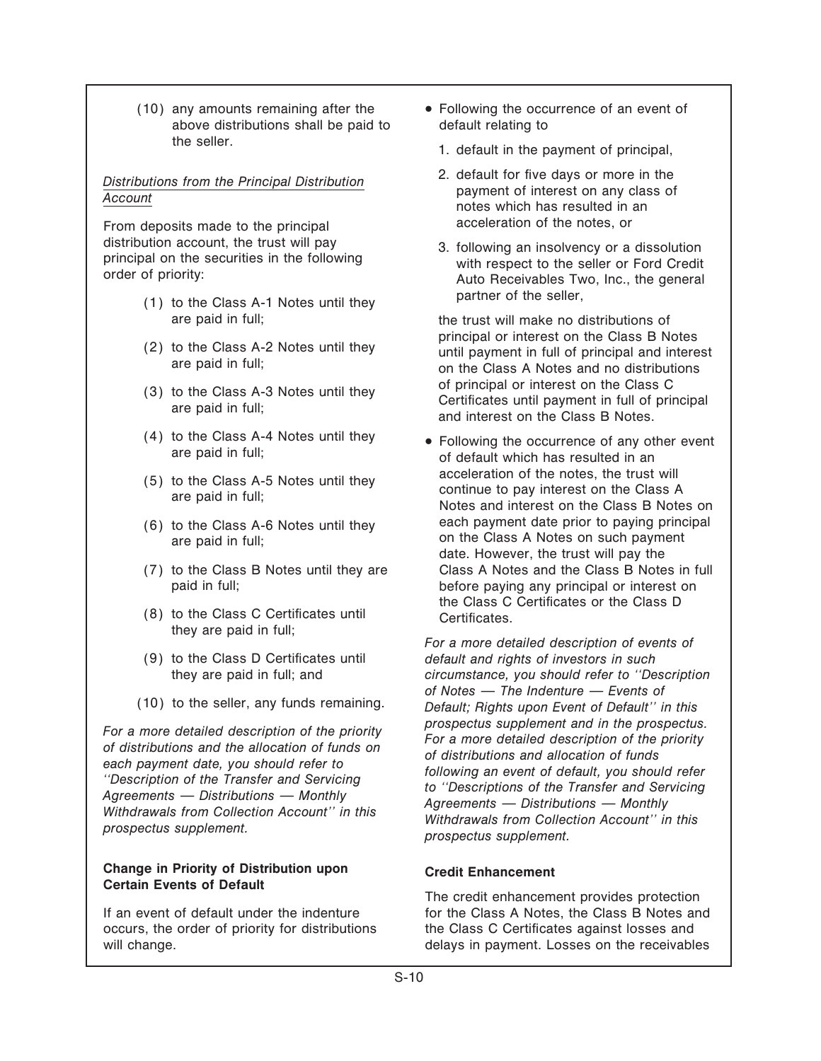above distributions shall be paid to default relating to the seller.<br>
1. default in the payment of principal,

From deposits made to the principal acceleration of the notes, or<br>distribution account, the trust will pay a strologing an insolvency or a

- partner of the seller, (1) to the Class A-1 Notes until they
- 
- 
- 
- 
- 
- 
- $(8)$  to the Class C Certificates until Certificates.<br>they are paid in full:
- 
- 

### **Change in Priority of Distribution upon Credit Enhancement Certain Events of Default**

occurs, the order of priority for distributions the Class C Certificates against losses and

- $(10)$  any amounts remaining after the  $\bullet$  Following the occurrence of an event of
	-
- *Distributions from the Principal Distribution* **2.** default for five days or more in the *Principal Distribution* **payment of interest on any class of** *Account* **notes which has resulted in an**
- distribution account, the trust will pay<br>principal on the securities in the following<br>order of priority:<br>Nuto Receivables Two, Inc., the general<br>alto Receivables Two, Inc., the general

are paid in full; the trust will make no distributions of (2) to the Class A-2 Notes until they example in full of principal and interest are paid in full;<br>are paid in full; on the Class A Notes and no distributions of principal or interest on the Class C (3) to the Class A-3 Notes until they contribute or interest on the Class C<br>are paid in full; certificates until payment in full of principal<br>and interest on the Class B Notes.

(4) to the Class A-4 Notes until they  $\bullet$  Following the occurrence of any other event are paid in full; of default which has resulted in an (5) to the Class A-5 Notes until they acceleration of the notes, the trust will<br>are paid in full; continue to pay interest on the Class A<br>Notes and interest on the Class B Notes on (6) to the Class A-6 Notes until they each payment date prior to paying principal are paid in full; and the Class A Notes on such payment date. However, the trust will pay the (7) to the Class B Notes until they are Class A Notes and the Class B Notes in full paid in full; before paying any principal or interest on the Class C Certificates or the Class D

For a more detailed description of events of (9) to the Class D Certificates until *default and rights of investors in such* they are paid in full; and *circumstance, you should refer to ""Description of Notes – The Indenture – Events of* (10) to the seller, any funds remaining. *Default; Rights upon Event of Default'' in this* For a more detailed description of the priority<br>of distributions and the allocation of the priority<br>each payment date, you should refer to<br>"Description of the Transfer and Servicing<br>Agreements — Distributions — Monthly<br>Wit

The credit enhancement provides protection If an event of default under the indenture for the Class A Notes, the Class B Notes and will change. **Example 2** and the receivables of the receivables of the receivables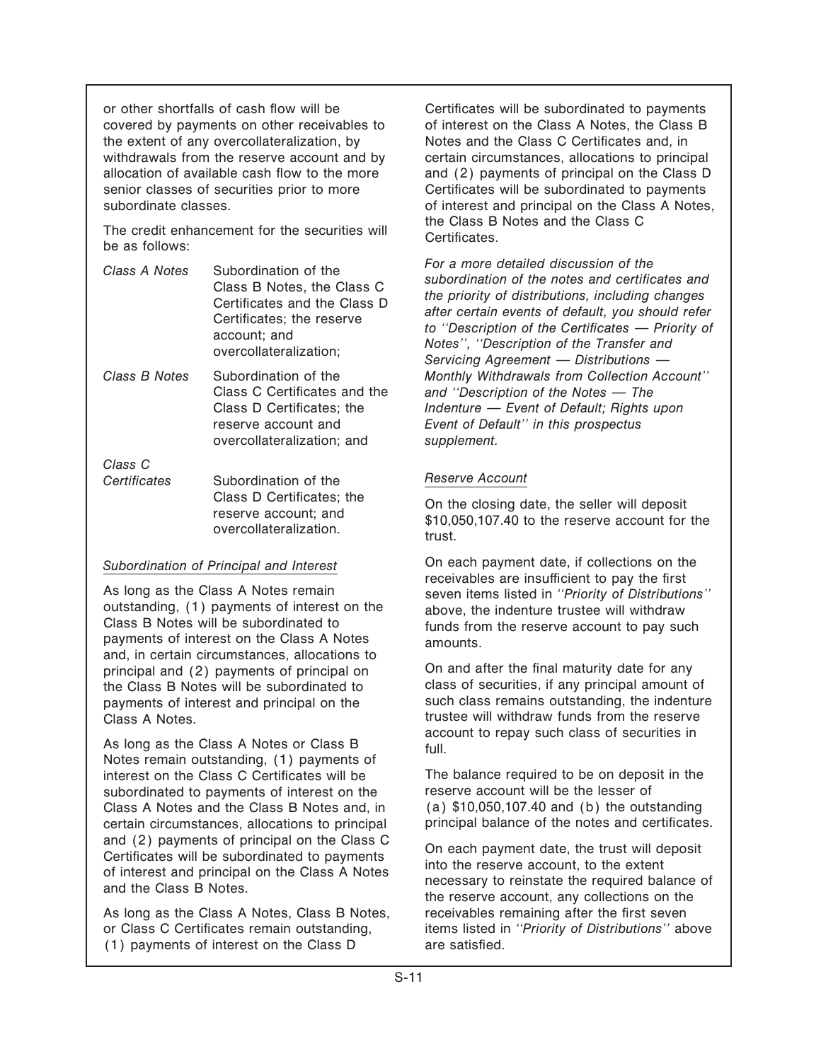or other shortfalls of cash flow will be Certificates will be subordinated to payments covered by payments on other receivables to of interest on the Class A Notes, the Class B the extent of any overcollateralization, by Notes and the Class C Certificates and, in senior classes of securities prior to more **Certificates will be subordinated to payments** 

The credit enhancement for the securities will Certificates.<br>be as follows:

| Class A Notes | Subordination of the<br>Class B Notes, the Class C<br>Certificates and the Class D |
|---------------|------------------------------------------------------------------------------------|
|               | Certificates; the reserve<br>account; and<br>overcollateralization;                |

overcollateralization; and *supplement.*

*Class C* Certificates Subordination of the **Reserve Account** 

Class B Notes will be subordinated to funds from the reserve account to pay such payments of interest on the Class A Notes amounts. and, in certain circumstances, allocations to payments of interest and principal on the

As long as the Class A Notes or Class B  $\frac{a}{\text{full}}$ . Notes remain outstanding, (1) payments of interest on the Class C Certificates will be The balance required to be on deposit in the subordinated to payments of interest on the reserve account will be the lesser of subordinated to payments of interest on the reserve account will be the lesser of<br>Class A Notes and the Class B Notes and. in (a) \$10,050,107.40 and (b) the outstanding Class A Notes and the Class B Notes and, in certain circumstances, allocations to principal principal balance of the notes and certificates.

As long as the Class A Notes, Class B Notes, receivables remaining after the first seven  $(1)$  payments of interest on the Class D are satisfied.

withdrawals from the reserve account and by certain circumstances, allocations to principal allocation of available cash flow to the more and (2) payments of principal on the Class D subordinate classes.<br>
of interest and principal on the Class A Notes,<br>
the Class B Notes and the Class C

Class A Notes<br>
Class B Notes, the Class C<br>
Certificates and the Class C<br>
Certificates and the Class D<br>
Certificates and the Class D<br>
Certificates and the Class D<br>
Certificates and the Class D<br>
Certificates and the Class D<br> *Class B Notes* Subordination of the *Monthly Withdrawals from Collection Account''* Class C Certificates and the and "Description of the Notes - The Class D Certificates; the *Indenture — Event of Default; Rights upon* reserve account and *Event of Default'' in this prospectus*

Class D Certificates; the On the closing date, the seller will deposit reserve account; and \$10,050,107.40 to the reserve account for the overcollateralization.

*Subordination of Principal and Interest* On each payment date, if collections on the As long as the Class A Notes remain<br>
outstanding, (1) payments of interest on the<br>
Class B Notes will be subordinated to<br>
tunds from the reserve account to pay such

principal and (2) payments of principal on On and after the final maturity date for any<br>the Class B Notes will be subordinated to class of securities, if any principal amount of the Class B Notes will be subordinated to class of securities, if any principal amount of the covenants of interest and principal on the such class remains outstanding, the indenture Class A Notes.<br>Class A Notes.<br>account to repay such class of securities in

and (2) payments of principal on the Class C<br>Certificates will be subordinated to payments<br>of interest and principal on the Class A Notes<br>and the Class B Notes.<br>The reserve account, any collections on the<br>the reserve accou or Class C Certificates remain outstanding, items listed in *"Priority of Distributions"* above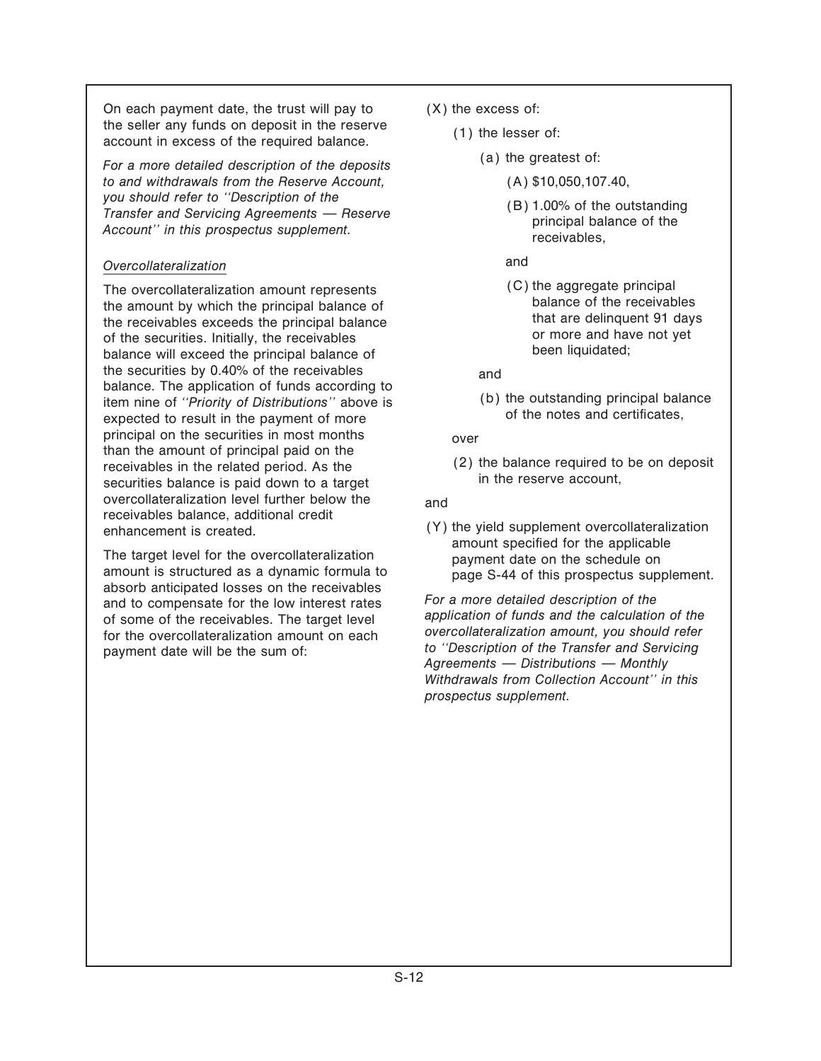On each payment date, the trust will pay to (X) the excess of: the seller any funds on deposit in the reserve (1) the lesser of: account in excess of the required balance.

(a) the greatest of: *For a more detailed description of the deposits to and withdrawals from the Reserve Account,* (A) \$10,050,107.40, *you should refer to "Description of the*<br> *Transfer and Servicing Agreements — Reserve principal balance of the <i>principal balance of the receivables. receivables*.

### *Overcollateralization* and

The overcollateralization amount represents (C) the aggregate principal<br>the amount by which the principal balance of the receivables the amount by which the principal balance of balance of balance of the receivables exceeds the principal balance<br>of the securities. Initially, the receivables of the securities. Initially, the receivables<br>balance will exce the securities by 0.40% of the receivables<br>balance. The application of funds according to balance item nine of *"Priority of Distributions"* above is (b) the outstanding principal balance item nine of *"Priority of Distributions"* above is over of the notes and certificates. expected to result in the payment of more principal on the securities in most months<br>than the amount of principal paid on the than the amount of principal paid on the amount of principal paid on the receivables in the related period. As the in the reserve account, securities balance is paid down to a target overcollateralization level further below the and receivables balance, additional credit

The target level for the overcollateralization<br>amount is structured as a dynamic formula to<br>absorb anticipated losses on the receivables<br>and to compensate for the low interest rates<br>of some of the receivables. The target l

- - - -
			-
			-
			-

enhancement is created.  $(Y)$  the yield supplement overcollateralization<br>amount specified for the applicable

*to the Transfer and Servicing*<br>payment date will be the sum of: *internal and Servicing*<br>Agreements — Distributions — Monthly *Withdrawals from Collection Account'' in this prospectus supplement.*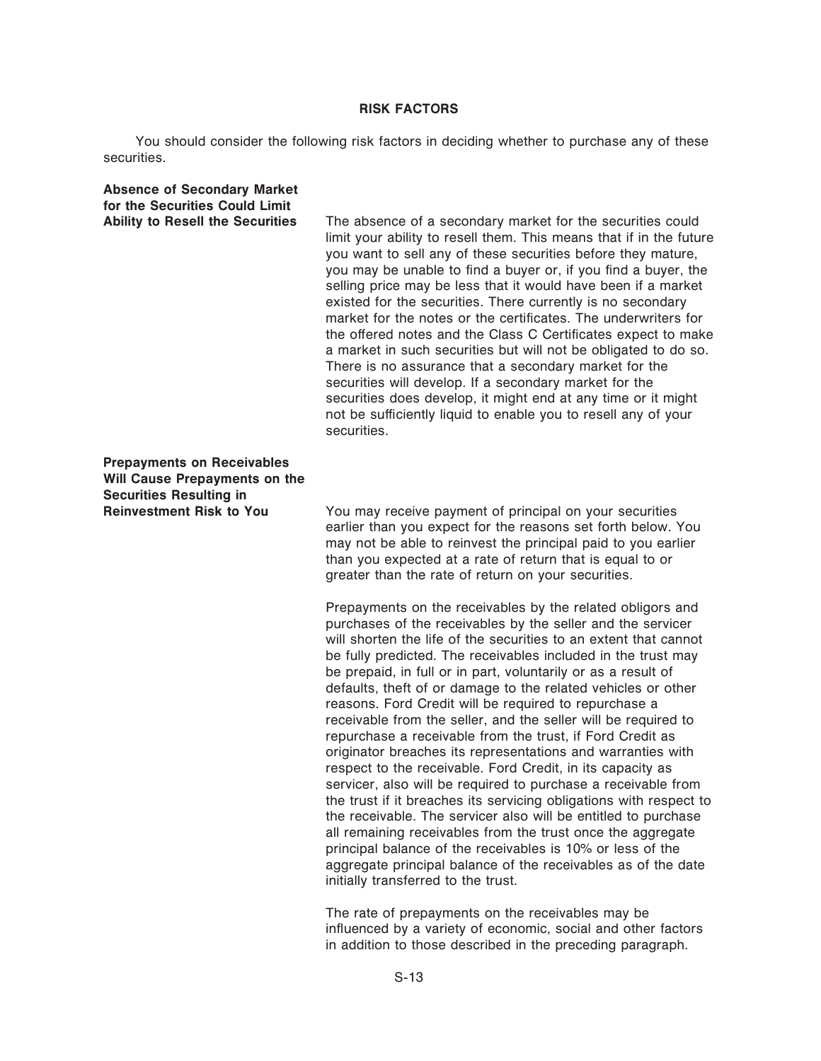#### **RISK FACTORS**

You should consider the following risk factors in deciding whether to purchase any of these securities.

| <b>Absence of Secondary Market</b><br>for the Securities Could Limit<br><b>Ability to Resell the Securities</b> | The absence of a secondary market for the securities could<br>limit your ability to resell them. This means that if in the future<br>you want to sell any of these securities before they mature,<br>you may be unable to find a buyer or, if you find a buyer, the<br>selling price may be less that it would have been if a market<br>existed for the securities. There currently is no secondary<br>market for the notes or the certificates. The underwriters for<br>the offered notes and the Class C Certificates expect to make<br>a market in such securities but will not be obligated to do so.<br>There is no assurance that a secondary market for the<br>securities will develop. If a secondary market for the<br>securities does develop, it might end at any time or it might<br>not be sufficiently liquid to enable you to resell any of your<br>securities. |
|-----------------------------------------------------------------------------------------------------------------|--------------------------------------------------------------------------------------------------------------------------------------------------------------------------------------------------------------------------------------------------------------------------------------------------------------------------------------------------------------------------------------------------------------------------------------------------------------------------------------------------------------------------------------------------------------------------------------------------------------------------------------------------------------------------------------------------------------------------------------------------------------------------------------------------------------------------------------------------------------------------------|
| <b>Prepayments on Receivables</b><br><b>Will Cause Prepayments on the</b><br><b>Securities Resulting in</b>     |                                                                                                                                                                                                                                                                                                                                                                                                                                                                                                                                                                                                                                                                                                                                                                                                                                                                                |
| <b>Reinvestment Risk to You</b>                                                                                 | You may receive payment of principal on your securities<br>earlier than you expect for the reasons set forth below. You<br>may not be able to reinvest the principal paid to you earlier<br>than you expected at a rate of return that is equal to or<br>greater than the rate of return on your securities.                                                                                                                                                                                                                                                                                                                                                                                                                                                                                                                                                                   |

Prepayments on the receivables by the related obligors and purchases of the receivables by the seller and the servicer will shorten the life of the securities to an extent that cannot be fully predicted. The receivables included in the trust may be prepaid, in full or in part, voluntarily or as a result of defaults, theft of or damage to the related vehicles or other reasons. Ford Credit will be required to repurchase a receivable from the seller, and the seller will be required to repurchase a receivable from the trust, if Ford Credit as originator breaches its representations and warranties with respect to the receivable. Ford Credit, in its capacity as servicer, also will be required to purchase a receivable from the trust if it breaches its servicing obligations with respect to the receivable. The servicer also will be entitled to purchase all remaining receivables from the trust once the aggregate principal balance of the receivables is 10% or less of the aggregate principal balance of the receivables as of the date initially transferred to the trust.

The rate of prepayments on the receivables may be influenced by a variety of economic, social and other factors in addition to those described in the preceding paragraph.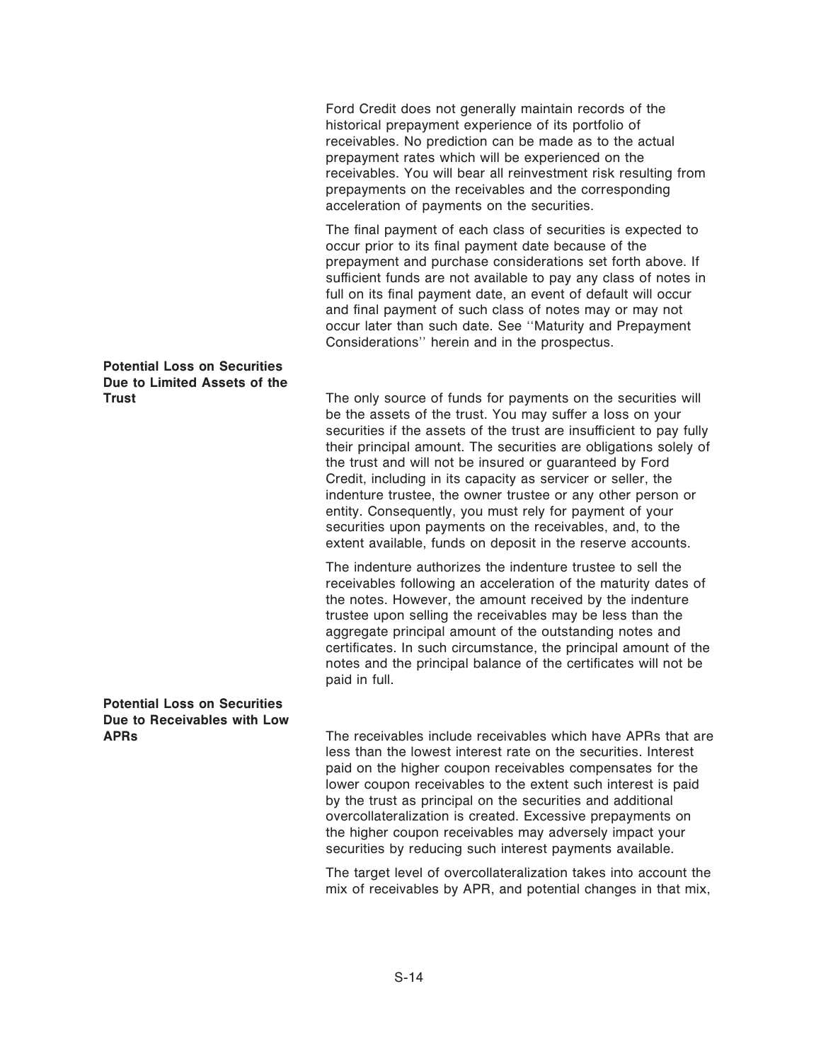Ford Credit does not generally maintain records of the historical prepayment experience of its portfolio of receivables. No prediction can be made as to the actual prepayment rates which will be experienced on the receivables. You will bear all reinvestment risk resulting from prepayments on the receivables and the corresponding acceleration of payments on the securities.

The final payment of each class of securities is expected to occur prior to its final payment date because of the prepayment and purchase considerations set forth above. If sufficient funds are not available to pay any class of notes in full on its final payment date, an event of default will occur and final payment of such class of notes may or may not occur later than such date. See ""Maturity and Prepayment Considerations'' herein and in the prospectus.

## **Potential Loss on Securities Due to Limited Assets of the**

**Trust** The only source of funds for payments on the securities will be the assets of the trust. You may suffer a loss on your securities if the assets of the trust are insufficient to pay fully their principal amount. The securities are obligations solely of the trust and will not be insured or guaranteed by Ford Credit, including in its capacity as servicer or seller, the indenture trustee, the owner trustee or any other person or entity. Consequently, you must rely for payment of your securities upon payments on the receivables, and, to the extent available, funds on deposit in the reserve accounts.

> The indenture authorizes the indenture trustee to sell the receivables following an acceleration of the maturity dates of the notes. However, the amount received by the indenture trustee upon selling the receivables may be less than the aggregate principal amount of the outstanding notes and certificates. In such circumstance, the principal amount of the notes and the principal balance of the certificates will not be paid in full.

## **Potential Loss on Securities Due to Receivables with Low**

**APRs** The receivables include receivables which have APRs that are less than the lowest interest rate on the securities. Interest paid on the higher coupon receivables compensates for the lower coupon receivables to the extent such interest is paid by the trust as principal on the securities and additional overcollateralization is created. Excessive prepayments on the higher coupon receivables may adversely impact your securities by reducing such interest payments available.

> The target level of overcollateralization takes into account the mix of receivables by APR, and potential changes in that mix,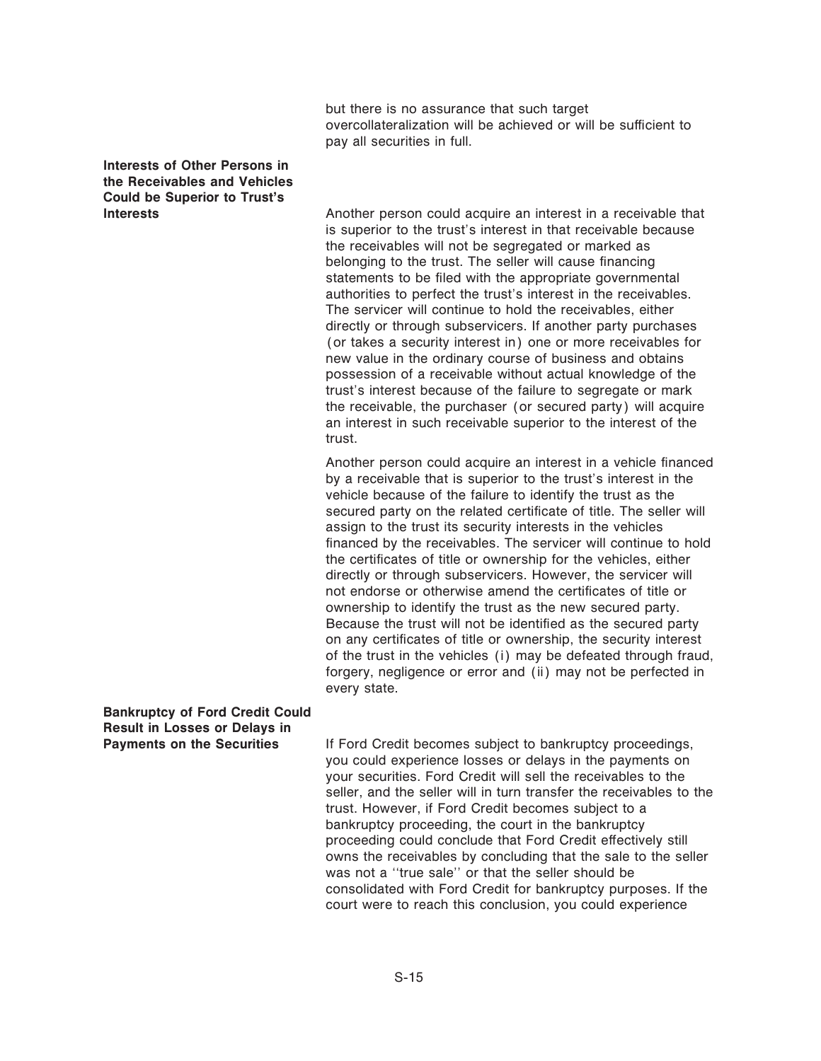but there is no assurance that such target overcollateralization will be achieved or will be sufficient to pay all securities in full.

### **Interests of Other Persons in the Receivables and Vehicles Could be Superior to Trust's**

**Interests Another person could acquire an interest in a receivable that** is superior to the trust's interest in that receivable because the receivables will not be segregated or marked as belonging to the trust. The seller will cause financing statements to be filed with the appropriate governmental authorities to perfect the trust's interest in the receivables. The servicer will continue to hold the receivables, either directly or through subservicers. If another party purchases (or takes a security interest in) one or more receivables for new value in the ordinary course of business and obtains possession of a receivable without actual knowledge of the trust's interest because of the failure to segregate or mark the receivable, the purchaser (or secured party) will acquire an interest in such receivable superior to the interest of the trust.

> Another person could acquire an interest in a vehicle financed by a receivable that is superior to the trust's interest in the vehicle because of the failure to identify the trust as the secured party on the related certificate of title. The seller will assign to the trust its security interests in the vehicles financed by the receivables. The servicer will continue to hold the certificates of title or ownership for the vehicles, either directly or through subservicers. However, the servicer will not endorse or otherwise amend the certificates of title or ownership to identify the trust as the new secured party. Because the trust will not be identified as the secured party on any certificates of title or ownership, the security interest of the trust in the vehicles (i) may be defeated through fraud, forgery, negligence or error and (ii) may not be perfected in every state.

**Bankruptcy of Ford Credit Could Result in Losses or Delays in**

If Ford Credit becomes subject to bankruptcy proceedings, you could experience losses or delays in the payments on your securities. Ford Credit will sell the receivables to the seller, and the seller will in turn transfer the receivables to the trust. However, if Ford Credit becomes subject to a bankruptcy proceeding, the court in the bankruptcy proceeding could conclude that Ford Credit effectively still owns the receivables by concluding that the sale to the seller was not a "true sale" or that the seller should be consolidated with Ford Credit for bankruptcy purposes. If the court were to reach this conclusion, you could experience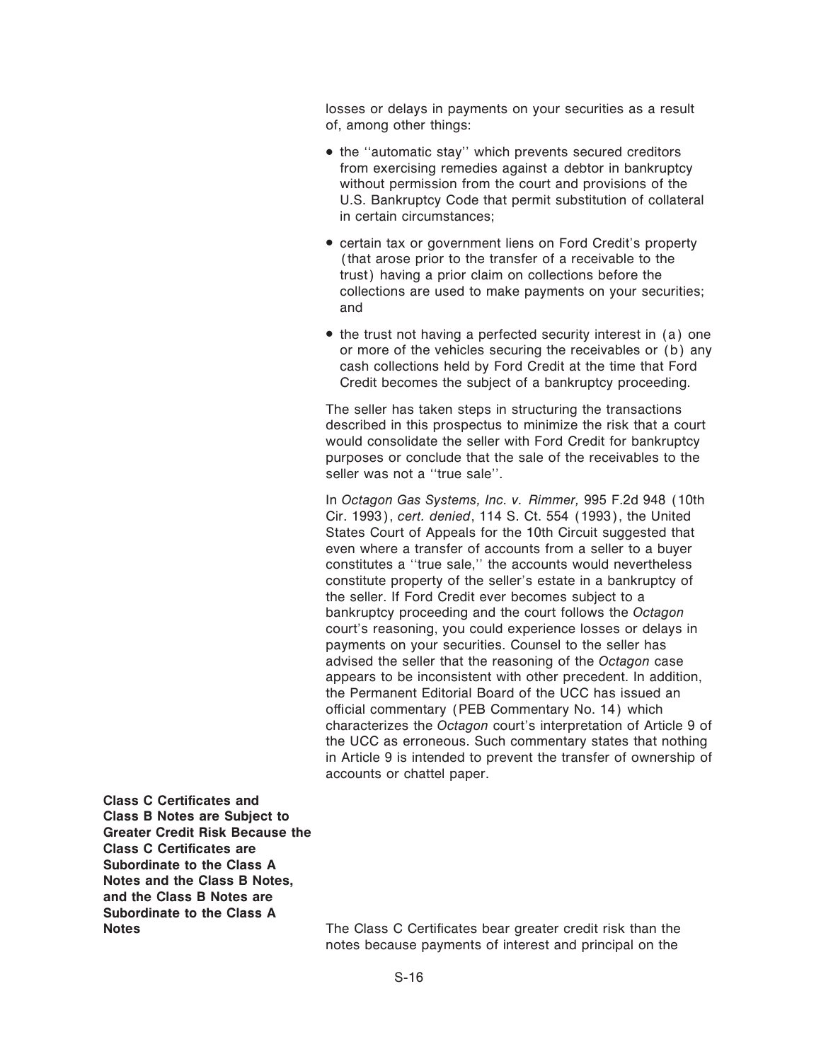losses or delays in payments on your securities as a result of, among other things:

- the "automatic stay" which prevents secured creditors from exercising remedies against a debtor in bankruptcy without permission from the court and provisions of the U.S. Bankruptcy Code that permit substitution of collateral in certain circumstances;
- <sup>¬</sup> certain tax or government liens on Ford Credit's property (that arose prior to the transfer of a receivable to the trust) having a prior claim on collections before the collections are used to make payments on your securities; and
- the trust not having a perfected security interest in (a) one or more of the vehicles securing the receivables or (b) any cash collections held by Ford Credit at the time that Ford Credit becomes the subject of a bankruptcy proceeding.

The seller has taken steps in structuring the transactions described in this prospectus to minimize the risk that a court would consolidate the seller with Ford Credit for bankruptcy purposes or conclude that the sale of the receivables to the seller was not a "true sale".

In *Octagon Gas Systems, Inc. v. Rimmer,* 995 F.2d 948 (10th Cir. 1993), *cert. denied*, 114 S. Ct. 554 (1993), the United States Court of Appeals for the 10th Circuit suggested that even where a transfer of accounts from a seller to a buyer constitutes a "true sale," the accounts would nevertheless constitute property of the seller's estate in a bankruptcy of the seller. If Ford Credit ever becomes subject to a bankruptcy proceeding and the court follows the *Octagon* court's reasoning, you could experience losses or delays in payments on your securities. Counsel to the seller has advised the seller that the reasoning of the *Octagon* case appears to be inconsistent with other precedent. In addition, the Permanent Editorial Board of the UCC has issued an official commentary (PEB Commentary No. 14) which characterizes the *Octagon* court's interpretation of Article 9 of the UCC as erroneous. Such commentary states that nothing in Article 9 is intended to prevent the transfer of ownership of accounts or chattel paper.

**Class C Certificates and Class B Notes are Subject to Greater Credit Risk Because the Class C Certificates are Subordinate to the Class A Notes and the Class B Notes, and the Class B Notes are Subordinate to the Class A**

**Notes** The Class C Certificates bear greater credit risk than the notes because payments of interest and principal on the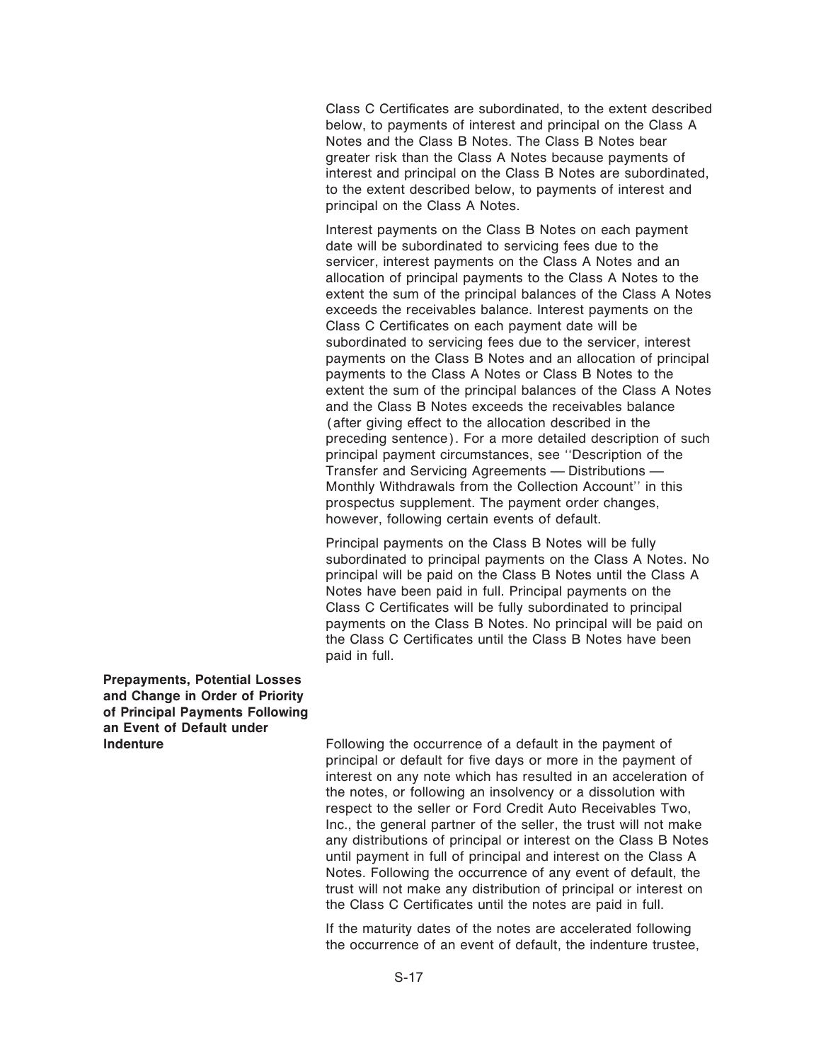Class C Certificates are subordinated, to the extent described below, to payments of interest and principal on the Class A Notes and the Class B Notes. The Class B Notes bear greater risk than the Class A Notes because payments of interest and principal on the Class B Notes are subordinated, to the extent described below, to payments of interest and principal on the Class A Notes.

Interest payments on the Class B Notes on each payment date will be subordinated to servicing fees due to the servicer, interest payments on the Class A Notes and an allocation of principal payments to the Class A Notes to the extent the sum of the principal balances of the Class A Notes exceeds the receivables balance. Interest payments on the Class C Certificates on each payment date will be subordinated to servicing fees due to the servicer, interest payments on the Class B Notes and an allocation of principal payments to the Class A Notes or Class B Notes to the extent the sum of the principal balances of the Class A Notes and the Class B Notes exceeds the receivables balance (after giving effect to the allocation described in the preceding sentence). For a more detailed description of such principal payment circumstances, see ""Description of the Transfer and Servicing Agreements - Distributions -Monthly Withdrawals from the Collection Account'' in this prospectus supplement. The payment order changes, however, following certain events of default.

Principal payments on the Class B Notes will be fully subordinated to principal payments on the Class A Notes. No principal will be paid on the Class B Notes until the Class A Notes have been paid in full. Principal payments on the Class C Certificates will be fully subordinated to principal payments on the Class B Notes. No principal will be paid on the Class C Certificates until the Class B Notes have been paid in full.

**Prepayments, Potential Losses and Change in Order of Priority of Principal Payments Following an Event of Default under**

Following the occurrence of a default in the payment of principal or default for five days or more in the payment of interest on any note which has resulted in an acceleration of the notes, or following an insolvency or a dissolution with respect to the seller or Ford Credit Auto Receivables Two, Inc., the general partner of the seller, the trust will not make any distributions of principal or interest on the Class B Notes until payment in full of principal and interest on the Class A Notes. Following the occurrence of any event of default, the trust will not make any distribution of principal or interest on the Class C Certificates until the notes are paid in full.

If the maturity dates of the notes are accelerated following the occurrence of an event of default, the indenture trustee,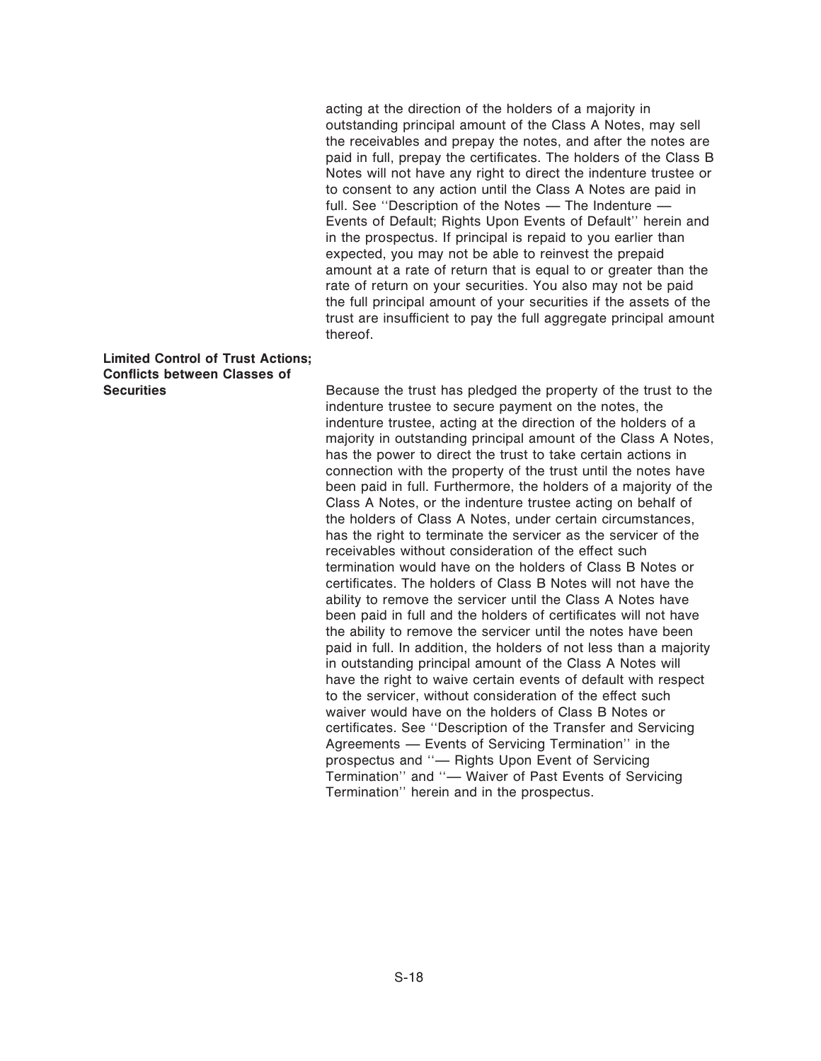acting at the direction of the holders of a majority in outstanding principal amount of the Class A Notes, may sell the receivables and prepay the notes, and after the notes are paid in full, prepay the certificates. The holders of the Class B Notes will not have any right to direct the indenture trustee or to consent to any action until the Class A Notes are paid in full. See "Description of the Notes - The Indenture -Events of Default; Rights Upon Events of Default'' herein and in the prospectus. If principal is repaid to you earlier than expected, you may not be able to reinvest the prepaid amount at a rate of return that is equal to or greater than the rate of return on your securities. You also may not be paid the full principal amount of your securities if the assets of the trust are insufficient to pay the full aggregate principal amount thereof.

## **Limited Control of Trust Actions; Conflicts between Classes of Securities**

Because the trust has pledged the property of the trust to the indenture trustee to secure payment on the notes, the indenture trustee, acting at the direction of the holders of a majority in outstanding principal amount of the Class A Notes, has the power to direct the trust to take certain actions in connection with the property of the trust until the notes have been paid in full. Furthermore, the holders of a majority of the Class A Notes, or the indenture trustee acting on behalf of the holders of Class A Notes, under certain circumstances, has the right to terminate the servicer as the servicer of the receivables without consideration of the effect such termination would have on the holders of Class B Notes or certificates. The holders of Class B Notes will not have the ability to remove the servicer until the Class A Notes have been paid in full and the holders of certificates will not have the ability to remove the servicer until the notes have been paid in full. In addition, the holders of not less than a majority in outstanding principal amount of the Class A Notes will have the right to waive certain events of default with respect to the servicer, without consideration of the effect such waiver would have on the holders of Class B Notes or certificates. See "Description of the Transfer and Servicing Agreements - Events of Servicing Termination" in the prospectus and "- Rights Upon Event of Servicing Termination" and "- Waiver of Past Events of Servicing Termination'' herein and in the prospectus.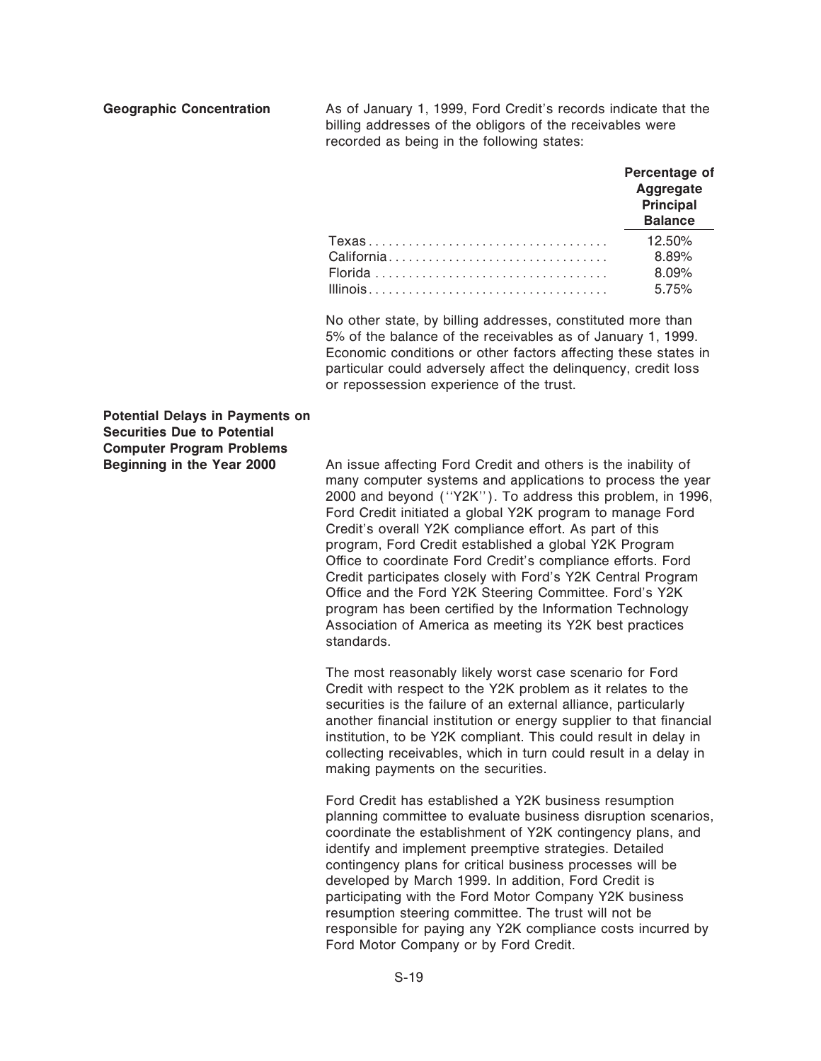**Geographic Concentration** As of January 1, 1999, Ford Credit's records indicate that the billing addresses of the obligors of the receivables were recorded as being in the following states:

| Percentage of<br>Aggregate<br>Principal<br><b>Balance</b> |
|-----------------------------------------------------------|
| 12.50%                                                    |
| 8.89%                                                     |
| 8.09%                                                     |
| 5.75%                                                     |

No other state, by billing addresses, constituted more than 5% of the balance of the receivables as of January 1, 1999. Economic conditions or other factors affecting these states in particular could adversely affect the delinquency, credit loss or repossession experience of the trust.

**Potential Delays in Payments on Securities Due to Potential Computer Program Problems**

An issue affecting Ford Credit and others is the inability of many computer systems and applications to process the year 2000 and beyond (""Y2K''). To address this problem, in 1996, Ford Credit initiated a global Y2K program to manage Ford Credit's overall Y2K compliance effort. As part of this program, Ford Credit established a global Y2K Program Office to coordinate Ford Credit's compliance efforts. Ford Credit participates closely with Ford's Y2K Central Program Office and the Ford Y2K Steering Committee. Ford's Y2K program has been certified by the Information Technology Association of America as meeting its Y2K best practices standards.

The most reasonably likely worst case scenario for Ford Credit with respect to the Y2K problem as it relates to the securities is the failure of an external alliance, particularly another financial institution or energy supplier to that financial institution, to be Y2K compliant. This could result in delay in collecting receivables, which in turn could result in a delay in making payments on the securities.

Ford Credit has established a Y2K business resumption planning committee to evaluate business disruption scenarios, coordinate the establishment of Y2K contingency plans, and identify and implement preemptive strategies. Detailed contingency plans for critical business processes will be developed by March 1999. In addition, Ford Credit is participating with the Ford Motor Company Y2K business resumption steering committee. The trust will not be responsible for paying any Y2K compliance costs incurred by Ford Motor Company or by Ford Credit.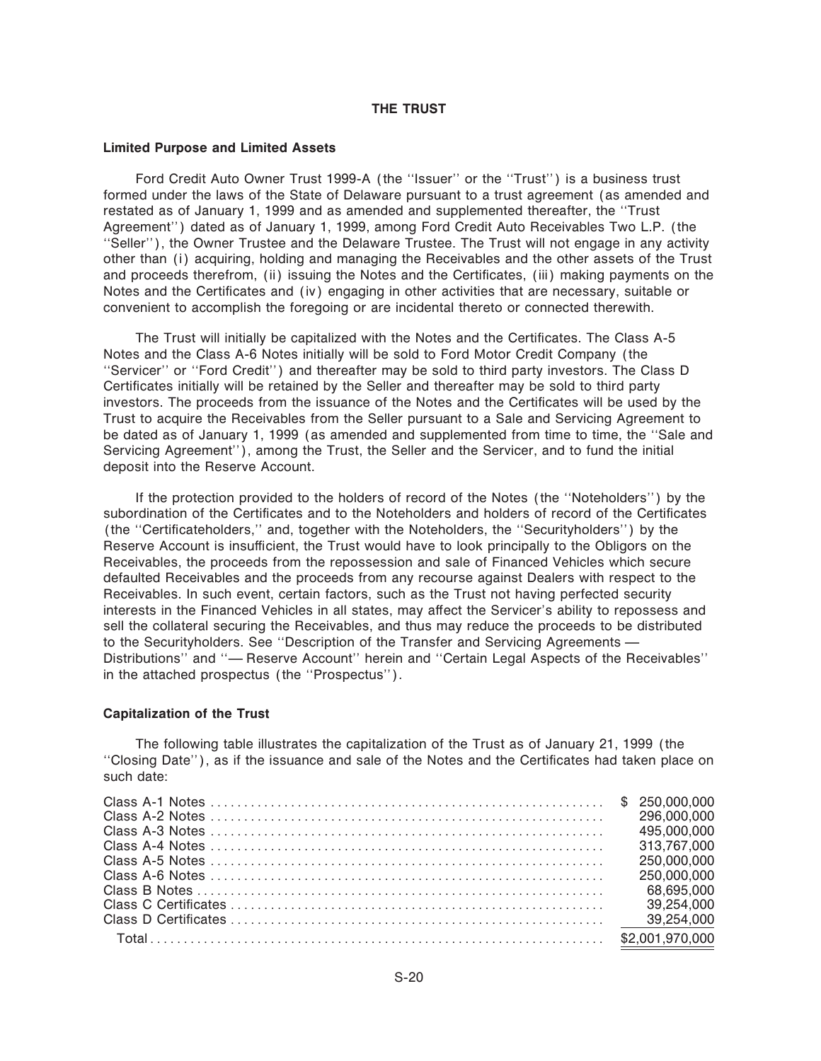#### **THE TRUST**

#### **Limited Purpose and Limited Assets**

Ford Credit Auto Owner Trust 1999-A (the ""Issuer'' or the ""Trust'') is a business trust formed under the laws of the State of Delaware pursuant to a trust agreement (as amended and restated as of January 1, 1999 and as amended and supplemented thereafter, the ""Trust Agreement'') dated as of January 1, 1999, among Ford Credit Auto Receivables Two L.P. (the ""Seller''), the Owner Trustee and the Delaware Trustee. The Trust will not engage in any activity other than (i) acquiring, holding and managing the Receivables and the other assets of the Trust and proceeds therefrom, (ii) issuing the Notes and the Certificates, (iii) making payments on the Notes and the Certificates and (iv) engaging in other activities that are necessary, suitable or convenient to accomplish the foregoing or are incidental thereto or connected therewith.

The Trust will initially be capitalized with the Notes and the Certificates. The Class A-5 Notes and the Class A-6 Notes initially will be sold to Ford Motor Credit Company (the ""Servicer'' or ""Ford Credit'') and thereafter may be sold to third party investors. The Class D Certificates initially will be retained by the Seller and thereafter may be sold to third party investors. The proceeds from the issuance of the Notes and the Certificates will be used by the Trust to acquire the Receivables from the Seller pursuant to a Sale and Servicing Agreement to be dated as of January 1, 1999 (as amended and supplemented from time to time, the ""Sale and Servicing Agreement''), among the Trust, the Seller and the Servicer, and to fund the initial deposit into the Reserve Account.

If the protection provided to the holders of record of the Notes (the ""Noteholders'') by the subordination of the Certificates and to the Noteholders and holders of record of the Certificates (the "Certificateholders," and, together with the Noteholders, the "Securityholders") by the Reserve Account is insufficient, the Trust would have to look principally to the Obligors on the Receivables, the proceeds from the repossession and sale of Financed Vehicles which secure defaulted Receivables and the proceeds from any recourse against Dealers with respect to the Receivables. In such event, certain factors, such as the Trust not having perfected security interests in the Financed Vehicles in all states, may affect the Servicer's ability to repossess and sell the collateral securing the Receivables, and thus may reduce the proceeds to be distributed to the Securityholders. See "Description of the Transfer and Servicing Agreements — Distributions" and "- Reserve Account" herein and "Certain Legal Aspects of the Receivables" in the attached prospectus (the "Prospectus").

#### **Capitalization of the Trust**

The following table illustrates the capitalization of the Trust as of January 21, 1999 (the "Closing Date"), as if the issuance and sale of the Notes and the Certificates had taken place on such date:

|  | 250.000.000 |
|--|-------------|
|  |             |
|  |             |
|  |             |
|  |             |
|  |             |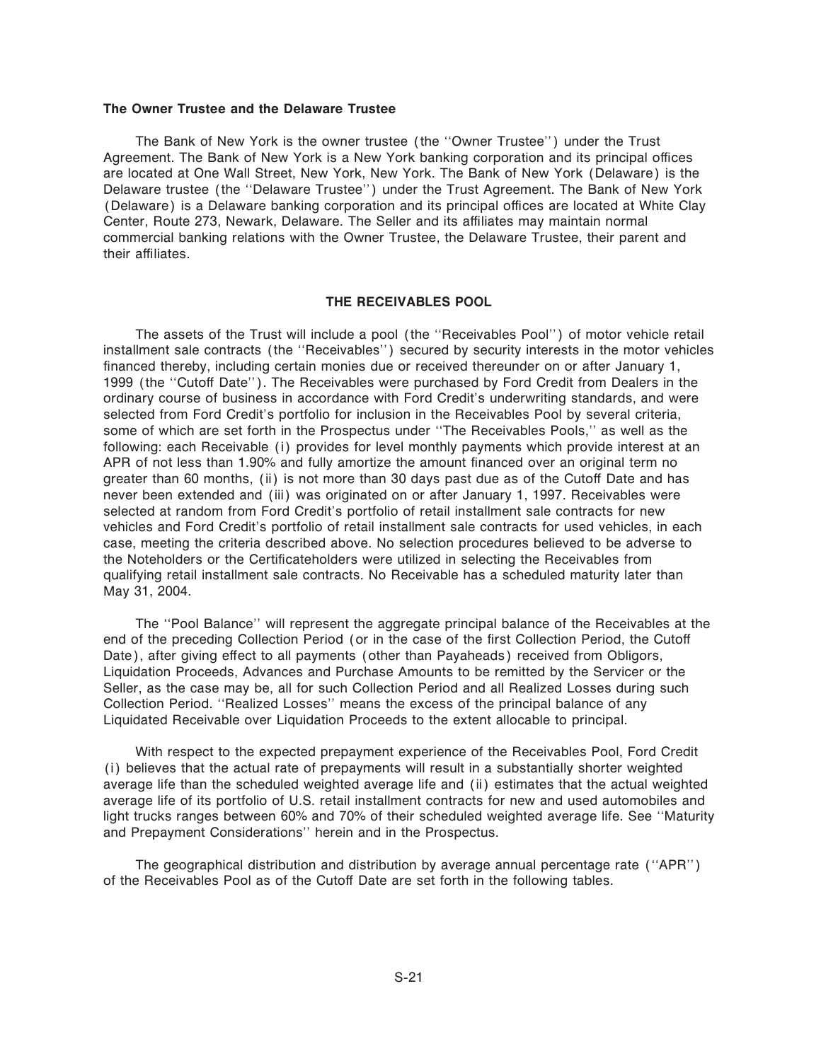#### **The Owner Trustee and the Delaware Trustee**

The Bank of New York is the owner trustee (the ""Owner Trustee'') under the Trust Agreement. The Bank of New York is a New York banking corporation and its principal offices are located at One Wall Street, New York, New York. The Bank of New York (Delaware) is the Delaware trustee (the ""Delaware Trustee'') under the Trust Agreement. The Bank of New York (Delaware) is a Delaware banking corporation and its principal offices are located at White Clay Center, Route 273, Newark, Delaware. The Seller and its affiliates may maintain normal commercial banking relations with the Owner Trustee, the Delaware Trustee, their parent and their affiliates

#### **THE RECEIVABLES POOL**

The assets of the Trust will include a pool (the ""Receivables Pool'') of motor vehicle retail installment sale contracts (the ""Receivables'') secured by security interests in the motor vehicles financed thereby, including certain monies due or received thereunder on or after January 1, 1999 (the "Cutoff Date"). The Receivables were purchased by Ford Credit from Dealers in the ordinary course of business in accordance with Ford Credit's underwriting standards, and were selected from Ford Credit's portfolio for inclusion in the Receivables Pool by several criteria, some of which are set forth in the Prospectus under ""The Receivables Pools,'' as well as the following: each Receivable (i) provides for level monthly payments which provide interest at an APR of not less than 1.90% and fully amortize the amount financed over an original term no greater than 60 months, (ii) is not more than 30 days past due as of the Cutoff Date and has never been extended and (iii) was originated on or after January 1, 1997. Receivables were selected at random from Ford Credit's portfolio of retail installment sale contracts for new vehicles and Ford Credit's portfolio of retail installment sale contracts for used vehicles, in each case, meeting the criteria described above. No selection procedures believed to be adverse to the Noteholders or the Certificateholders were utilized in selecting the Receivables from qualifying retail installment sale contracts. No Receivable has a scheduled maturity later than May 31, 2004.

The ""Pool Balance'' will represent the aggregate principal balance of the Receivables at the end of the preceding Collection Period (or in the case of the first Collection Period, the Cutoff Date), after giving effect to all payments (other than Payaheads) received from Obligors, Liquidation Proceeds, Advances and Purchase Amounts to be remitted by the Servicer or the Seller, as the case may be, all for such Collection Period and all Realized Losses during such Collection Period. ""Realized Losses'' means the excess of the principal balance of any Liquidated Receivable over Liquidation Proceeds to the extent allocable to principal.

With respect to the expected prepayment experience of the Receivables Pool, Ford Credit (i) believes that the actual rate of prepayments will result in a substantially shorter weighted average life than the scheduled weighted average life and (ii) estimates that the actual weighted average life of its portfolio of U.S. retail installment contracts for new and used automobiles and light trucks ranges between 60% and 70% of their scheduled weighted average life. See ""Maturity and Prepayment Considerations'' herein and in the Prospectus.

The geographical distribution and distribution by average annual percentage rate (""APR'') of the Receivables Pool as of the Cutoff Date are set forth in the following tables.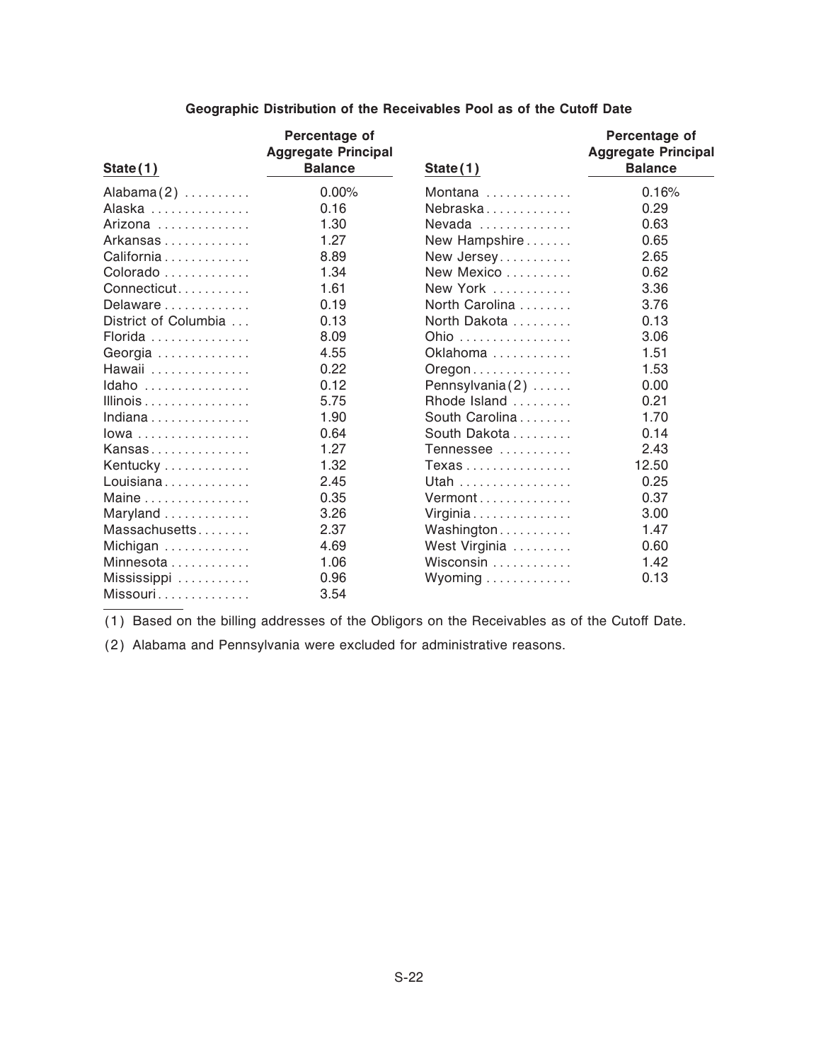| <u>State(1)</u>      | Percentage of<br><b>Aggregate Principal</b><br><b>Balance</b> | State(1)                                | Percentage of<br><b>Aggregate Principal</b><br><b>Balance</b> |
|----------------------|---------------------------------------------------------------|-----------------------------------------|---------------------------------------------------------------|
| Alabama $(2)$        | 0.00%                                                         | Montana                                 | 0.16%                                                         |
| Alaska               | 0.16                                                          | Nebraska                                | 0.29                                                          |
| Arizona              | 1.30                                                          | Nevada $\ldots$                         | 0.63                                                          |
| Arkansas             | 1.27                                                          | New Hampshire                           | 0.65                                                          |
| California           | 8.89                                                          | New Jersey                              | 2.65                                                          |
| Colorado             | 1.34                                                          | New Mexico                              | 0.62                                                          |
| Connecticut          | 1.61                                                          | New York                                | 3.36                                                          |
| Delaware             | 0.19                                                          | North Carolina                          | 3.76                                                          |
| District of Columbia | 0.13                                                          | North Dakota                            | 0.13                                                          |
| Florida              | 8.09                                                          | Ohio                                    | 3.06                                                          |
| Georgia              | 4.55                                                          | Oklahoma                                | 1.51                                                          |
| Hawaii               | 0.22                                                          | $O$ regon $\ldots \ldots \ldots \ldots$ | 1.53                                                          |
| Idaho                | 0.12                                                          | Pennsylvania $(2)$                      | 0.00                                                          |
| Illinois             | 5.75                                                          | Rhode Island                            | 0.21                                                          |
| Indiana              | 1.90                                                          | South Carolina                          | 1.70                                                          |
| $Iowa$               | 0.64                                                          | South Dakota                            | 0.14                                                          |
| Kansas               | 1.27                                                          | Tennessee                               | 2.43                                                          |
| Kentucky             | 1.32                                                          | Texas                                   | 12.50                                                         |
| Louisiana            | 2.45                                                          | Utah                                    | 0.25                                                          |
| Maine                | 0.35                                                          | Vermont                                 | 0.37                                                          |
| Maryland             | 3.26                                                          | Virginia                                | 3.00                                                          |
| Massachusetts        | 2.37                                                          | Washington                              | 1.47                                                          |
| Michigan             | 4.69                                                          | West Virginia                           | 0.60                                                          |
| Minnesota            | 1.06                                                          | Wisconsin                               | 1.42                                                          |
| Mississippi          | 0.96                                                          | Wyoming                                 | 0.13                                                          |
| Missouri             | 3.54                                                          |                                         |                                                               |

### **Geographic Distribution of the Receivables Pool as of the Cutoff Date**

(1) Based on the billing addresses of the Obligors on the Receivables as of the Cutoff Date.

(2) Alabama and Pennsylvania were excluded for administrative reasons.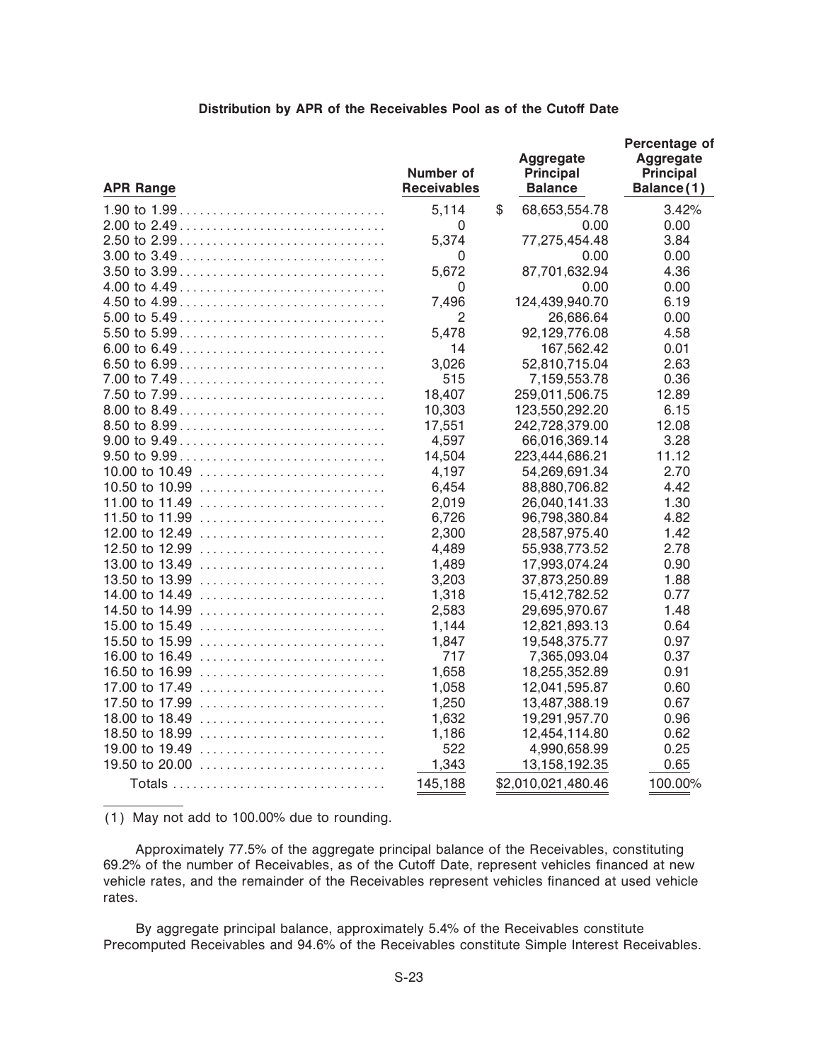#### **Distribution by APR of the Receivables Pool as of the Cutoff Date**

| <b>APR Range</b>                                                                | Number of<br><b>Receivables</b> | Aggregate<br><b>Principal</b><br><b>Balance</b> | Percentage of<br><b>Aggregate</b><br>Principal<br>Balance(1) |
|---------------------------------------------------------------------------------|---------------------------------|-------------------------------------------------|--------------------------------------------------------------|
|                                                                                 | 5,114                           | \$<br>68,653,554.78                             | 3.42%                                                        |
|                                                                                 | 0                               | 0.00                                            | 0.00                                                         |
|                                                                                 | 5,374                           | 77,275,454.48                                   | 3.84                                                         |
|                                                                                 | $\mathbf 0$                     | 0.00                                            | 0.00                                                         |
|                                                                                 | 5,672                           | 87,701,632.94                                   | 4.36                                                         |
|                                                                                 | $\mathbf 0$                     | 0.00                                            | 0.00                                                         |
|                                                                                 | 7,496                           | 124,439,940.70                                  | 6.19                                                         |
|                                                                                 | $\overline{2}$                  | 26,686.64                                       | 0.00                                                         |
|                                                                                 | 5,478                           | 92,129,776.08                                   | 4.58                                                         |
|                                                                                 | 14                              | 167,562.42                                      | 0.01                                                         |
|                                                                                 | 3,026                           | 52,810,715.04                                   | 2.63                                                         |
|                                                                                 | 515                             | 7,159,553.78                                    | 0.36                                                         |
|                                                                                 | 18,407                          | 259,011,506.75                                  | 12.89                                                        |
|                                                                                 | 10,303                          | 123,550,292.20                                  | 6.15                                                         |
|                                                                                 | 17,551                          | 242,728,379.00                                  | 12.08                                                        |
|                                                                                 | 4,597                           | 66,016,369.14                                   | 3.28                                                         |
|                                                                                 | 14,504                          | 223,444,686.21                                  | 11.12                                                        |
| 10.00 to 10.49                                                                  | 4,197                           | 54,269,691.34                                   | 2.70                                                         |
| 10.50 to 10.99 $\dots\dots\dots\dots\dots\dots\dots\dots\dots\dots\dots\dots$   | 6,454                           | 88,880,706.82                                   | 4.42                                                         |
|                                                                                 | 2,019                           | 26,040,141.33                                   | 1.30                                                         |
| 11.50 to 11.99 $\ldots \ldots \ldots \ldots \ldots \ldots \ldots \ldots \ldots$ | 6,726                           | 96,798,380.84                                   | 4.82                                                         |
| 12.00 to 12.49                                                                  | 2,300                           | 28,587,975.40                                   | 1.42                                                         |
|                                                                                 | 4,489                           | 55,938,773.52                                   | 2.78                                                         |
| 13.00 to 13.49                                                                  | 1,489                           | 17,993,074.24                                   | 0.90                                                         |
|                                                                                 | 3,203                           | 37,873,250.89                                   | 1.88                                                         |
|                                                                                 | 1,318                           | 15,412,782.52                                   | 0.77                                                         |
| 14.50 to 14.99                                                                  | 2,583                           | 29,695,970.67                                   | 1.48                                                         |
| 15.00 to 15.49                                                                  | 1,144                           | 12,821,893.13                                   | 0.64                                                         |
|                                                                                 | 1,847                           | 19,548,375.77                                   | 0.97                                                         |
| 16.00 to 16.49                                                                  | 717                             | 7,365,093.04                                    | 0.37                                                         |
| 16.50 to 16.99                                                                  | 1,658                           | 18,255,352.89                                   | 0.91                                                         |
| 17.00 to 17.49                                                                  | 1,058                           | 12,041,595.87                                   | 0.60                                                         |
|                                                                                 | 1,250                           | 13,487,388.19                                   | 0.67                                                         |
| 18.00 to 18.49                                                                  | 1,632                           | 19,291,957.70                                   | 0.96                                                         |
| 18.50 to 18.99                                                                  | 1,186                           | 12,454,114.80                                   | 0.62                                                         |
| 19.00 to 19.49                                                                  | 522                             | 4,990,658.99                                    | 0.25                                                         |
| 19.50 to 20.00 $\ldots \ldots \ldots \ldots \ldots \ldots \ldots \ldots \ldots$ | 1,343                           | 13,158,192.35                                   | 0.65                                                         |
|                                                                                 | 145,188                         | \$2,010,021,480.46                              | 100.00%                                                      |

(1) May not add to 100.00% due to rounding.

Approximately 77.5% of the aggregate principal balance of the Receivables, constituting 69.2% of the number of Receivables, as of the Cutoff Date, represent vehicles financed at new vehicle rates, and the remainder of the Receivables represent vehicles financed at used vehicle rates.

By aggregate principal balance, approximately 5.4% of the Receivables constitute Precomputed Receivables and 94.6% of the Receivables constitute Simple Interest Receivables.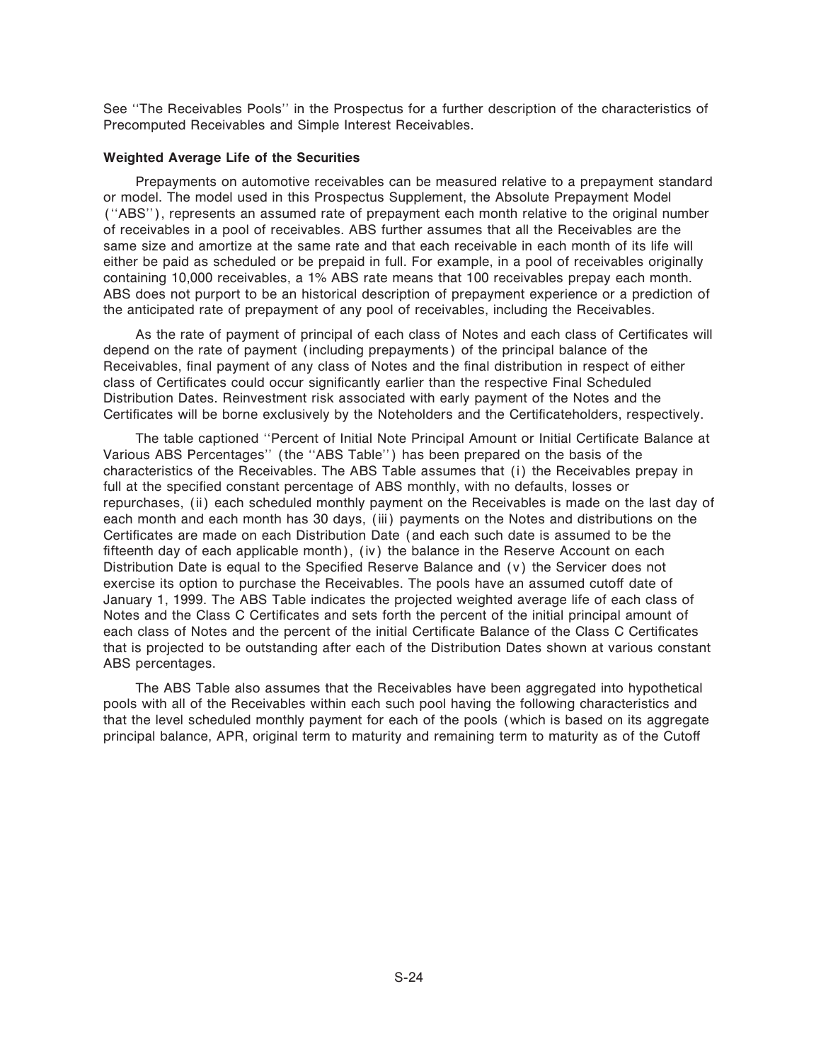See ""The Receivables Pools'' in the Prospectus for a further description of the characteristics of Precomputed Receivables and Simple Interest Receivables.

#### **Weighted Average Life of the Securities**

Prepayments on automotive receivables can be measured relative to a prepayment standard or model. The model used in this Prospectus Supplement, the Absolute Prepayment Model (""ABS''), represents an assumed rate of prepayment each month relative to the original number of receivables in a pool of receivables. ABS further assumes that all the Receivables are the same size and amortize at the same rate and that each receivable in each month of its life will either be paid as scheduled or be prepaid in full. For example, in a pool of receivables originally containing 10,000 receivables, a 1% ABS rate means that 100 receivables prepay each month. ABS does not purport to be an historical description of prepayment experience or a prediction of the anticipated rate of prepayment of any pool of receivables, including the Receivables.

As the rate of payment of principal of each class of Notes and each class of Certificates will depend on the rate of payment (including prepayments) of the principal balance of the Receivables, final payment of any class of Notes and the final distribution in respect of either class of Certificates could occur significantly earlier than the respective Final Scheduled Distribution Dates. Reinvestment risk associated with early payment of the Notes and the Certificates will be borne exclusively by the Noteholders and the Certificateholders, respectively.

The table captioned "Percent of Initial Note Principal Amount or Initial Certificate Balance at Various ABS Percentages" (the "ABS Table") has been prepared on the basis of the characteristics of the Receivables. The ABS Table assumes that (i) the Receivables prepay in full at the specified constant percentage of ABS monthly, with no defaults, losses or repurchases, (ii) each scheduled monthly payment on the Receivables is made on the last day of each month and each month has 30 days, (iii) payments on the Notes and distributions on the Certificates are made on each Distribution Date (and each such date is assumed to be the fifteenth day of each applicable month), (iv) the balance in the Reserve Account on each Distribution Date is equal to the Specified Reserve Balance and  $(v)$  the Servicer does not exercise its option to purchase the Receivables. The pools have an assumed cutoff date of January 1, 1999. The ABS Table indicates the projected weighted average life of each class of Notes and the Class C Certificates and sets forth the percent of the initial principal amount of each class of Notes and the percent of the initial Certificate Balance of the Class C Certificates that is projected to be outstanding after each of the Distribution Dates shown at various constant ABS percentages.

The ABS Table also assumes that the Receivables have been aggregated into hypothetical pools with all of the Receivables within each such pool having the following characteristics and that the level scheduled monthly payment for each of the pools (which is based on its aggregate principal balance, APR, original term to maturity and remaining term to maturity as of the Cutoff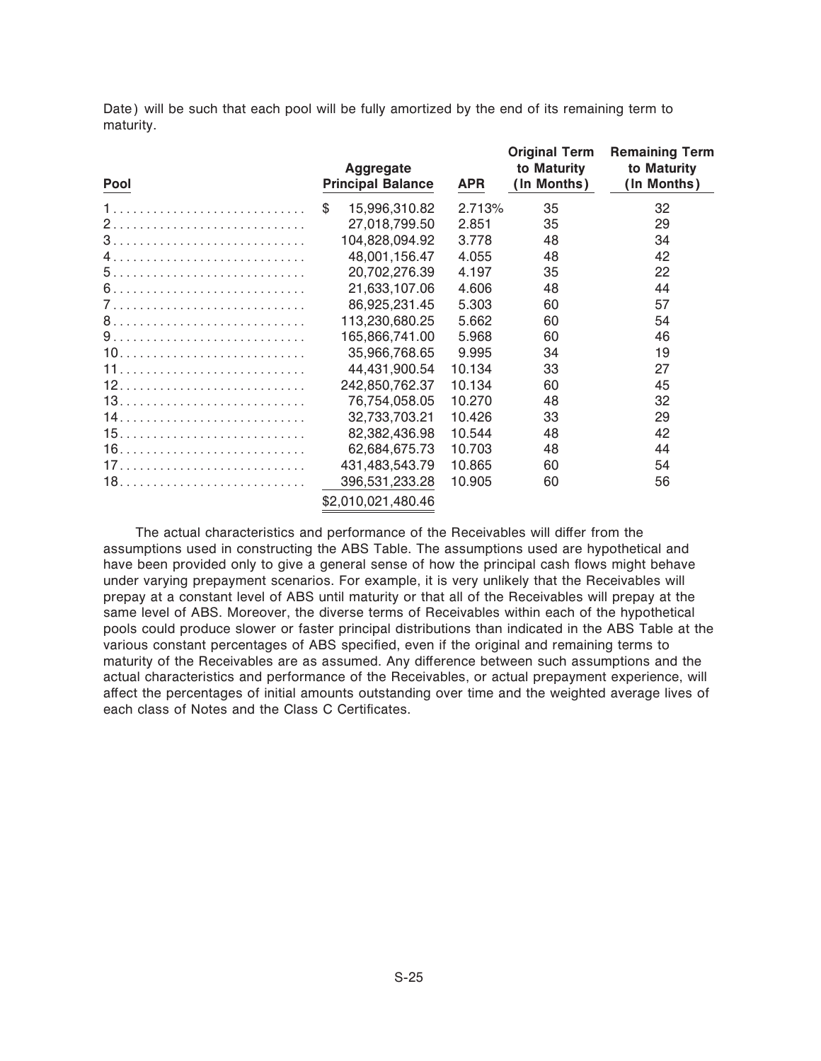Date) will be such that each pool will be fully amortized by the end of its remaining term to maturity.

| Pool | Aggregate<br><b>Principal Balance</b> | <b>APR</b> | <b>Original Term</b><br>to Maturity<br>(In Months) | <b>Remaining Term</b><br>to Maturity<br>(In Months) |
|------|---------------------------------------|------------|----------------------------------------------------|-----------------------------------------------------|
|      | \$<br>15,996,310.82                   | 2.713%     | 35                                                 | 32                                                  |
|      | 27,018,799.50                         | 2.851      | 35                                                 | 29                                                  |
|      | 104,828,094.92                        | 3.778      | 48                                                 | 34                                                  |
|      | 48,001,156.47                         | 4.055      | 48                                                 | 42                                                  |
|      | 20,702,276.39                         | 4.197      | 35                                                 | 22                                                  |
|      | 21,633,107.06                         | 4.606      | 48                                                 | 44                                                  |
|      | 86,925,231.45                         | 5.303      | 60                                                 | 57                                                  |
|      | 113,230,680.25                        | 5.662      | 60                                                 | 54                                                  |
|      | 165,866,741.00                        | 5.968      | 60                                                 | 46                                                  |
|      | 35,966,768.65                         | 9.995      | 34                                                 | 19                                                  |
|      | 44,431,900.54                         | 10.134     | 33                                                 | 27                                                  |
|      | 242,850,762.37                        | 10.134     | 60                                                 | 45                                                  |
|      | 76,754,058.05                         | 10.270     | 48                                                 | 32                                                  |
|      | 32,733,703.21                         | 10.426     | 33                                                 | 29                                                  |
|      | 82,382,436.98                         | 10.544     | 48                                                 | 42                                                  |
|      | 62,684,675.73                         | 10.703     | 48                                                 | 44                                                  |
|      | 431,483,543.79                        | 10.865     | 60                                                 | 54                                                  |
|      | 396,531,233.28                        | 10.905     | 60                                                 | 56                                                  |
|      | \$2,010,021,480.46                    |            |                                                    |                                                     |

The actual characteristics and performance of the Receivables will differ from the assumptions used in constructing the ABS Table. The assumptions used are hypothetical and have been provided only to give a general sense of how the principal cash flows might behave under varying prepayment scenarios. For example, it is very unlikely that the Receivables will prepay at a constant level of ABS until maturity or that all of the Receivables will prepay at the same level of ABS. Moreover, the diverse terms of Receivables within each of the hypothetical pools could produce slower or faster principal distributions than indicated in the ABS Table at the various constant percentages of ABS specified, even if the original and remaining terms to maturity of the Receivables are as assumed. Any difference between such assumptions and the actual characteristics and performance of the Receivables, or actual prepayment experience, will affect the percentages of initial amounts outstanding over time and the weighted average lives of each class of Notes and the Class C Certificates.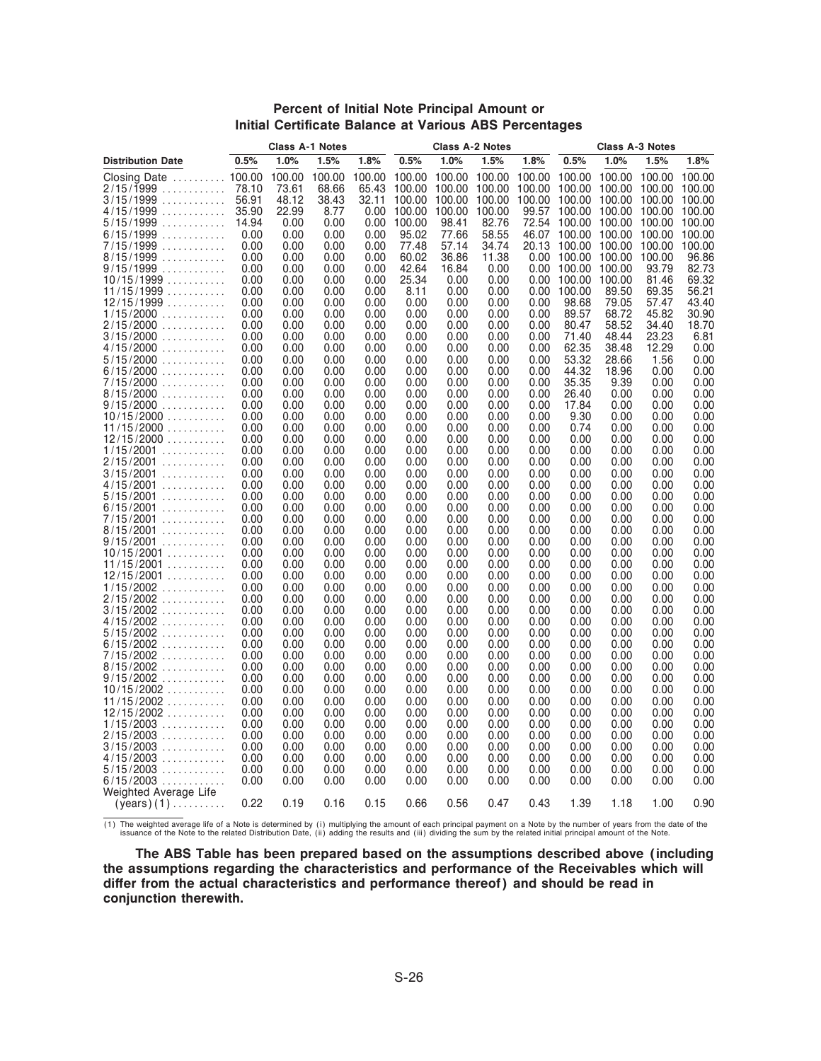#### **Percent of Initial Note Principal Amount or Initial Certificate Balance at Various ABS Percentages**

|                               |                | <b>Class A-1 Notes</b> |                |                | <b>Class A-2 Notes</b> |                      |                  |                  | <b>Class A-3 Notes</b> |                  |                  |                  |
|-------------------------------|----------------|------------------------|----------------|----------------|------------------------|----------------------|------------------|------------------|------------------------|------------------|------------------|------------------|
| <b>Distribution Date</b>      | 0.5%           | 1.0%                   | 1.5%           | 1.8%           | 0.5%                   | 1.0%                 | 1.5%             | 1.8%             | 0.5%                   | 1.0%             | 1.5%             | 1.8%             |
| <b>Closing Date</b><br>$[$    | 100.00         | 100.00                 | 100.00         | 100.00         |                        | 100.00 100.00 100.00 |                  | 100.00           | 100.00                 | 100.00           | 100.00 100.00    |                  |
| 2/15/1999<br>.<br>3/15/1999   | 78.10<br>56.91 | 73.61<br>48.12         | 68.66<br>38.43 | 65.43<br>32.11 | 100.00<br>100.00       | 100.00<br>100.00     | 100.00<br>100.00 | 100.00<br>100.00 | 100.00<br>100.00       | 100.00<br>100.00 | 100.00<br>100.00 | 100.00<br>100.00 |
| 4/15/1999                     | 35.90          | 22.99                  | 8.77           | 0.00           | 100.00                 | 100.00               | 100.00           | 99.57            | 100.00                 | 100.00           | 100.00 100.00    |                  |
| 5/15/1999                     | 14.94          | 0.00                   | 0.00           | 0.00           | 100.00                 | 98.41                | 82.76            | 72.54            | 100.00                 | 100.00           | 100.00           | 100.00           |
| 6/15/1999<br>.                | 0.00           | 0.00                   | 0.00           | 0.00           | 95.02                  | 77.66                | 58.55            | 46.07            | 100.00                 | 100.00           | 100.00           | 100.00           |
| 7/15/1999<br>8/15/1999        | 0.00<br>0.00   | 0.00<br>0.00           | 0.00<br>0.00   | 0.00<br>0.00   | 77.48<br>60.02         | 57.14<br>36.86       | 34.74<br>11.38   | 20.13            | 0.00 100.00 100.00     | 100.00 100.00    | 100.00<br>100.00 | 100.00<br>96.86  |
| 9/15/1999<br>.                | 0.00           | 0.00                   | 0.00           | 0.00           | 42.64                  | 16.84                | 0.00             | 0.00             | 100.00                 | 100.00           | 93.79            | 82.73            |
| 10/15/1999                    | 0.00           | 0.00                   | 0.00           | 0.00           | 25.34                  | 0.00                 | 0.00             | 0.00             | 100.00                 | 100.00           | 81.46            | 69.32            |
| 11/15/1999                    | 0.00           | 0.00                   | 0.00           | 0.00           | 8.11                   | 0.00                 | 0.00             | 0.00             | 100.00                 | 89.50            | 69.35            | 56.21            |
| 12/15/1999                    | 0.00<br>0.00   | 0.00<br>0.00           | 0.00<br>0.00   | 0.00<br>0.00   | 0.00<br>0.00           | 0.00<br>0.00         | 0.00<br>0.00     | 0.00<br>0.00     | 98.68<br>89.57         | 79.05<br>68.72   | 57.47<br>45.82   | 43.40<br>30.90   |
| 1/15/2000<br>2/15/2000        | 0.00           | 0.00                   | 0.00           | 0.00           | 0.00                   | 0.00                 | 0.00             | 0.00             | 80.47                  | 58.52            | 34.40            | 18.70            |
| 3/15/2000                     | 0.00           | 0.00                   | 0.00           | 0.00           | 0.00                   | 0.00                 | 0.00             | 0.00             | 71.40                  | 48.44            | 23.23            | 6.81             |
| 4/15/2000                     | 0.00           | 0.00                   | 0.00           | 0.00           | 0.00                   | 0.00                 | 0.00             | 0.00             | 62.35                  | 38.48            | 12.29            | 0.00             |
| $5/15/2000$                   | 0.00<br>0.00   | 0.00<br>0.00           | 0.00<br>0.00   | 0.00<br>0.00   | 0.00<br>0.00           | 0.00<br>0.00         | 0.00<br>0.00     | 0.00<br>0.00     | 53.32<br>44.32         | 28.66<br>18.96   | 1.56<br>0.00     | 0.00<br>0.00     |
| 6/15/2000<br>7/15/2000        | 0.00           | 0.00                   | 0.00           | 0.00           | 0.00                   | 0.00                 | 0.00             | 0.00             | 35.35                  | 9.39             | 0.00             | 0.00             |
| 8/15/2000                     | 0.00           | 0.00                   | 0.00           | 0.00           | 0.00                   | 0.00                 | 0.00             | 0.00             | 26.40                  | 0.00             | 0.00             | 0.00             |
| 9/15/2000<br>.                | 0.00           | 0.00                   | 0.00           | 0.00           | 0.00                   | 0.00                 | 0.00             | 0.00             | 17.84                  | 0.00             | 0.00             | 0.00             |
| $10/15/2000$                  | 0.00<br>0.00   | 0.00                   | 0.00           | 0.00           | 0.00                   | 0.00                 | 0.00             | 0.00             | 9.30<br>0.74           | 0.00             | 0.00             | 0.00             |
| 11/15/2000<br>12/15/2000      | 0.00           | 0.00<br>0.00           | 0.00<br>0.00   | 0.00<br>0.00   | 0.00<br>0.00           | 0.00<br>0.00         | 0.00<br>0.00     | 0.00<br>0.00     | 0.00                   | 0.00<br>0.00     | 0.00<br>0.00     | 0.00<br>0.00     |
| $1/15/2001$                   | 0.00           | 0.00                   | 0.00           | 0.00           | 0.00                   | 0.00                 | 0.00             | 0.00             | 0.00                   | 0.00             | 0.00             | 0.00             |
| 2/15/2001<br>.                | 0.00           | 0.00                   | 0.00           | 0.00           | 0.00                   | 0.00                 | 0.00             | 0.00             | 0.00                   | 0.00             | 0.00             | 0.00             |
| $3/15/2001$                   | 0.00           | 0.00                   | 0.00           | 0.00           | 0.00                   | 0.00                 | 0.00             | 0.00             | 0.00                   | 0.00             | 0.00             | 0.00             |
| 4/15/2001<br>.<br>$5/15/2001$ | 0.00<br>0.00   | 0.00<br>0.00           | 0.00<br>0.00   | 0.00<br>0.00   | 0.00<br>0.00           | 0.00<br>0.00         | 0.00<br>0.00     | 0.00<br>0.00     | 0.00<br>0.00           | 0.00<br>0.00     | 0.00<br>0.00     | 0.00<br>0.00     |
| $6/15/2001$                   | 0.00           | 0.00                   | 0.00           | 0.00           | 0.00                   | 0.00                 | 0.00             | 0.00             | 0.00                   | 0.00             | 0.00             | 0.00             |
| $7/15/2001$                   | 0.00           | 0.00                   | 0.00           | 0.00           | 0.00                   | 0.00                 | 0.00             | 0.00             | 0.00                   | 0.00             | 0.00             | 0.00             |
| $8/15/2001$                   | 0.00           | 0.00                   | 0.00           | 0.00           | 0.00                   | 0.00                 | 0.00             | 0.00             | 0.00                   | 0.00             | 0.00             | 0.00             |
| 9/15/2001<br>.<br>10/15/2001  | 0.00<br>0.00   | 0.00<br>0.00           | 0.00<br>0.00   | 0.00<br>0.00   | 0.00<br>0.00           | 0.00<br>0.00         | 0.00<br>0.00     | 0.00<br>0.00     | 0.00<br>0.00           | 0.00<br>0.00     | 0.00<br>0.00     | 0.00<br>0.00     |
| 11/15/2001                    | 0.00           | 0.00                   | 0.00           | 0.00           | 0.00                   | 0.00                 | 0.00             | 0.00             | 0.00                   | 0.00             | 0.00             | 0.00             |
| 12/15/2001                    | 0.00           | 0.00                   | 0.00           | 0.00           | 0.00                   | 0.00                 | 0.00             | 0.00             | 0.00                   | 0.00             | 0.00             | 0.00             |
| $1/15/2002$                   | 0.00           | 0.00                   | 0.00           | 0.00           | 0.00                   | 0.00                 | 0.00             | 0.00             | 0.00                   | 0.00             | 0.00             | 0.00             |
| $2/15/2002$<br>$3/15/2002$    | 0.00<br>0.00   | 0.00<br>0.00           | 0.00<br>0.00   | 0.00<br>0.00   | 0.00<br>0.00           | 0.00<br>0.00         | 0.00<br>0.00     | 0.00<br>0.00     | 0.00<br>0.00           | 0.00<br>0.00     | 0.00<br>0.00     | 0.00<br>0.00     |
| $4/15/2002$                   | 0.00           | 0.00                   | 0.00           | 0.00           | 0.00                   | 0.00                 | 0.00             | 0.00             | 0.00                   | 0.00             | 0.00             | 0.00             |
| $5/15/2002$                   | 0.00           | 0.00                   | 0.00           | 0.00           | 0.00                   | 0.00                 | 0.00             | 0.00             | 0.00                   | 0.00             | 0.00             | 0.00             |
| $6/15/2002$                   | 0.00           | 0.00<br>0.00           | 0.00<br>0.00   | 0.00<br>0.00   | 0.00<br>0.00           | 0.00<br>0.00         | 0.00<br>0.00     | 0.00<br>0.00     | 0.00<br>0.00           | 0.00<br>0.00     | 0.00<br>0.00     | 0.00<br>0.00     |
| 7/15/2002<br>$8/15/2002$      | 0.00<br>0.00   | 0.00                   | 0.00           | 0.00           | 0.00                   | 0.00                 | 0.00             | 0.00             | 0.00                   | 0.00             | 0.00             | 0.00             |
| $9/15/2002$                   | 0.00           | 0.00                   | 0.00           | 0.00           | 0.00                   | 0.00                 | 0.00             | 0.00             | 0.00                   | 0.00             | 0.00             | 0.00             |
| $10/15/2002$                  | 0.00           | 0.00                   | 0.00           | 0.00           | 0.00                   | 0.00                 | 0.00             | 0.00             | 0.00                   | 0.00             | 0.00             | 0.00             |
| 11/15/2002                    | 0.00           | 0.00                   | 0.00           | 0.00           | 0.00                   | 0.00                 | 0.00             | 0.00             | 0.00                   | 0.00             | 0.00             | 0.00             |
| 12/15/2002<br>$1/15/2003$     | 0.00<br>0.00   | 0.00<br>0.00           | 0.00<br>0.00   | 0.00<br>0.00   | 0.00<br>0.00           | 0.00<br>0.00         | 0.00<br>0.00     | 0.00<br>0.00     | 0.00<br>0.00           | 0.00<br>0.00     | 0.00<br>0.00     | 0.00<br>0.00     |
| $2/15/2003$                   | 0.00           | 0.00                   | 0.00           | 0.00           | 0.00                   | 0.00                 | 0.00             | 0.00             | 0.00                   | 0.00             | 0.00             | 0.00             |
| $3/15/2003$                   | 0.00           | 0.00                   | 0.00           | 0.00           | 0.00                   | 0.00                 | 0.00             | 0.00             | 0.00                   | 0.00             | 0.00             | 0.00             |
| $4/15/2003$                   | 0.00           | 0.00                   | 0.00           | 0.00           | 0.00                   | 0.00                 | 0.00             | 0.00             | 0.00                   | 0.00             | 0.00             | 0.00             |
| 5/15/2003<br>$6/15/2003$      | 0.00<br>0.00   | 0.00<br>0.00           | 0.00<br>0.00   | 0.00<br>0.00   | 0.00<br>0.00           | 0.00<br>0.00         | 0.00<br>0.00     | 0.00<br>0.00     | 0.00<br>0.00           | 0.00<br>0.00     | 0.00<br>0.00     | 0.00<br>0.00     |
| Weighted Average Life         |                |                        |                |                |                        |                      |                  |                  |                        |                  |                  |                  |
| $(years)$ (1)                 | 0.22           | 0.19                   | 0.16           | 0.15           | 0.66                   | 0.56                 | 0.47             | 0.43             | 1.39                   | 1.18             | 1.00             | 0.90             |

(1) The weighted average life of a Note is determined by (i) multiplying the amount of each principal payment on a Note by the number of years from the date of the<br>issuance of the Note to the related Distribution Date, (ii

**The ABS Table has been prepared based on the assumptions described above (including the assumptions regarding the characteristics and performance of the Receivables which will** differ from the actual characteristics and performance thereof) and should be read in **conjunction therewith.**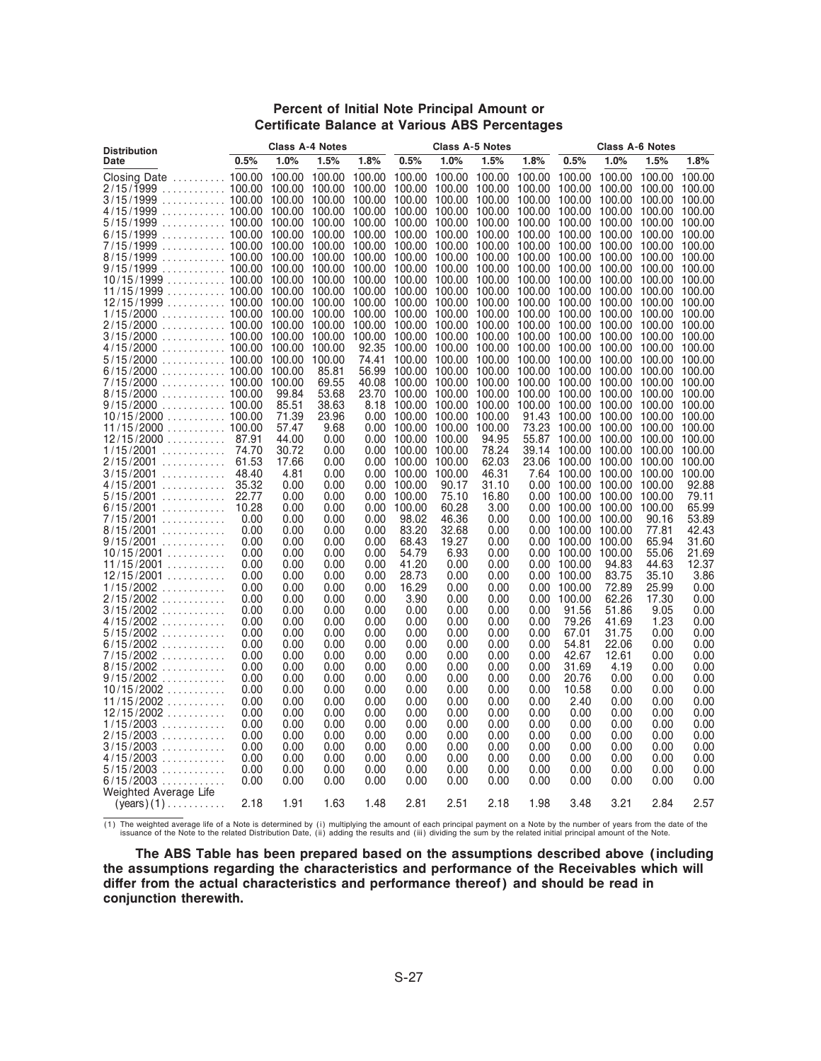#### **Percent of Initial Note Principal Amount or Certificate Balance at Various ABS Percentages**

| <b>Distribution</b>                                                                                                                                                                                       |               | <b>Class A-4 Notes</b> |                |                   |                    |                                                               | <b>Class A-5 Notes</b> |              |                                     |                           | <b>Class A-6 Notes</b>                                            |                |
|-----------------------------------------------------------------------------------------------------------------------------------------------------------------------------------------------------------|---------------|------------------------|----------------|-------------------|--------------------|---------------------------------------------------------------|------------------------|--------------|-------------------------------------|---------------------------|-------------------------------------------------------------------|----------------|
| Date                                                                                                                                                                                                      | 0.5%          | 1.0%                   | 1.5%           | 1.8%              | 0.5%               | 1.0%                                                          | 1.5%                   | 1.8%         | 0.5%                                | 1.0%                      | 1.5%                                                              | 1.8%           |
| Closing Date  100.00 100.00 100.00 100.00 100.00 100.00 100.00 100.00 100.00 100.00 100.00 100.00                                                                                                         |               |                        |                |                   |                    |                                                               |                        |              |                                     |                           |                                                                   |                |
|                                                                                                                                                                                                           |               |                        |                |                   |                    |                                                               |                        |              |                                     |                           | 100.00 100.00                                                     |                |
| 3/15/1999 100.00 100.00 100.00 100.00 100.00 100.00 100.00 100.00 100.00 100.00 100.00 100                                                                                                                |               |                        |                |                   |                    |                                                               |                        |              |                                     |                           |                                                                   |                |
| 4/15/1999 100.00 100.00 100.00 100.00 100.00 100.00 100.00 100.00 100.00 100.00 100.00 100.00                                                                                                             |               |                        |                |                   |                    |                                                               |                        |              |                                     |                           |                                                                   |                |
| $5/15/1999$ 100.00 100.00 100.00 100.00 100.00 100.00 100.00 100.00 100.00 100.00 100.00 100.00 100.00<br>$6/15/1999$ 100.00 100.00 100.00 100.00 100.00 100.00 100.00 100.00 100.00 100.00 100.00 100.00 |               |                        |                |                   |                    |                                                               |                        |              |                                     |                           |                                                                   |                |
| 7/15/1999 100.00 100.00 100.00 100.00 100.00 100.00 100.00 100.00 100.00 100.00 100.00 100.00                                                                                                             |               |                        |                |                   |                    |                                                               |                        |              |                                     |                           |                                                                   |                |
| 8/15/1999  100.00 100.00 100.00 100.00 100.00 100.00 100.00 100.00 100.00 100.00 100.00 100.00                                                                                                            |               |                        |                |                   |                    |                                                               |                        |              |                                     |                           |                                                                   |                |
| $9/15/1999$ 100.00 100.00 100.00 100.00 100.00 100.00 100.00 100.00 100.00 100.00 100.00 100.00 100.00                                                                                                    |               |                        |                |                   |                    |                                                               |                        |              |                                     |                           |                                                                   |                |
| $10/15/1999$ 100.00 100.00 100.00 100.00 100.00 100.00 100.00 100.00 100.00 100.00 100.00 100.00                                                                                                          |               |                        |                |                   |                    |                                                               |                        |              |                                     |                           |                                                                   |                |
| 11/15/1999  100.00 100.00 100.00 100.00 100.00 100.00 100.00 100.00 100.00 100.00 100.00 100.00                                                                                                           |               |                        |                |                   |                    |                                                               |                        |              |                                     |                           |                                                                   |                |
| 12/15/1999  100.00 100.00 100.00 100.00 100.00 100.00 100.00 100.00 100.00 100.00 100.00 100.00                                                                                                           |               |                        |                |                   |                    |                                                               |                        |              |                                     |                           |                                                                   |                |
| 1/15/2000  100.00 100.00 100.00 100.00 100.00 100.00 100.00 100.00 100.00 100.00 100.00 100.00<br>2/15/2000  100.00 100.00 100.00 100.00 100.00 100.00 100.00 100.00 100.00 100.00 100.00 100.00          |               |                        |                |                   |                    |                                                               |                        |              |                                     |                           |                                                                   |                |
| 3/15/2000  100.00 100.00 100.00 100.00 100.00 100.00 100.00 100.00 100.00 100.00 100.00 100.00                                                                                                            |               |                        |                |                   |                    |                                                               |                        |              |                                     |                           |                                                                   |                |
| $4/15/2000$ 100.00 100.00                                                                                                                                                                                 |               |                        | 100.00         | 92.35             |                    | 100.00 100.00 100.00 100.00 100.00 100.00 100.00 100.00       |                        |              |                                     |                           |                                                                   |                |
|                                                                                                                                                                                                           |               |                        | 100.00         | 74.41             |                    | 100.00 100.00 100.00 100.00 100.00 100.00                     |                        |              |                                     |                           | 100.00                                                            | 100.00         |
| $6/15/2000$ 100.00 100.00                                                                                                                                                                                 |               |                        | 85.81          | 56.99             |                    | 100.00 100.00 100.00 100.00 100.00 100.00 100.00 100.00       |                        |              |                                     |                           |                                                                   |                |
| 7/15/2000  100.00 100.00                                                                                                                                                                                  |               |                        | 69.55          |                   |                    | 40.08 100.00 100.00 100.00 100.00 100.00 100.00 100.00 100.00 |                        |              |                                     |                           |                                                                   |                |
|                                                                                                                                                                                                           |               | 99.84                  | 53.68          |                   |                    | 23.70 100.00 100.00 100.00 100.00 100.00 100.00 100.00 100.00 |                        |              |                                     |                           |                                                                   |                |
|                                                                                                                                                                                                           |               | 85.51<br>71.39         | 38.63<br>23.96 |                   |                    | 8.18 100.00 100.00 100.00                                     |                        | 91.43        |                                     |                           | 100.00 100.00 100.00 100.00 100.00<br>100.00 100.00 100.00 100.00 |                |
| $10/15/2000$ 100.00                                                                                                                                                                                       |               | 57.47                  | 9.68           |                   | 0.00 100.00 100.00 | 0.00 100.00 100.00 100.00                                     | 100.00                 |              |                                     |                           | 73.23 100.00 100.00 100.00 100.00                                 |                |
| 12/15/2000  87.91                                                                                                                                                                                         |               | 44.00                  | 0.00           | 0.00              | 100.00 100.00      |                                                               | 94.95                  | 55.87        |                                     |                           | 100.00 100.00 100.00 100.00                                       |                |
| $1/15/2001$                                                                                                                                                                                               | 74.70         | 30.72                  | 0.00           | 0.00 <sub>1</sub> | 100.00 100.00      |                                                               | 78.24                  | 39.14        |                                     | 100.00 100.00 100.00      |                                                                   | 100.00         |
| 2/15/2001                                                                                                                                                                                                 | 61.53         | 17.66                  | 0.00           |                   | 0.00 100.00 100.00 |                                                               | 62.03                  |              |                                     |                           | 23.06 100.00 100.00 100.00 100.00                                 |                |
| $3/15/2001$                                                                                                                                                                                               | 48.40         | 4.81                   | 0.00           |                   | 0.00 100.00 100.00 |                                                               | 46.31                  |              |                                     | 7.64 100.00 100.00 100.00 |                                                                   | 100.00         |
| 4/15/2001  35.32                                                                                                                                                                                          |               | 0.00                   | 0.00           | 0.00              | 100.00             | 90.17                                                         | 31.10                  | 0.00         |                                     | 100.00 100.00             | 100.00                                                            | 92.88          |
| $5/15/2001$                                                                                                                                                                                               | 22.77         | 0.00                   | 0.00           | 0.00              | 100.00             | 75.10                                                         | 16.80                  |              | 0.00 100.00 100.00                  |                           | 100.00                                                            | 79.11          |
| $6/15/2001$<br>7/15/2001                                                                                                                                                                                  | 10.28<br>0.00 | 0.00<br>0.00           | 0.00<br>0.00   | 0.00<br>0.00      | 100.00<br>98.02    | 60.28<br>46.36                                                | 3.00<br>0.00           | 0.00         | 0.00 100.00 100.00<br>100.00 100.00 |                           | 100.00<br>90.16                                                   | 65.99<br>53.89 |
| $8/15/2001$                                                                                                                                                                                               | 0.00          | 0.00                   | 0.00           | 0.00              | 83.20              | 32.68                                                         | 0.00                   | 0.00         | 100.00 100.00                       |                           | 77.81                                                             | 42.43          |
| $9/15/2001$                                                                                                                                                                                               | 0.00          | 0.00                   | 0.00           | 0.00              | 68.43              | 19.27                                                         | 0.00                   | 0.00         | 100.00                              | 100.00                    | 65.94                                                             | 31.60          |
| $10/15/2001$                                                                                                                                                                                              | 0.00          | 0.00                   | 0.00           | 0.00              | 54.79              | 6.93                                                          | 0.00                   |              | 0.00 100.00 100.00                  |                           | 55.06                                                             | 21.69          |
| 11/15/2001                                                                                                                                                                                                | 0.00          | 0.00                   | 0.00           | 0.00              | 41.20              | 0.00                                                          | 0.00                   | 0.00         | 100.00                              | 94.83                     | 44.63                                                             | 12.37          |
| $12/15/2001$                                                                                                                                                                                              | 0.00          | 0.00                   | 0.00           | 0.00              | 28.73              | 0.00                                                          | 0.00                   | 0.00         | 100.00                              | 83.75                     | 35.10                                                             | 3.86           |
| $1/15/2002$                                                                                                                                                                                               | 0.00<br>0.00  | 0.00                   | 0.00           | 0.00              | 16.29              | 0.00                                                          | 0.00                   | 0.00         | 100.00                              | 72.89                     | 25.99<br>17.30                                                    | 0.00<br>0.00   |
| $2/15/2002$<br>$3/15/2002$                                                                                                                                                                                | 0.00          | 0.00<br>0.00           | 0.00<br>0.00   | 0.00<br>0.00      | 3.90<br>0.00       | 0.00<br>0.00                                                  | 0.00<br>0.00           | 0.00         | 0.00 100.00<br>91.56                | 62.26<br>51.86            | 9.05                                                              | 0.00           |
| $4/15/2002$                                                                                                                                                                                               | 0.00          | 0.00                   | 0.00           | 0.00              | 0.00               | 0.00                                                          | 0.00                   | 0.00         | 79.26                               | 41.69                     | 1.23                                                              | 0.00           |
| $5/15/2002$                                                                                                                                                                                               | 0.00          | 0.00                   | 0.00           | 0.00              | 0.00               | 0.00                                                          | 0.00                   | 0.00         | 67.01                               | 31.75                     | 0.00                                                              | 0.00           |
| $6/15/2002$                                                                                                                                                                                               | 0.00          | 0.00                   | 0.00           | 0.00              | 0.00               | 0.00                                                          | 0.00                   | 0.00         | 54.81                               | 22.06                     | 0.00                                                              | 0.00           |
| 7/15/2002                                                                                                                                                                                                 | 0.00          | 0.00                   | 0.00           | 0.00              | 0.00               | 0.00                                                          | 0.00                   | 0.00         | 42.67                               | 12.61                     | 0.00                                                              | 0.00           |
| $8/15/2002$                                                                                                                                                                                               | 0.00          | 0.00                   | 0.00           | 0.00              | 0.00               | 0.00                                                          | 0.00                   | 0.00         | 31.69                               | 4.19                      | 0.00                                                              | 0.00           |
| $9/15/2002$                                                                                                                                                                                               | 0.00          | 0.00<br>0.00           | 0.00<br>0.00   | 0.00<br>0.00      | 0.00<br>0.00       | 0.00<br>0.00                                                  | 0.00<br>0.00           | 0.00<br>0.00 | 20.76<br>10.58                      | 0.00                      | 0.00<br>0.00                                                      | 0.00<br>0.00   |
| 10/15/2002<br>11/15/2002                                                                                                                                                                                  | 0.00<br>0.00  | 0.00                   | 0.00           | 0.00              | 0.00               | 0.00                                                          | 0.00                   | 0.00         | 2.40                                | 0.00<br>0.00              | 0.00                                                              | 0.00           |
| 12/15/2002                                                                                                                                                                                                | 0.00          | 0.00                   | 0.00           | 0.00              | 0.00               | 0.00                                                          | 0.00                   | 0.00         | 0.00                                | 0.00                      | 0.00                                                              | 0.00           |
| 1/15/2003                                                                                                                                                                                                 | 0.00          | 0.00                   | 0.00           | 0.00              | 0.00               | 0.00                                                          | 0.00                   | 0.00         | 0.00                                | 0.00                      | 0.00                                                              | 0.00           |
| $2/15/2003$                                                                                                                                                                                               | 0.00          | 0.00                   | 0.00           | 0.00              | 0.00               | 0.00                                                          | 0.00                   | 0.00         | 0.00                                | 0.00                      | 0.00                                                              | 0.00           |
| $3/15/2003$                                                                                                                                                                                               | 0.00          | 0.00                   | 0.00           | 0.00              | 0.00               | 0.00                                                          | 0.00                   | 0.00         | 0.00                                | 0.00                      | 0.00                                                              | 0.00           |
| $4/15/2003$                                                                                                                                                                                               | 0.00          | 0.00                   | 0.00           | 0.00              | 0.00               | 0.00                                                          | 0.00                   | 0.00         | 0.00                                | 0.00                      | 0.00                                                              | 0.00           |
| 5/15/2003                                                                                                                                                                                                 | 0.00          | 0.00                   | 0.00           | 0.00              | 0.00               | 0.00                                                          | 0.00                   | 0.00         | 0.00                                | 0.00                      | 0.00                                                              | 0.00           |
| $6/15/2003$<br>Weighted Average Life                                                                                                                                                                      | 0.00          | 0.00                   | 0.00           | 0.00              | 0.00               | 0.00                                                          | 0.00                   | 0.00         | 0.00                                | 0.00                      | 0.00                                                              | 0.00           |
| $(years)$ (1)                                                                                                                                                                                             | 2.18          | 1.91                   | 1.63           | 1.48              | 2.81               | 2.51                                                          | 2.18                   | 1.98         | 3.48                                | 3.21                      | 2.84                                                              | 2.57           |
|                                                                                                                                                                                                           |               |                        |                |                   |                    |                                                               |                        |              |                                     |                           |                                                                   |                |

(1) The weighted average life of a Note is determined by (i) multiplying the amount of each principal payment on a Note by the number of years from the date of the<br>issuance of the Note to the related Distribution Date, (ii

**The ABS Table has been prepared based on the assumptions described above (including the assumptions regarding the characteristics and performance of the Receivables which will** differ from the actual characteristics and performance thereof) and should be read in **conjunction therewith.**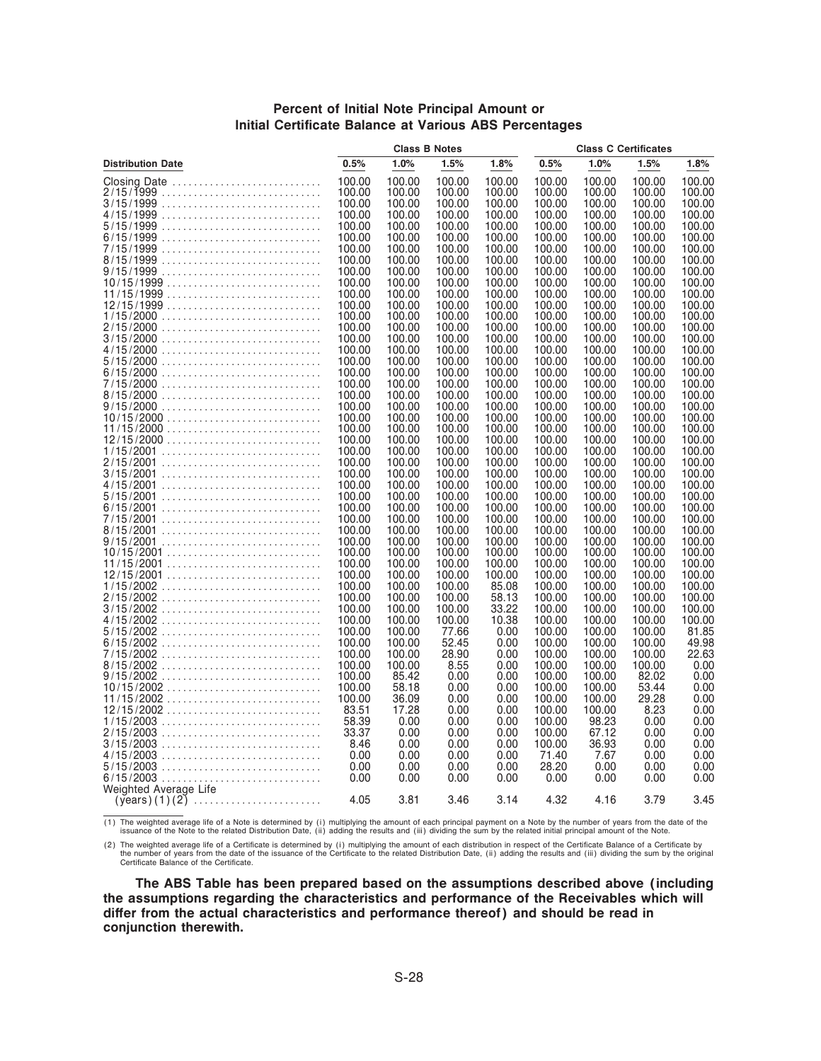#### **Percent of Initial Note Principal Amount or Initial Certificate Balance at Various ABS Percentages**

|                                                             |                  | <b>Class B Notes</b> |                  |                  |                  | <b>Class C Certificates</b> |                  |                  |
|-------------------------------------------------------------|------------------|----------------------|------------------|------------------|------------------|-----------------------------|------------------|------------------|
| <b>Distribution Date</b>                                    | 0.5%             | 1.0%                 | 1.5%             | 1.8%             | 0.5%             | 1.0%                        | 1.5%             | 1.8%             |
| Closing Date                                                | 100.00           | 100.00               | 100.00           | 100.00           | 100.00           | 100.00                      | 100.00           | 100.00           |
| 2/15/1̃999                                                  | 100.00           | 100.00               | 100.00           | 100.00           | 100.00           | 100.00                      | 100.00           | 100.00           |
|                                                             | 100.00           | 100.00               | 100.00           | 100.00           | 100.00           | 100.00                      | 100.00           | 100.00           |
|                                                             | 100.00           | 100.00               | 100.00           | 100.00           | 100.00           | 100.00                      | 100.00           | 100.00           |
|                                                             | 100.00           | 100.00               | 100.00           | 100.00           | 100.00           | 100.00                      | 100.00           | 100.00           |
|                                                             | 100.00           | 100.00               | 100.00<br>100.00 | 100.00           | 100.00           | 100.00                      | 100.00           | 100.00           |
|                                                             | 100.00<br>100.00 | 100.00<br>100.00     | 100.00           | 100.00<br>100.00 | 100.00<br>100.00 | 100.00<br>100.00            | 100.00<br>100.00 | 100.00<br>100.00 |
|                                                             | 100.00           | 100.00               | 100.00           | 100.00           | 100.00           | 100.00                      | 100.00           | 100.00           |
| $10/15/1999$                                                | 100.00           | 100.00               | 100.00           | 100.00           | 100.00           | 100.00                      | 100.00           | 100.00           |
| $11/15/1999$                                                | 100.00           | 100.00               | 100.00           | 100.00           | 100.00           | 100.00                      | 100.00           | 100.00           |
| $12/15/1999$                                                | 100.00           | 100.00               | 100.00           | 100.00           | 100.00           | 100.00                      | 100.00           | 100.00           |
|                                                             | 100.00           | 100.00               | 100.00           | 100.00           | 100.00           | 100.00                      | 100.00           | 100.00           |
|                                                             | 100.00           | 100.00               | 100.00           | 100.00           | 100.00           | 100.00                      | 100.00           | 100.00           |
|                                                             | 100.00           | 100.00               | 100.00           | 100.00           | 100.00           | 100.00                      | 100.00           | 100.00           |
|                                                             | 100.00           | 100.00               | 100.00           | 100.00           | 100.00           | 100.00                      | 100.00           | 100.00           |
|                                                             | 100.00           | 100.00               | 100.00           | 100.00           | 100.00           | 100.00                      | 100.00           | 100.00           |
|                                                             | 100.00           | 100.00               | 100.00           | 100.00           | 100.00           | 100.00                      | 100.00           | 100.00           |
|                                                             | 100.00           | 100.00               | 100.00           | 100.00           | 100.00           | 100.00                      | 100.00           | 100.00           |
|                                                             | 100.00           | 100.00               | 100.00           | 100.00           | 100.00           | 100.00                      | 100.00           | 100.00           |
|                                                             | 100.00<br>100.00 | 100.00<br>100.00     | 100.00<br>100.00 | 100.00<br>100.00 | 100.00<br>100.00 | 100.00<br>100.00            | 100.00<br>100.00 | 100.00<br>100.00 |
|                                                             | 100.00           | 100.00               | 100.00           | 100.00           | 100.00           | 100.00                      | 100.00           | 100.00           |
| $12/15/2000$                                                | 100.00           | 100.00               | 100.00           | 100.00           | 100.00           | 100.00                      | 100.00           | 100.00           |
|                                                             | 100.00           | 100.00               | 100.00           | 100.00           | 100.00           | 100.00                      | 100.00           | 100.00           |
|                                                             | 100.00           | 100.00               | 100.00           | 100.00           | 100.00           | 100.00                      | 100.00           | 100.00           |
|                                                             | 100.00           | 100.00               | 100.00           | 100.00           | 100.00           | 100.00                      | 100.00           | 100.00           |
|                                                             | 100.00           | 100.00               | 100.00           | 100.00           | 100.00           | 100.00                      | 100.00           | 100.00           |
|                                                             | 100.00           | 100.00               | 100.00           | 100.00           | 100.00           | 100.00                      | 100.00           | 100.00           |
|                                                             | 100.00           | 100.00               | 100.00           | 100.00           | 100.00           | 100.00                      | 100.00           | 100.00           |
|                                                             | 100.00           | 100.00               | 100.00           | 100.00           | 100.00           | 100.00                      | 100.00           | 100.00           |
|                                                             | 100.00           | 100.00               | 100.00           | 100.00           | 100.00           | 100.00                      | 100.00           | 100.00           |
|                                                             | 100.00           | 100.00               | 100.00           | 100.00           | 100.00           | 100.00                      | 100.00           | 100.00           |
| 10/15/2001<br>$11/15/2001$                                  | 100.00<br>100.00 | 100.00<br>100.00     | 100.00<br>100.00 | 100.00<br>100.00 | 100.00<br>100.00 | 100.00<br>100.00            | 100.00<br>100.00 | 100.00<br>100.00 |
|                                                             | 100.00           | 100.00               | 100.00           | 100.00           | 100.00           | 100.00                      | 100.00           | 100.00           |
| $1/15/2002$                                                 | 100.00           | 100.00               | 100.00           | 85.08            | 100.00           | 100.00                      | 100.00           | 100.00           |
|                                                             | 100.00           | 100.00               | 100.00           | 58.13            | 100.00           | 100.00                      | 100.00           | 100.00           |
| $3/15/2002$                                                 | 100.00           | 100.00               | 100.00           | 33.22            | 100.00           | 100.00                      | 100.00           | 100.00           |
|                                                             | 100.00           | 100.00               | 100.00           | 10.38            | 100.00           | 100.00                      | 100.00           | 100.00           |
|                                                             | 100.00           | 100.00               | 77.66            | 0.00             | 100.00           | 100.00                      | 100.00           | 81.85            |
|                                                             | 100.00           | 100.00               | 52.45            | 0.00             | 100.00           | 100.00                      | 100.00           | 49.98            |
|                                                             | 100.00           | 100.00               | 28.90            | 0.00             | 100.00           | 100.00                      | 100.00           | 22.63            |
|                                                             | 100.00           | 100.00               | 8.55             | 0.00             | 100.00           | 100.00                      | 100.00           | 0.00             |
|                                                             | 100.00           | 85.42                | 0.00             | 0.00             | 100.00           | 100.00                      | 82.02            | 0.00             |
| $10/15/2002$                                                | 100.00<br>100.00 | 58.18<br>36.09       | 0.00<br>0.00     | 0.00<br>0.00     | 100.00<br>100.00 | 100.00<br>100.00            | 53.44<br>29.28   | 0.00<br>0.00     |
| $11/15/2002$<br>$12/15/2002$                                | 83.51            | 17.28                | 0.00             | 0.00             | 100.00           | 100.00                      | 8.23             | 0.00             |
| $1/15/2003$                                                 | 58.39            | 0.00                 | 0.00             | 0.00             | 100.00           | 98.23                       | 0.00             | 0.00             |
|                                                             | 33.37            | 0.00                 | 0.00             | 0.00             | 100.00           | 67.12                       | 0.00             | 0.00             |
|                                                             | 8.46             | 0.00                 | 0.00             | 0.00             | 100.00           | 36.93                       | 0.00             | 0.00             |
|                                                             | 0.00             | 0.00                 | 0.00             | 0.00             | 71.40            | 7.67                        | 0.00             | 0.00             |
| $5/15/2003$                                                 | 0.00             | 0.00                 | 0.00             | 0.00             | 28.20            | 0.00                        | 0.00             | 0.00             |
|                                                             | 0.00             | 0.00                 | 0.00             | 0.00             | 0.00             | 0.00                        | 0.00             | 0.00             |
| Weighted Average Life                                       |                  |                      |                  |                  |                  |                             |                  |                  |
| $(years) (1) (2) \dots \dots \dots \dots \dots \dots \dots$ | 4.05             | 3.81                 | 3.46             | 3.14             | 4.32             | 4.16                        | 3.79             | 3.45             |

1) The weighted average life of a Note is determined by (i) multiplying the amount of each principal payment on a Note by the number of years from the date of the<br>issuance of the Note to the related Distribution Date, (ii)

(2) The weighted average life of a Certificate is determined by (i) multiplying the amount of each distribution in respect of the Certificate Balance of a Certificate by<br>the number of years from the date of the issuance of

**The ABS Table has been prepared based on the assumptions described above (including the assumptions regarding the characteristics and performance of the Receivables which will** differ from the actual characteristics and performance thereof) and should be read in **conjunction therewith.**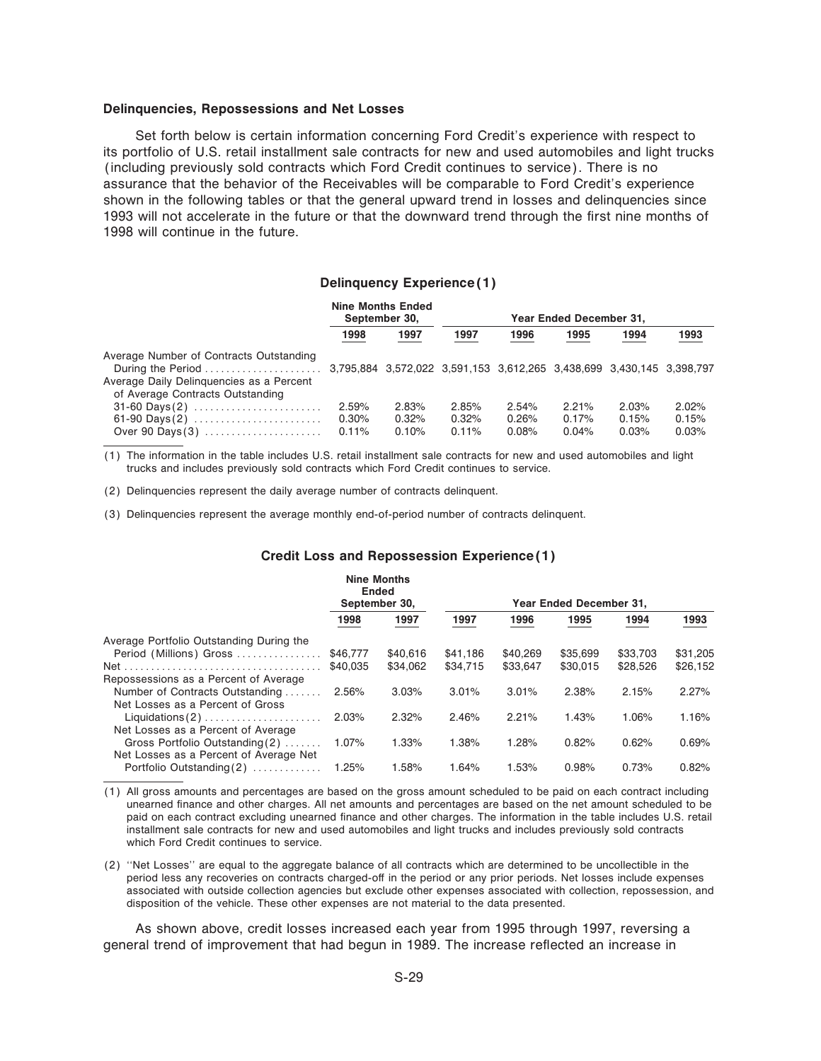#### **Delinquencies, Repossessions and Net Losses**

Set forth below is certain information concerning Ford Credit's experience with respect to its portfolio of U.S. retail installment sale contracts for new and used automobiles and light trucks (including previously sold contracts which Ford Credit continues to service). There is no assurance that the behavior of the Receivables will be comparable to Ford Credit's experience shown in the following tables or that the general upward trend in losses and delinquencies since 1993 will not accelerate in the future or that the downward trend through the first nine months of 1998 will continue in the future.

#### **Delinquency Experience(1)**

|                                                                                                                         |                               | <b>Nine Months Ended</b><br>September 30, |                            |                         |                         | Year Ended December 31, |                         |  |
|-------------------------------------------------------------------------------------------------------------------------|-------------------------------|-------------------------------------------|----------------------------|-------------------------|-------------------------|-------------------------|-------------------------|--|
|                                                                                                                         | 1998                          | 1997                                      | 1997                       | 1996                    | 1995                    | 1994                    | 1993                    |  |
| Average Number of Contracts Outstanding<br>Average Daily Delinguencies as a Percent<br>of Average Contracts Outstanding |                               |                                           |                            |                         |                         |                         |                         |  |
| $31-60$ Days(2)<br>Over 90 Days $(3)$                                                                                   | 2.59%<br>$0.30\%$<br>$0.11\%$ | 2.83%<br>0.32%<br>0.10%                   | 2.85%<br>0.32%<br>$0.11\%$ | 2.54%<br>0.26%<br>0.08% | 2.21%<br>0.17%<br>0.04% | 2.03%<br>0.15%<br>0.03% | 2.02%<br>0.15%<br>0.03% |  |

(1) The information in the table includes U.S. retail installment sale contracts for new and used automobiles and light trucks and includes previously sold contracts which Ford Credit continues to service.

(2) Delinquencies represent the daily average number of contracts delinquent.

(3) Delinquencies represent the average monthly end-of-period number of contracts delinquent.

#### **Credit Loss and Repossession Experience(1)**

| Year Ended December 31, |
|-------------------------|
| 1993<br>1994            |
|                         |
| \$33,703<br>\$31.205    |
| \$26,152<br>\$28,526    |
|                         |
| 2.27%<br>2.15%          |
|                         |
| 1.06%<br>1.16%          |
|                         |
| 0.69%<br>0.62%          |
|                         |
| 0.82%<br>0.73%          |
|                         |

(1) All gross amounts and percentages are based on the gross amount scheduled to be paid on each contract including unearned finance and other charges. All net amounts and percentages are based on the net amount scheduled to be paid on each contract excluding unearned finance and other charges. The information in the table includes U.S. retail installment sale contracts for new and used automobiles and light trucks and includes previously sold contracts which Ford Credit continues to service.

(2) ""Net Losses'' are equal to the aggregate balance of all contracts which are determined to be uncollectible in the period less any recoveries on contracts charged-off in the period or any prior periods. Net losses include expenses associated with outside collection agencies but exclude other expenses associated with collection, repossession, and disposition of the vehicle. These other expenses are not material to the data presented.

As shown above, credit losses increased each year from 1995 through 1997, reversing a general trend of improvement that had begun in 1989. The increase reflected an increase in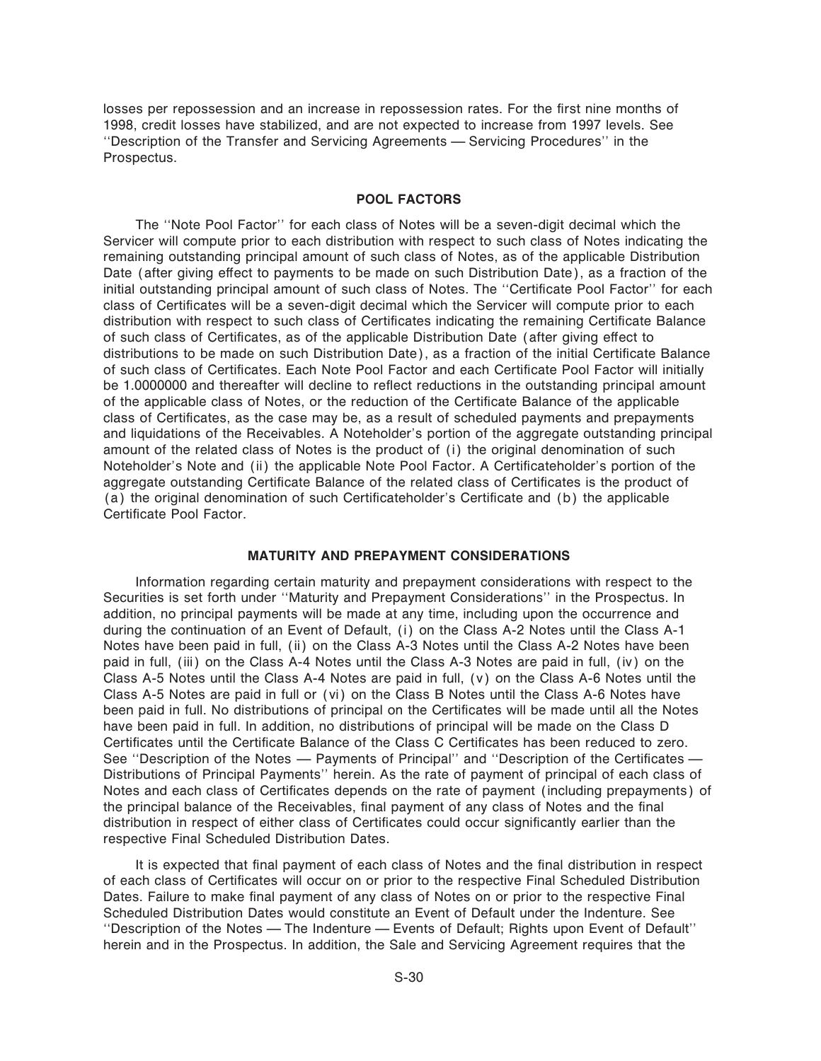losses per repossession and an increase in repossession rates. For the first nine months of 1998, credit losses have stabilized, and are not expected to increase from 1997 levels. See "Description of the Transfer and Servicing Agreements - Servicing Procedures" in the Prospectus.

### **POOL FACTORS**

The ""Note Pool Factor'' for each class of Notes will be a seven-digit decimal which the Servicer will compute prior to each distribution with respect to such class of Notes indicating the remaining outstanding principal amount of such class of Notes, as of the applicable Distribution Date (after giving effect to payments to be made on such Distribution Date), as a fraction of the initial outstanding principal amount of such class of Notes. The "Certificate Pool Factor" for each class of Certificates will be a seven-digit decimal which the Servicer will compute prior to each distribution with respect to such class of Certificates indicating the remaining Certificate Balance of such class of Certificates, as of the applicable Distribution Date (after giving effect to distributions to be made on such Distribution Date), as a fraction of the initial Certificate Balance of such class of Certificates. Each Note Pool Factor and each Certificate Pool Factor will initially be 1.0000000 and thereafter will decline to reflect reductions in the outstanding principal amount of the applicable class of Notes, or the reduction of the Certificate Balance of the applicable class of Certificates, as the case may be, as a result of scheduled payments and prepayments and liquidations of the Receivables. A Noteholder's portion of the aggregate outstanding principal amount of the related class of Notes is the product of (i) the original denomination of such Noteholder's Note and (ii) the applicable Note Pool Factor. A Certificateholder's portion of the aggregate outstanding Certificate Balance of the related class of Certificates is the product of (a) the original denomination of such Certificateholder's Certificate and (b) the applicable Certificate Pool Factor

#### **MATURITY AND PREPAYMENT CONSIDERATIONS**

Information regarding certain maturity and prepayment considerations with respect to the Securities is set forth under ""Maturity and Prepayment Considerations'' in the Prospectus. In addition, no principal payments will be made at any time, including upon the occurrence and during the continuation of an Event of Default, (i) on the Class A-2 Notes until the Class A-1 Notes have been paid in full, (ii) on the Class A-3 Notes until the Class A-2 Notes have been paid in full, (iii) on the Class A-4 Notes until the Class A-3 Notes are paid in full, (iv) on the Class A-5 Notes until the Class A-4 Notes are paid in full, (v) on the Class A-6 Notes until the Class A-5 Notes are paid in full or (vi) on the Class B Notes until the Class A-6 Notes have been paid in full. No distributions of principal on the Certificates will be made until all the Notes have been paid in full. In addition, no distributions of principal will be made on the Class D Certificates until the Certificate Balance of the Class C Certificates has been reduced to zero. See "Description of the Notes — Payments of Principal" and "Description of the Certificates — Distributions of Principal Payments'' herein. As the rate of payment of principal of each class of Notes and each class of Certificates depends on the rate of payment (including prepayments) of the principal balance of the Receivables, final payment of any class of Notes and the final distribution in respect of either class of Certificates could occur significantly earlier than the respective Final Scheduled Distribution Dates.

It is expected that final payment of each class of Notes and the final distribution in respect of each class of Certificates will occur on or prior to the respective Final Scheduled Distribution Dates. Failure to make final payment of any class of Notes on or prior to the respective Final Scheduled Distribution Dates would constitute an Event of Default under the Indenture. See "Description of the Notes - The Indenture - Events of Default; Rights upon Event of Default" herein and in the Prospectus. In addition, the Sale and Servicing Agreement requires that the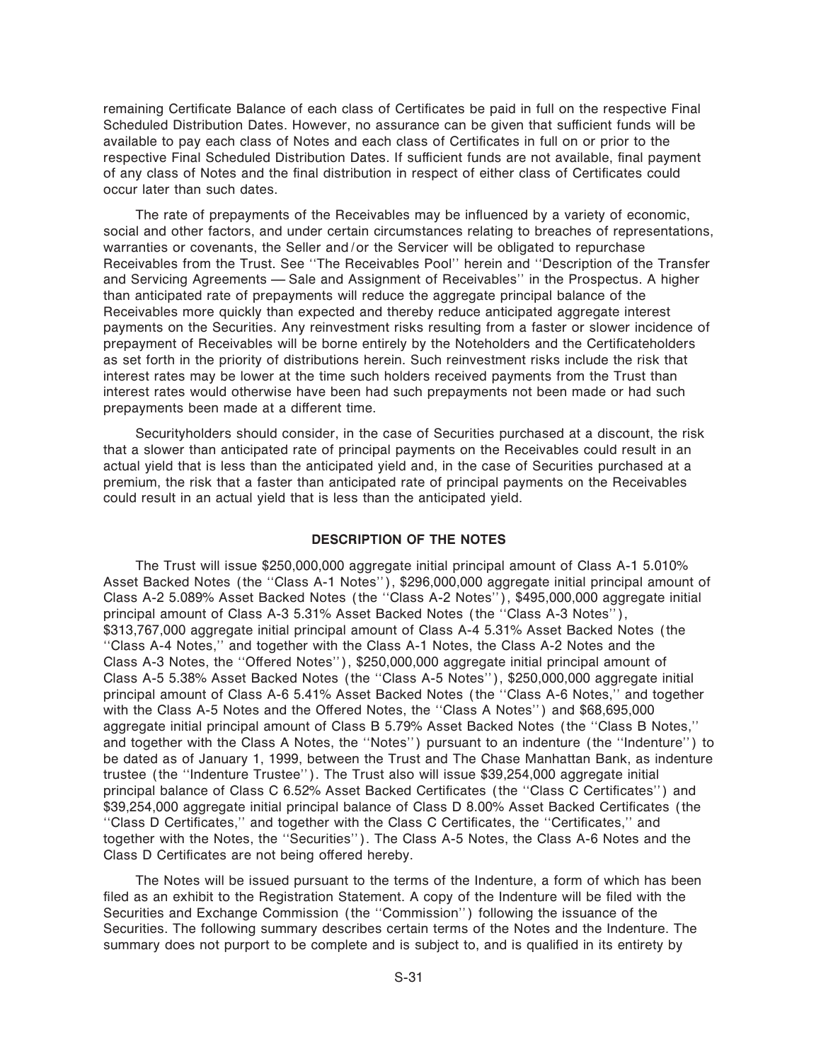remaining Certificate Balance of each class of Certificates be paid in full on the respective Final Scheduled Distribution Dates. However, no assurance can be given that sufficient funds will be available to pay each class of Notes and each class of Certificates in full on or prior to the respective Final Scheduled Distribution Dates. If sufficient funds are not available, final payment of any class of Notes and the final distribution in respect of either class of Certificates could occur later than such dates.

The rate of prepayments of the Receivables may be influenced by a variety of economic, social and other factors, and under certain circumstances relating to breaches of representations, warranties or covenants, the Seller and/or the Servicer will be obligated to repurchase Receivables from the Trust. See ""The Receivables Pool'' herein and ""Description of the Transfer and Servicing Agreements – Sale and Assignment of Receivables" in the Prospectus. A higher than anticipated rate of prepayments will reduce the aggregate principal balance of the Receivables more quickly than expected and thereby reduce anticipated aggregate interest payments on the Securities. Any reinvestment risks resulting from a faster or slower incidence of prepayment of Receivables will be borne entirely by the Noteholders and the Certificateholders as set forth in the priority of distributions herein. Such reinvestment risks include the risk that interest rates may be lower at the time such holders received payments from the Trust than interest rates would otherwise have been had such prepayments not been made or had such prepayments been made at a different time.

Securityholders should consider, in the case of Securities purchased at a discount, the risk that a slower than anticipated rate of principal payments on the Receivables could result in an actual yield that is less than the anticipated yield and, in the case of Securities purchased at a premium, the risk that a faster than anticipated rate of principal payments on the Receivables could result in an actual yield that is less than the anticipated yield.

#### **DESCRIPTION OF THE NOTES**

The Trust will issue \$250,000,000 aggregate initial principal amount of Class A-1 5.010% Asset Backed Notes (the "Class A-1 Notes"), \$296,000,000 aggregate initial principal amount of Class A-2 5.089% Asset Backed Notes (the ""Class A-2 Notes''), \$495,000,000 aggregate initial principal amount of Class A-3 5.31% Asset Backed Notes (the "Class A-3 Notes"), \$313,767,000 aggregate initial principal amount of Class A-4 5.31% Asset Backed Notes (the ""Class A-4 Notes,'' and together with the Class A-1 Notes, the Class A-2 Notes and the Class A-3 Notes, the "Offered Notes"), \$250,000,000 aggregate initial principal amount of Class A-5 5.38% Asset Backed Notes (the ""Class A-5 Notes''), \$250,000,000 aggregate initial principal amount of Class A-6 5.41% Asset Backed Notes (the ""Class A-6 Notes,'' and together with the Class A-5 Notes and the Offered Notes, the "Class A Notes") and \$68,695,000 aggregate initial principal amount of Class B 5.79% Asset Backed Notes (the ""Class B Notes,'' and together with the Class A Notes, the "Notes") pursuant to an indenture (the "Indenture") to be dated as of January 1, 1999, between the Trust and The Chase Manhattan Bank, as indenture trustee (the ""Indenture Trustee''). The Trust also will issue \$39,254,000 aggregate initial principal balance of Class C 6.52% Asset Backed Certificates (the "Class C Certificates") and \$39,254,000 aggregate initial principal balance of Class D 8.00% Asset Backed Certificates (the "Class D Certificates," and together with the Class C Certificates, the "Certificates," and together with the Notes, the ""Securities''). The Class A-5 Notes, the Class A-6 Notes and the Class D Certificates are not being offered hereby.

The Notes will be issued pursuant to the terms of the Indenture, a form of which has been filed as an exhibit to the Registration Statement. A copy of the Indenture will be filed with the Securities and Exchange Commission (the ""Commission'') following the issuance of the Securities. The following summary describes certain terms of the Notes and the Indenture. The summary does not purport to be complete and is subject to, and is qualified in its entirety by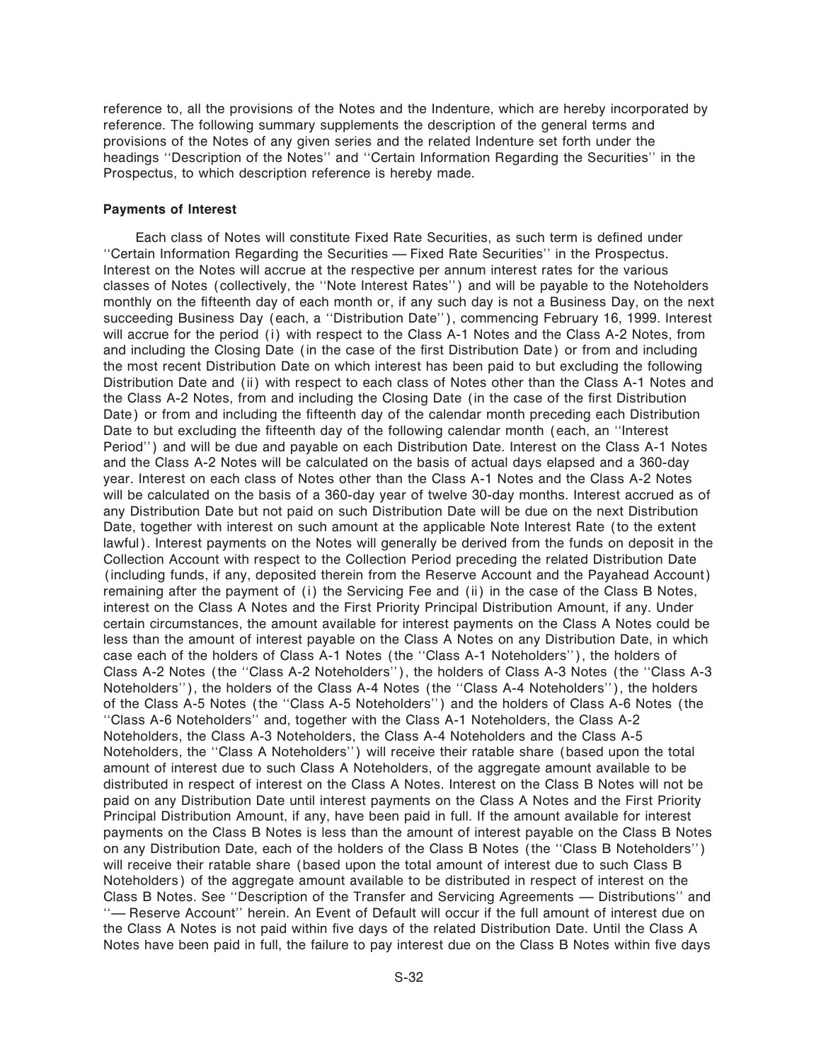reference to, all the provisions of the Notes and the Indenture, which are hereby incorporated by reference. The following summary supplements the description of the general terms and provisions of the Notes of any given series and the related Indenture set forth under the headings "Description of the Notes" and "Certain Information Regarding the Securities" in the Prospectus, to which description reference is hereby made.

#### **Payments of Interest**

Each class of Notes will constitute Fixed Rate Securities, as such term is defined under "Certain Information Regarding the Securities — Fixed Rate Securities" in the Prospectus. Interest on the Notes will accrue at the respective per annum interest rates for the various classes of Notes (collectively, the ""Note Interest Rates'') and will be payable to the Noteholders monthly on the fifteenth day of each month or, if any such day is not a Business Day, on the next succeeding Business Day (each, a "Distribution Date"), commencing February 16, 1999. Interest will accrue for the period (i) with respect to the Class A-1 Notes and the Class A-2 Notes, from and including the Closing Date (in the case of the first Distribution Date) or from and including the most recent Distribution Date on which interest has been paid to but excluding the following Distribution Date and (ii) with respect to each class of Notes other than the Class A-1 Notes and the Class A-2 Notes, from and including the Closing Date (in the case of the first Distribution Date) or from and including the fifteenth day of the calendar month preceding each Distribution Date to but excluding the fifteenth day of the following calendar month (each, an "Interest Period'') and will be due and payable on each Distribution Date. Interest on the Class A-1 Notes and the Class A-2 Notes will be calculated on the basis of actual days elapsed and a 360-day year. Interest on each class of Notes other than the Class A-1 Notes and the Class A-2 Notes will be calculated on the basis of a 360-day year of twelve 30-day months. Interest accrued as of any Distribution Date but not paid on such Distribution Date will be due on the next Distribution Date, together with interest on such amount at the applicable Note Interest Rate (to the extent lawful). Interest payments on the Notes will generally be derived from the funds on deposit in the Collection Account with respect to the Collection Period preceding the related Distribution Date (including funds, if any, deposited therein from the Reserve Account and the Payahead Account) remaining after the payment of (i) the Servicing Fee and (ii) in the case of the Class B Notes, interest on the Class A Notes and the First Priority Principal Distribution Amount, if any. Under certain circumstances, the amount available for interest payments on the Class A Notes could be less than the amount of interest payable on the Class A Notes on any Distribution Date, in which case each of the holders of Class A-1 Notes (the "Class A-1 Noteholders"), the holders of Class A-2 Notes (the "Class A-2 Noteholders"), the holders of Class A-3 Notes (the "Class A-3 Noteholders''), the holders of the Class A-4 Notes (the ""Class A-4 Noteholders''), the holders of the Class A-5 Notes (the ""Class A-5 Noteholders'') and the holders of Class A-6 Notes (the ""Class A-6 Noteholders'' and, together with the Class A-1 Noteholders, the Class A-2 Noteholders, the Class A-3 Noteholders, the Class A-4 Noteholders and the Class A-5 Noteholders, the "Class A Noteholders") will receive their ratable share (based upon the total amount of interest due to such Class A Noteholders, of the aggregate amount available to be distributed in respect of interest on the Class A Notes. Interest on the Class B Notes will not be paid on any Distribution Date until interest payments on the Class A Notes and the First Priority Principal Distribution Amount, if any, have been paid in full. If the amount available for interest payments on the Class B Notes is less than the amount of interest payable on the Class B Notes on any Distribution Date, each of the holders of the Class B Notes (the ""Class B Noteholders'') will receive their ratable share (based upon the total amount of interest due to such Class B Noteholders) of the aggregate amount available to be distributed in respect of interest on the Class B Notes. See "Description of the Transfer and Servicing Agreements — Distributions" and "- Reserve Account'' herein. An Event of Default will occur if the full amount of interest due on the Class A Notes is not paid within five days of the related Distribution Date. Until the Class A Notes have been paid in full, the failure to pay interest due on the Class B Notes within five days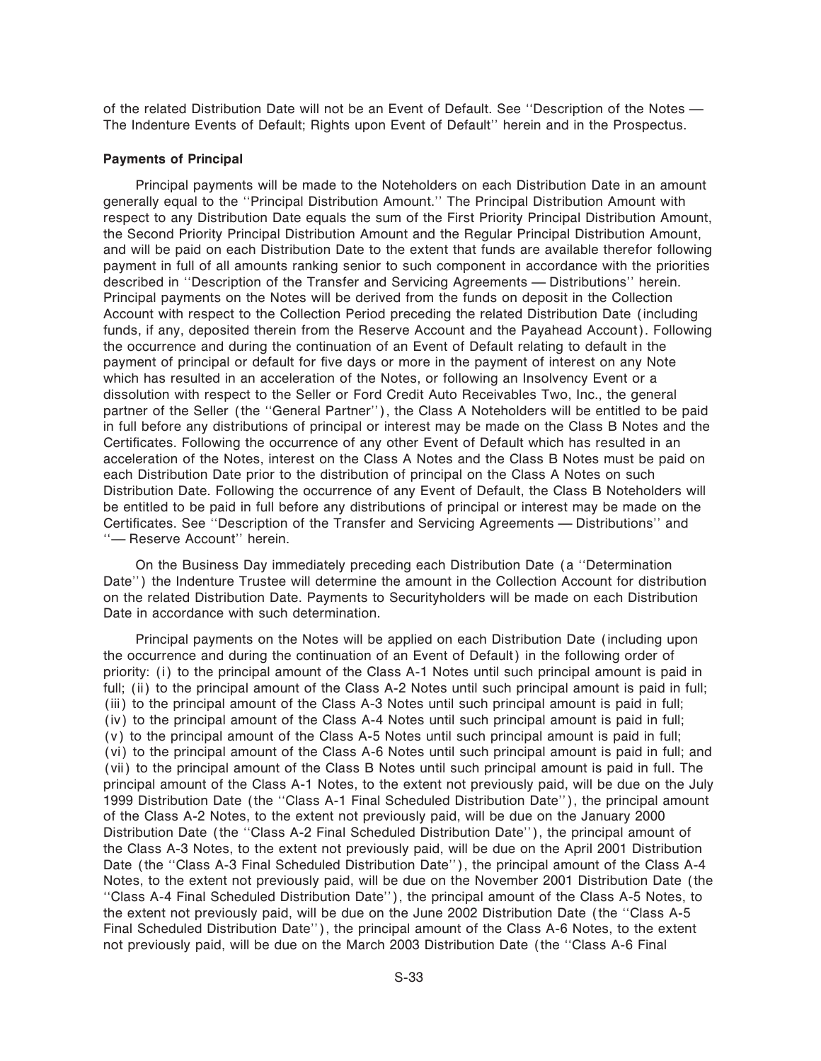of the related Distribution Date will not be an Event of Default. See "Description of the Notes -The Indenture Events of Default; Rights upon Event of Default'' herein and in the Prospectus.

#### **Payments of Principal**

Principal payments will be made to the Noteholders on each Distribution Date in an amount generally equal to the ""Principal Distribution Amount.'' The Principal Distribution Amount with respect to any Distribution Date equals the sum of the First Priority Principal Distribution Amount, the Second Priority Principal Distribution Amount and the Regular Principal Distribution Amount, and will be paid on each Distribution Date to the extent that funds are available therefor following payment in full of all amounts ranking senior to such component in accordance with the priorities described in "Description of the Transfer and Servicing Agreements — Distributions" herein. Principal payments on the Notes will be derived from the funds on deposit in the Collection Account with respect to the Collection Period preceding the related Distribution Date (including funds, if any, deposited therein from the Reserve Account and the Payahead Account). Following the occurrence and during the continuation of an Event of Default relating to default in the payment of principal or default for five days or more in the payment of interest on any Note which has resulted in an acceleration of the Notes, or following an Insolvency Event or a dissolution with respect to the Seller or Ford Credit Auto Receivables Two, Inc., the general partner of the Seller (the "General Partner"), the Class A Noteholders will be entitled to be paid in full before any distributions of principal or interest may be made on the Class B Notes and the Certificates. Following the occurrence of any other Event of Default which has resulted in an acceleration of the Notes, interest on the Class A Notes and the Class B Notes must be paid on each Distribution Date prior to the distribution of principal on the Class A Notes on such Distribution Date. Following the occurrence of any Event of Default, the Class B Noteholders will be entitled to be paid in full before any distributions of principal or interest may be made on the Certificates. See "Description of the Transfer and Servicing Agreements — Distributions" and "- Reserve Account" herein.

On the Business Day immediately preceding each Distribution Date (a ""Determination Date'') the Indenture Trustee will determine the amount in the Collection Account for distribution on the related Distribution Date. Payments to Securityholders will be made on each Distribution Date in accordance with such determination.

Principal payments on the Notes will be applied on each Distribution Date (including upon the occurrence and during the continuation of an Event of Default) in the following order of priority: (i) to the principal amount of the Class A-1 Notes until such principal amount is paid in full; (ii) to the principal amount of the Class A-2 Notes until such principal amount is paid in full; (iii) to the principal amount of the Class A-3 Notes until such principal amount is paid in full; (iv) to the principal amount of the Class A-4 Notes until such principal amount is paid in full; (v) to the principal amount of the Class A-5 Notes until such principal amount is paid in full; (vi) to the principal amount of the Class A-6 Notes until such principal amount is paid in full; and (vii) to the principal amount of the Class B Notes until such principal amount is paid in full. The principal amount of the Class A-1 Notes, to the extent not previously paid, will be due on the July 1999 Distribution Date (the "Class A-1 Final Scheduled Distribution Date"), the principal amount of the Class A-2 Notes, to the extent not previously paid, will be due on the January 2000 Distribution Date (the "Class A-2 Final Scheduled Distribution Date"), the principal amount of the Class A-3 Notes, to the extent not previously paid, will be due on the April 2001 Distribution Date (the "Class A-3 Final Scheduled Distribution Date"), the principal amount of the Class A-4 Notes, to the extent not previously paid, will be due on the November 2001 Distribution Date (the ""Class A-4 Final Scheduled Distribution Date''), the principal amount of the Class A-5 Notes, to the extent not previously paid, will be due on the June 2002 Distribution Date (the ""Class A-5 Final Scheduled Distribution Date''), the principal amount of the Class A-6 Notes, to the extent not previously paid, will be due on the March 2003 Distribution Date (the ""Class A-6 Final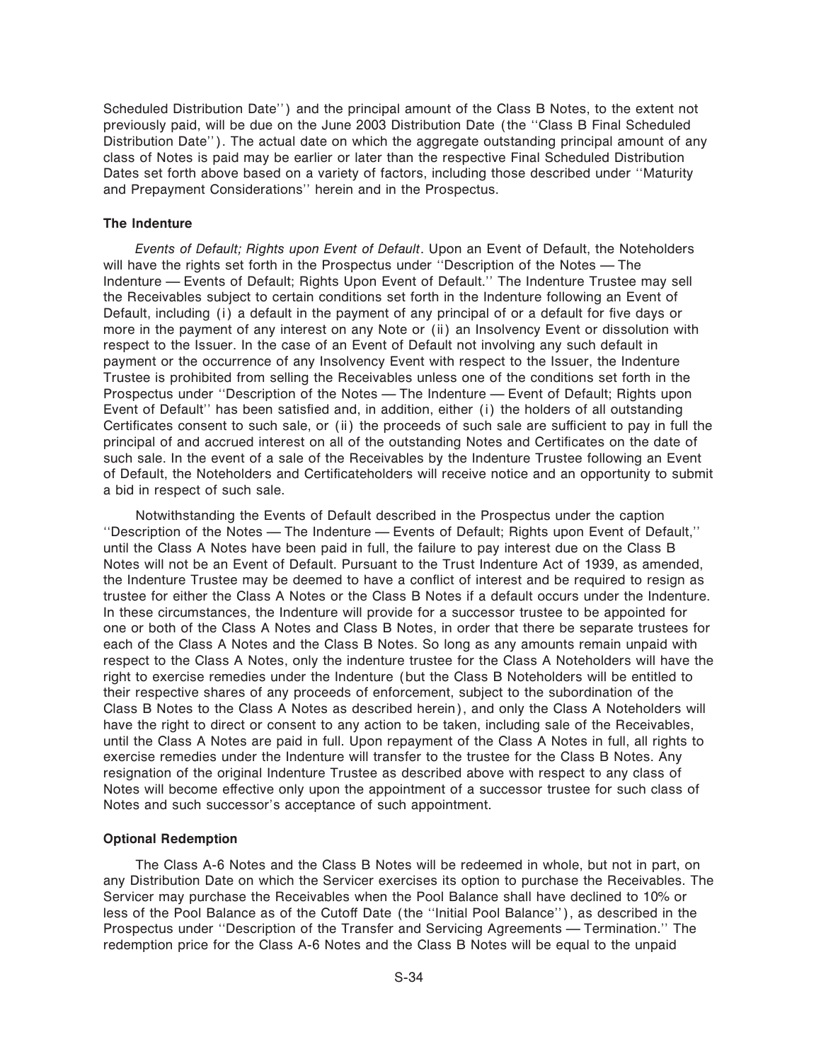Scheduled Distribution Date'') and the principal amount of the Class B Notes, to the extent not previously paid, will be due on the June 2003 Distribution Date (the ""Class B Final Scheduled Distribution Date''). The actual date on which the aggregate outstanding principal amount of any class of Notes is paid may be earlier or later than the respective Final Scheduled Distribution Dates set forth above based on a variety of factors, including those described under ""Maturity and Prepayment Considerations'' herein and in the Prospectus.

#### **The Indenture**

*Events of Default; Rights upon Event of Default*. Upon an Event of Default, the Noteholders will have the rights set forth in the Prospectus under "Description of the Notes - The Indenture — Events of Default; Rights Upon Event of Default." The Indenture Trustee may sell the Receivables subject to certain conditions set forth in the Indenture following an Event of Default, including (i) a default in the payment of any principal of or a default for five days or more in the payment of any interest on any Note or (ii) an Insolvency Event or dissolution with respect to the Issuer. In the case of an Event of Default not involving any such default in payment or the occurrence of any Insolvency Event with respect to the Issuer, the Indenture Trustee is prohibited from selling the Receivables unless one of the conditions set forth in the Prospectus under "Description of the Notes — The Indenture — Event of Default; Rights upon Event of Default" has been satisfied and, in addition, either (i) the holders of all outstanding Certificates consent to such sale, or (ii) the proceeds of such sale are sufficient to pay in full the principal of and accrued interest on all of the outstanding Notes and Certificates on the date of such sale. In the event of a sale of the Receivables by the Indenture Trustee following an Event of Default, the Noteholders and Certificateholders will receive notice and an opportunity to submit a bid in respect of such sale.

Notwithstanding the Events of Default described in the Prospectus under the caption "Description of the Notes — The Indenture — Events of Default; Rights upon Event of Default," until the Class A Notes have been paid in full, the failure to pay interest due on the Class B Notes will not be an Event of Default. Pursuant to the Trust Indenture Act of 1939, as amended, the Indenture Trustee may be deemed to have a conflict of interest and be required to resign as trustee for either the Class A Notes or the Class B Notes if a default occurs under the Indenture. In these circumstances, the Indenture will provide for a successor trustee to be appointed for one or both of the Class A Notes and Class B Notes, in order that there be separate trustees for each of the Class A Notes and the Class B Notes. So long as any amounts remain unpaid with respect to the Class A Notes, only the indenture trustee for the Class A Noteholders will have the right to exercise remedies under the Indenture (but the Class B Noteholders will be entitled to their respective shares of any proceeds of enforcement, subject to the subordination of the Class B Notes to the Class A Notes as described herein), and only the Class A Noteholders will have the right to direct or consent to any action to be taken, including sale of the Receivables, until the Class A Notes are paid in full. Upon repayment of the Class A Notes in full, all rights to exercise remedies under the Indenture will transfer to the trustee for the Class B Notes. Any resignation of the original Indenture Trustee as described above with respect to any class of Notes will become effective only upon the appointment of a successor trustee for such class of Notes and such successor's acceptance of such appointment.

#### **Optional Redemption**

The Class A-6 Notes and the Class B Notes will be redeemed in whole, but not in part, on any Distribution Date on which the Servicer exercises its option to purchase the Receivables. The Servicer may purchase the Receivables when the Pool Balance shall have declined to 10% or less of the Pool Balance as of the Cutoff Date (the "Initial Pool Balance"), as described in the Prospectus under "Description of the Transfer and Servicing Agreements — Termination." The redemption price for the Class A-6 Notes and the Class B Notes will be equal to the unpaid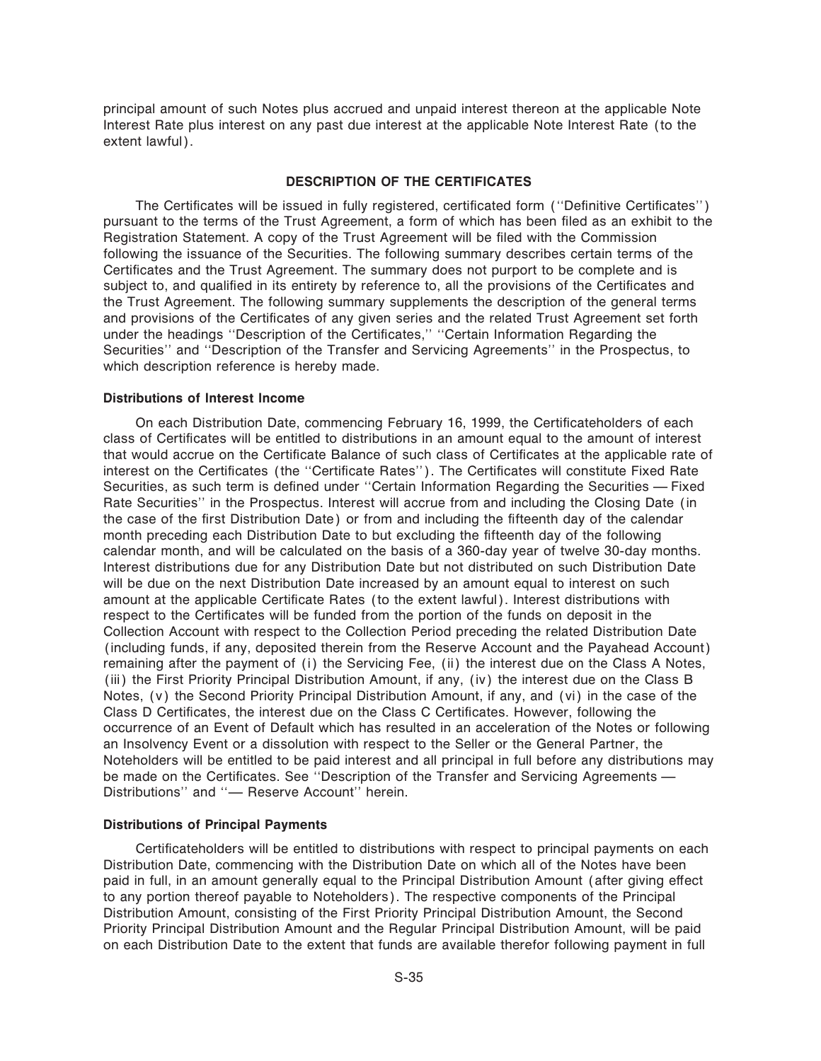principal amount of such Notes plus accrued and unpaid interest thereon at the applicable Note Interest Rate plus interest on any past due interest at the applicable Note Interest Rate (to the extent lawful).

#### **DESCRIPTION OF THE CERTIFICATES**

The Certificates will be issued in fully registered, certificated form ("Definitive Certificates") pursuant to the terms of the Trust Agreement, a form of which has been filed as an exhibit to the Registration Statement. A copy of the Trust Agreement will be filed with the Commission following the issuance of the Securities. The following summary describes certain terms of the Certificates and the Trust Agreement. The summary does not purport to be complete and is subject to, and qualified in its entirety by reference to, all the provisions of the Certificates and the Trust Agreement. The following summary supplements the description of the general terms and provisions of the Certificates of any given series and the related Trust Agreement set forth under the headings "Description of the Certificates," "Certain Information Regarding the Securities'' and ""Description of the Transfer and Servicing Agreements'' in the Prospectus, to which description reference is hereby made.

#### **Distributions of Interest Income**

On each Distribution Date, commencing February 16, 1999, the Certificateholders of each class of Certificates will be entitled to distributions in an amount equal to the amount of interest that would accrue on the Certificate Balance of such class of Certificates at the applicable rate of interest on the Certificates (the "Certificate Rates"). The Certificates will constitute Fixed Rate Securities, as such term is defined under "Certain Information Regarding the Securities - Fixed Rate Securities'' in the Prospectus. Interest will accrue from and including the Closing Date (in the case of the first Distribution Date) or from and including the fifteenth day of the calendar month preceding each Distribution Date to but excluding the fifteenth day of the following calendar month, and will be calculated on the basis of a 360-day year of twelve 30-day months. Interest distributions due for any Distribution Date but not distributed on such Distribution Date will be due on the next Distribution Date increased by an amount equal to interest on such amount at the applicable Certificate Rates (to the extent lawful). Interest distributions with respect to the Certificates will be funded from the portion of the funds on deposit in the Collection Account with respect to the Collection Period preceding the related Distribution Date (including funds, if any, deposited therein from the Reserve Account and the Payahead Account) remaining after the payment of (i) the Servicing Fee, (ii) the interest due on the Class A Notes, (iii) the First Priority Principal Distribution Amount, if any, (iv) the interest due on the Class B Notes, (v) the Second Priority Principal Distribution Amount, if any, and (vi) in the case of the Class D Certificates, the interest due on the Class C Certificates. However, following the occurrence of an Event of Default which has resulted in an acceleration of the Notes or following an Insolvency Event or a dissolution with respect to the Seller or the General Partner, the Noteholders will be entitled to be paid interest and all principal in full before any distributions may be made on the Certificates. See "Description of the Transfer and Servicing Agreements — Distributions" and "- Reserve Account" herein.

#### **Distributions of Principal Payments**

Certificateholders will be entitled to distributions with respect to principal payments on each Distribution Date, commencing with the Distribution Date on which all of the Notes have been paid in full, in an amount generally equal to the Principal Distribution Amount (after giving effect to any portion thereof payable to Noteholders). The respective components of the Principal Distribution Amount, consisting of the First Priority Principal Distribution Amount, the Second Priority Principal Distribution Amount and the Regular Principal Distribution Amount, will be paid on each Distribution Date to the extent that funds are available therefor following payment in full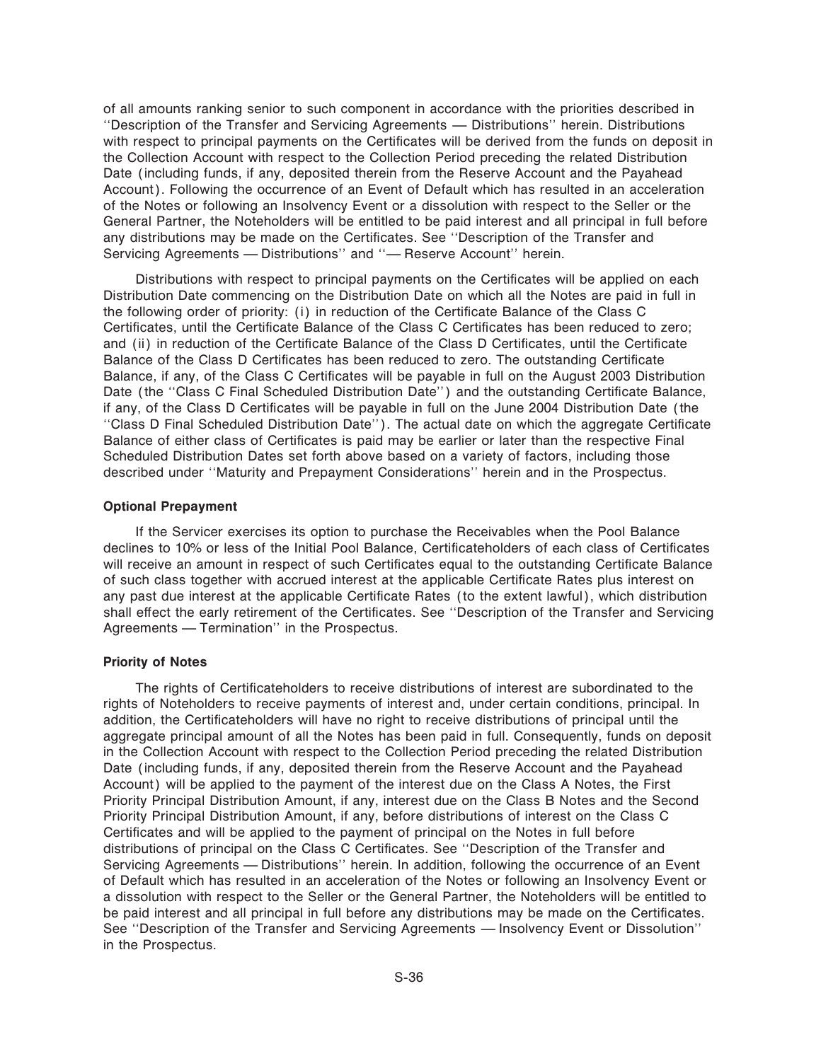of all amounts ranking senior to such component in accordance with the priorities described in "Description of the Transfer and Servicing Agreements — Distributions" herein. Distributions with respect to principal payments on the Certificates will be derived from the funds on deposit in the Collection Account with respect to the Collection Period preceding the related Distribution Date (including funds, if any, deposited therein from the Reserve Account and the Payahead Account). Following the occurrence of an Event of Default which has resulted in an acceleration of the Notes or following an Insolvency Event or a dissolution with respect to the Seller or the General Partner, the Noteholders will be entitled to be paid interest and all principal in full before any distributions may be made on the Certificates. See "Description of the Transfer and Servicing Agreements - Distributions" and "- Reserve Account" herein.

Distributions with respect to principal payments on the Certificates will be applied on each Distribution Date commencing on the Distribution Date on which all the Notes are paid in full in the following order of priority: (i) in reduction of the Certificate Balance of the Class C Certificates, until the Certificate Balance of the Class C Certificates has been reduced to zero; and (ii) in reduction of the Certificate Balance of the Class D Certificates, until the Certificate Balance of the Class D Certificates has been reduced to zero. The outstanding Certificate Balance, if any, of the Class C Certificates will be payable in full on the August 2003 Distribution Date (the "Class C Final Scheduled Distribution Date") and the outstanding Certificate Balance, if any, of the Class D Certificates will be payable in full on the June 2004 Distribution Date (the "Class D Final Scheduled Distribution Date"). The actual date on which the aggregate Certificate Balance of either class of Certificates is paid may be earlier or later than the respective Final Scheduled Distribution Dates set forth above based on a variety of factors, including those described under ""Maturity and Prepayment Considerations'' herein and in the Prospectus.

#### **Optional Prepayment**

If the Servicer exercises its option to purchase the Receivables when the Pool Balance declines to 10% or less of the Initial Pool Balance, Certificateholders of each class of Certificates will receive an amount in respect of such Certificates equal to the outstanding Certificate Balance of such class together with accrued interest at the applicable Certificate Rates plus interest on any past due interest at the applicable Certificate Rates (to the extent lawful), which distribution shall effect the early retirement of the Certificates. See "Description of the Transfer and Servicing Agreements — Termination" in the Prospectus.

#### **Priority of Notes**

The rights of Certificateholders to receive distributions of interest are subordinated to the rights of Noteholders to receive payments of interest and, under certain conditions, principal. In addition, the Certificateholders will have no right to receive distributions of principal until the aggregate principal amount of all the Notes has been paid in full. Consequently, funds on deposit in the Collection Account with respect to the Collection Period preceding the related Distribution Date (including funds, if any, deposited therein from the Reserve Account and the Payahead Account) will be applied to the payment of the interest due on the Class A Notes, the First Priority Principal Distribution Amount, if any, interest due on the Class B Notes and the Second Priority Principal Distribution Amount, if any, before distributions of interest on the Class C Certificates and will be applied to the payment of principal on the Notes in full before distributions of principal on the Class C Certificates. See "Description of the Transfer and Servicing Agreements - Distributions" herein. In addition, following the occurrence of an Event of Default which has resulted in an acceleration of the Notes or following an Insolvency Event or a dissolution with respect to the Seller or the General Partner, the Noteholders will be entitled to be paid interest and all principal in full before any distributions may be made on the Certificates. See "Description of the Transfer and Servicing Agreements — Insolvency Event or Dissolution" in the Prospectus.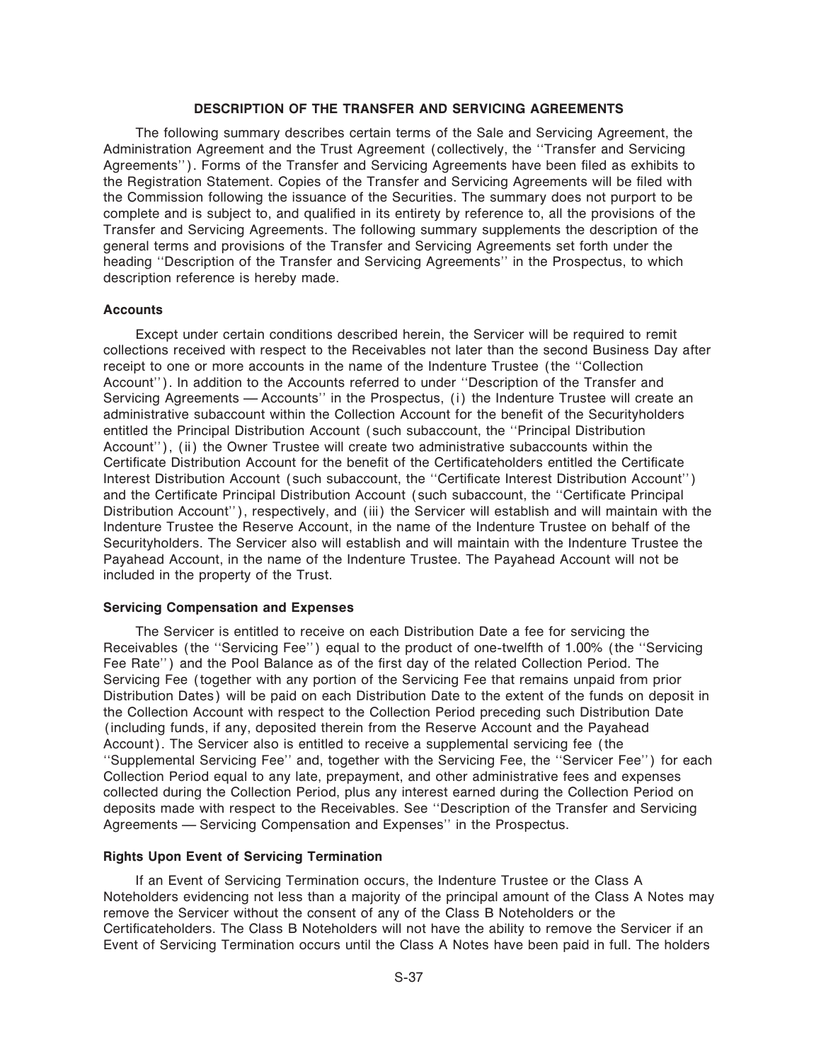#### **DESCRIPTION OF THE TRANSFER AND SERVICING AGREEMENTS**

The following summary describes certain terms of the Sale and Servicing Agreement, the Administration Agreement and the Trust Agreement (collectively, the ""Transfer and Servicing Agreements''). Forms of the Transfer and Servicing Agreements have been filed as exhibits to the Registration Statement. Copies of the Transfer and Servicing Agreements will be filed with the Commission following the issuance of the Securities. The summary does not purport to be complete and is subject to, and qualified in its entirety by reference to, all the provisions of the Transfer and Servicing Agreements. The following summary supplements the description of the general terms and provisions of the Transfer and Servicing Agreements set forth under the heading ""Description of the Transfer and Servicing Agreements'' in the Prospectus, to which description reference is hereby made.

#### **Accounts**

Except under certain conditions described herein, the Servicer will be required to remit collections received with respect to the Receivables not later than the second Business Day after receipt to one or more accounts in the name of the Indenture Trustee (the ""Collection Account''). In addition to the Accounts referred to under ""Description of the Transfer and Servicing Agreements — Accounts" in the Prospectus, (i) the Indenture Trustee will create an administrative subaccount within the Collection Account for the benefit of the Securityholders entitled the Principal Distribution Account (such subaccount, the ""Principal Distribution Account''), (ii) the Owner Trustee will create two administrative subaccounts within the Certificate Distribution Account for the benefit of the Certificateholders entitled the Certificate Interest Distribution Account (such subaccount, the "Certificate Interest Distribution Account") and the Certificate Principal Distribution Account (such subaccount, the "Certificate Principal Distribution Account''), respectively, and (iii) the Servicer will establish and will maintain with the Indenture Trustee the Reserve Account, in the name of the Indenture Trustee on behalf of the Securityholders. The Servicer also will establish and will maintain with the Indenture Trustee the Payahead Account, in the name of the Indenture Trustee. The Payahead Account will not be included in the property of the Trust.

#### **Servicing Compensation and Expenses**

The Servicer is entitled to receive on each Distribution Date a fee for servicing the Receivables (the "Servicing Fee") equal to the product of one-twelfth of 1.00% (the "Servicing Fee Rate") and the Pool Balance as of the first day of the related Collection Period. The Servicing Fee (together with any portion of the Servicing Fee that remains unpaid from prior Distribution Dates) will be paid on each Distribution Date to the extent of the funds on deposit in the Collection Account with respect to the Collection Period preceding such Distribution Date (including funds, if any, deposited therein from the Reserve Account and the Payahead Account). The Servicer also is entitled to receive a supplemental servicing fee (the ""Supplemental Servicing Fee'' and, together with the Servicing Fee, the ""Servicer Fee'') for each Collection Period equal to any late, prepayment, and other administrative fees and expenses collected during the Collection Period, plus any interest earned during the Collection Period on deposits made with respect to the Receivables. See ""Description of the Transfer and Servicing Agreements – Servicing Compensation and Expenses" in the Prospectus.

#### **Rights Upon Event of Servicing Termination**

If an Event of Servicing Termination occurs, the Indenture Trustee or the Class A Noteholders evidencing not less than a majority of the principal amount of the Class A Notes may remove the Servicer without the consent of any of the Class B Noteholders or the Certificateholders. The Class B Noteholders will not have the ability to remove the Servicer if an Event of Servicing Termination occurs until the Class A Notes have been paid in full. The holders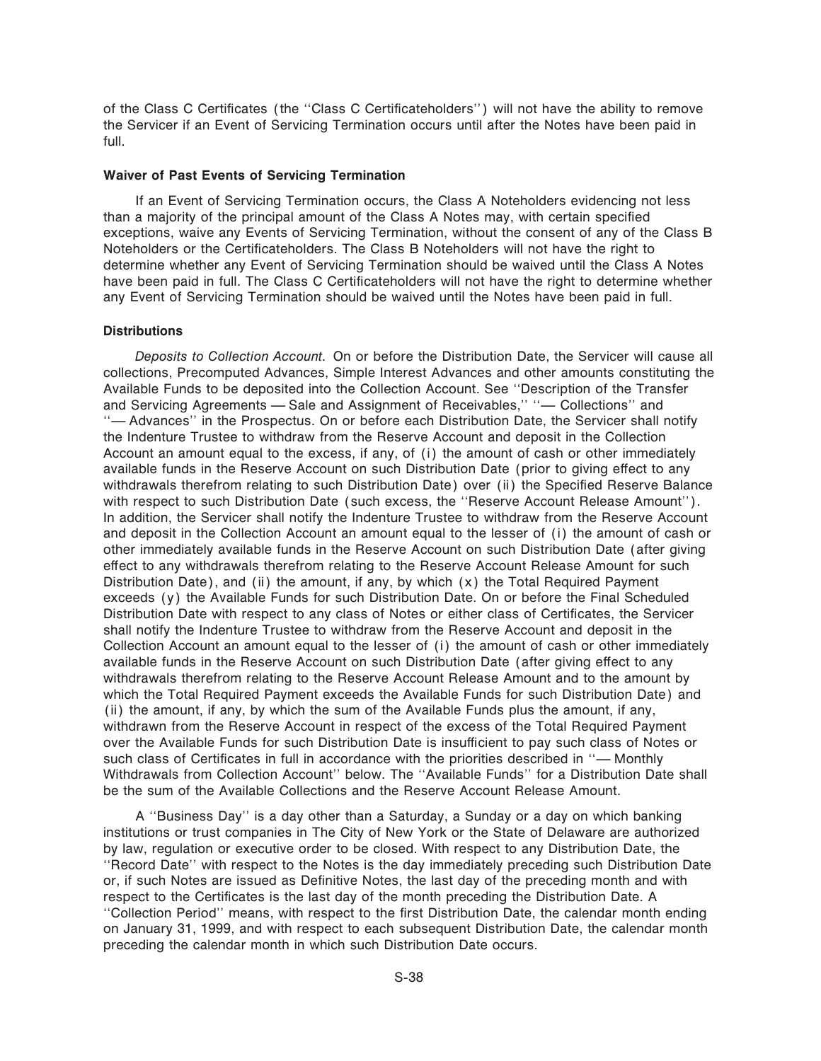of the Class C Certificates (the "Class C Certificateholders") will not have the ability to remove the Servicer if an Event of Servicing Termination occurs until after the Notes have been paid in full.

### **Waiver of Past Events of Servicing Termination**

If an Event of Servicing Termination occurs, the Class A Noteholders evidencing not less than a majority of the principal amount of the Class A Notes may, with certain specified exceptions, waive any Events of Servicing Termination, without the consent of any of the Class B Noteholders or the Certificateholders. The Class B Noteholders will not have the right to determine whether any Event of Servicing Termination should be waived until the Class A Notes have been paid in full. The Class C Certificateholders will not have the right to determine whether any Event of Servicing Termination should be waived until the Notes have been paid in full.

### **Distributions**

*Deposits to Collection Account.* On or before the Distribution Date, the Servicer will cause all collections, Precomputed Advances, Simple Interest Advances and other amounts constituting the Available Funds to be deposited into the Collection Account. See ""Description of the Transfer and Servicing Agreements - Sale and Assignment of Receivables," "- Collections" and "— Advances" in the Prospectus. On or before each Distribution Date, the Servicer shall notify the Indenture Trustee to withdraw from the Reserve Account and deposit in the Collection Account an amount equal to the excess, if any, of (i) the amount of cash or other immediately available funds in the Reserve Account on such Distribution Date (prior to giving effect to any withdrawals therefrom relating to such Distribution Date) over (ii) the Specified Reserve Balance with respect to such Distribution Date (such excess, the "Reserve Account Release Amount"). In addition, the Servicer shall notify the Indenture Trustee to withdraw from the Reserve Account and deposit in the Collection Account an amount equal to the lesser of (i) the amount of cash or other immediately available funds in the Reserve Account on such Distribution Date (after giving effect to any withdrawals therefrom relating to the Reserve Account Release Amount for such Distribution Date), and (ii) the amount, if any, by which (x) the Total Required Payment exceeds (y) the Available Funds for such Distribution Date. On or before the Final Scheduled Distribution Date with respect to any class of Notes or either class of Certificates, the Servicer shall notify the Indenture Trustee to withdraw from the Reserve Account and deposit in the Collection Account an amount equal to the lesser of (i) the amount of cash or other immediately available funds in the Reserve Account on such Distribution Date (after giving effect to any withdrawals therefrom relating to the Reserve Account Release Amount and to the amount by which the Total Required Payment exceeds the Available Funds for such Distribution Date) and (ii) the amount, if any, by which the sum of the Available Funds plus the amount, if any, withdrawn from the Reserve Account in respect of the excess of the Total Required Payment over the Available Funds for such Distribution Date is insufficient to pay such class of Notes or such class of Certificates in full in accordance with the priorities described in "- Monthly Withdrawals from Collection Account" below. The "Available Funds" for a Distribution Date shall be the sum of the Available Collections and the Reserve Account Release Amount.

A ""Business Day'' is a day other than a Saturday, a Sunday or a day on which banking institutions or trust companies in The City of New York or the State of Delaware are authorized by law, regulation or executive order to be closed. With respect to any Distribution Date, the ""Record Date'' with respect to the Notes is the day immediately preceding such Distribution Date or, if such Notes are issued as Definitive Notes, the last day of the preceding month and with respect to the Certificates is the last day of the month preceding the Distribution Date. A "Collection Period" means, with respect to the first Distribution Date, the calendar month ending on January 31, 1999, and with respect to each subsequent Distribution Date, the calendar month preceding the calendar month in which such Distribution Date occurs.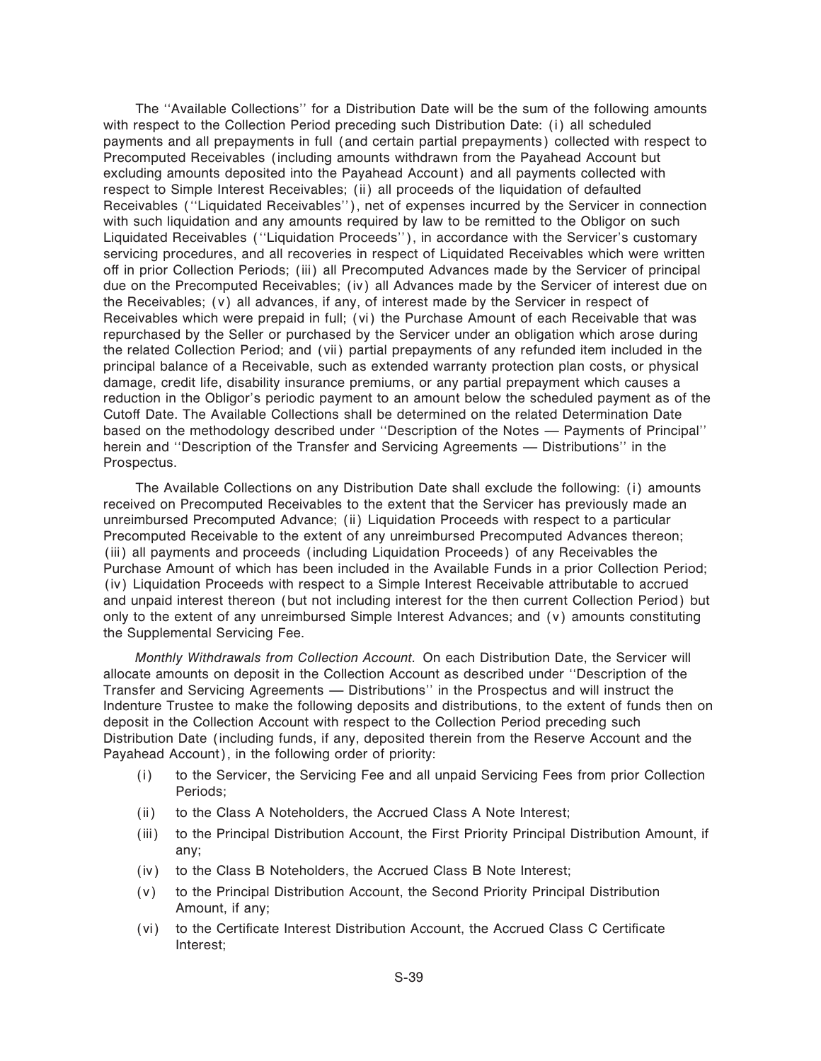The ""Available Collections'' for a Distribution Date will be the sum of the following amounts with respect to the Collection Period preceding such Distribution Date: (i) all scheduled payments and all prepayments in full (and certain partial prepayments) collected with respect to Precomputed Receivables (including amounts withdrawn from the Payahead Account but excluding amounts deposited into the Payahead Account) and all payments collected with respect to Simple Interest Receivables; (ii) all proceeds of the liquidation of defaulted Receivables (""Liquidated Receivables''), net of expenses incurred by the Servicer in connection with such liquidation and any amounts required by law to be remitted to the Obligor on such Liquidated Receivables (""Liquidation Proceeds''), in accordance with the Servicer's customary servicing procedures, and all recoveries in respect of Liquidated Receivables which were written off in prior Collection Periods; (iii) all Precomputed Advances made by the Servicer of principal due on the Precomputed Receivables; (iv) all Advances made by the Servicer of interest due on the Receivables; (v) all advances, if any, of interest made by the Servicer in respect of Receivables which were prepaid in full; (vi) the Purchase Amount of each Receivable that was repurchased by the Seller or purchased by the Servicer under an obligation which arose during the related Collection Period; and (vii) partial prepayments of any refunded item included in the principal balance of a Receivable, such as extended warranty protection plan costs, or physical damage, credit life, disability insurance premiums, or any partial prepayment which causes a reduction in the Obligor's periodic payment to an amount below the scheduled payment as of the Cutoff Date. The Available Collections shall be determined on the related Determination Date based on the methodology described under "Description of the Notes — Payments of Principal" herein and "Description of the Transfer and Servicing Agreements — Distributions" in the Prospectus.

The Available Collections on any Distribution Date shall exclude the following: (i) amounts received on Precomputed Receivables to the extent that the Servicer has previously made an unreimbursed Precomputed Advance; (ii) Liquidation Proceeds with respect to a particular Precomputed Receivable to the extent of any unreimbursed Precomputed Advances thereon; (iii) all payments and proceeds (including Liquidation Proceeds) of any Receivables the Purchase Amount of which has been included in the Available Funds in a prior Collection Period; (iv) Liquidation Proceeds with respect to a Simple Interest Receivable attributable to accrued and unpaid interest thereon (but not including interest for the then current Collection Period) but only to the extent of any unreimbursed Simple Interest Advances; and (v) amounts constituting the Supplemental Servicing Fee.

*Monthly Withdrawals from Collection Account.* On each Distribution Date, the Servicer will allocate amounts on deposit in the Collection Account as described under ""Description of the Transfer and Servicing Agreements — Distributions'' in the Prospectus and will instruct the Indenture Trustee to make the following deposits and distributions, to the extent of funds then on deposit in the Collection Account with respect to the Collection Period preceding such Distribution Date (including funds, if any, deposited therein from the Reserve Account and the Payahead Account), in the following order of priority:

- (i) to the Servicer, the Servicing Fee and all unpaid Servicing Fees from prior Collection Periods;
- (ii) to the Class A Noteholders, the Accrued Class A Note Interest;
- (iii) to the Principal Distribution Account, the First Priority Principal Distribution Amount, if any;
- (iv) to the Class B Noteholders, the Accrued Class B Note Interest;
- (v) to the Principal Distribution Account, the Second Priority Principal Distribution Amount, if any;
- (vi) to the Certificate Interest Distribution Account, the Accrued Class C Certificate Interest;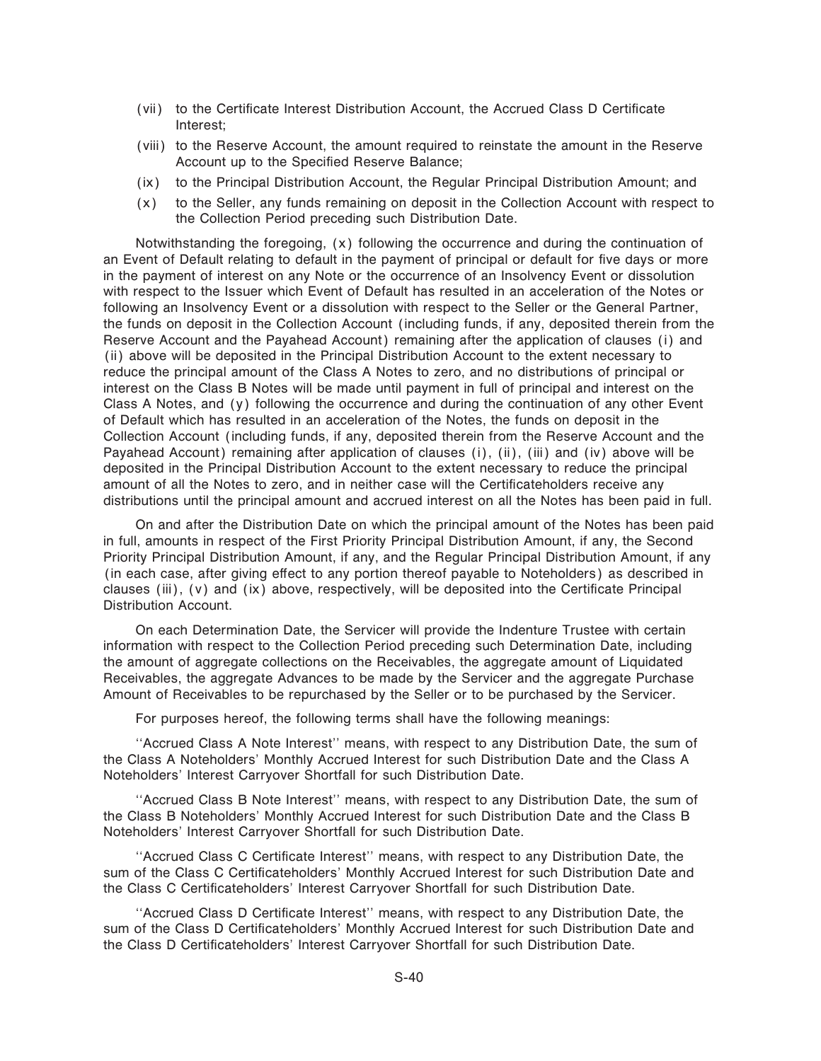- (vii) to the Certificate Interest Distribution Account, the Accrued Class D Certificate Interest;
- (viii) to the Reserve Account, the amount required to reinstate the amount in the Reserve Account up to the Specified Reserve Balance;
- (ix) to the Principal Distribution Account, the Regular Principal Distribution Amount; and
- (x) to the Seller, any funds remaining on deposit in the Collection Account with respect to the Collection Period preceding such Distribution Date.

Notwithstanding the foregoing, (x) following the occurrence and during the continuation of an Event of Default relating to default in the payment of principal or default for five days or more in the payment of interest on any Note or the occurrence of an Insolvency Event or dissolution with respect to the Issuer which Event of Default has resulted in an acceleration of the Notes or following an Insolvency Event or a dissolution with respect to the Seller or the General Partner, the funds on deposit in the Collection Account (including funds, if any, deposited therein from the Reserve Account and the Payahead Account) remaining after the application of clauses (i) and (ii) above will be deposited in the Principal Distribution Account to the extent necessary to reduce the principal amount of the Class A Notes to zero, and no distributions of principal or interest on the Class B Notes will be made until payment in full of principal and interest on the Class A Notes, and (y) following the occurrence and during the continuation of any other Event of Default which has resulted in an acceleration of the Notes, the funds on deposit in the Collection Account (including funds, if any, deposited therein from the Reserve Account and the Payahead Account) remaining after application of clauses (i), (ii), (iii) and (iv) above will be deposited in the Principal Distribution Account to the extent necessary to reduce the principal amount of all the Notes to zero, and in neither case will the Certificateholders receive any distributions until the principal amount and accrued interest on all the Notes has been paid in full.

On and after the Distribution Date on which the principal amount of the Notes has been paid in full, amounts in respect of the First Priority Principal Distribution Amount, if any, the Second Priority Principal Distribution Amount, if any, and the Regular Principal Distribution Amount, if any (in each case, after giving effect to any portion thereof payable to Noteholders) as described in clauses (iii),  $(v)$  and  $(ix)$  above, respectively, will be deposited into the Certificate Principal Distribution Account.

On each Determination Date, the Servicer will provide the Indenture Trustee with certain information with respect to the Collection Period preceding such Determination Date, including the amount of aggregate collections on the Receivables, the aggregate amount of Liquidated Receivables, the aggregate Advances to be made by the Servicer and the aggregate Purchase Amount of Receivables to be repurchased by the Seller or to be purchased by the Servicer.

For purposes hereof, the following terms shall have the following meanings:

""Accrued Class A Note Interest'' means, with respect to any Distribution Date, the sum of the Class A Noteholders' Monthly Accrued Interest for such Distribution Date and the Class A Noteholders' Interest Carryover Shortfall for such Distribution Date.

""Accrued Class B Note Interest'' means, with respect to any Distribution Date, the sum of the Class B Noteholders' Monthly Accrued Interest for such Distribution Date and the Class B Noteholders' Interest Carryover Shortfall for such Distribution Date.

"Accrued Class C Certificate Interest" means, with respect to any Distribution Date, the sum of the Class C Certificateholders' Monthly Accrued Interest for such Distribution Date and the Class C Certificateholders' Interest Carryover Shortfall for such Distribution Date.

"Accrued Class D Certificate Interest" means, with respect to any Distribution Date, the sum of the Class D Certificateholders' Monthly Accrued Interest for such Distribution Date and the Class D Certificateholders' Interest Carryover Shortfall for such Distribution Date.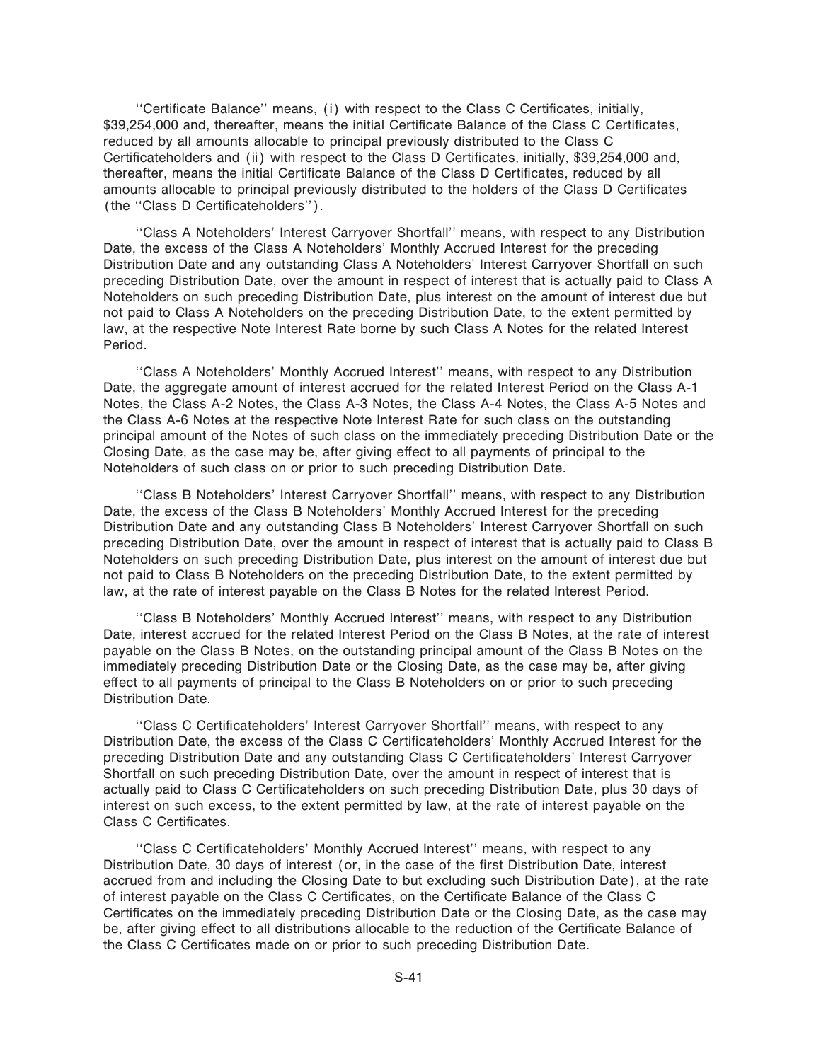"Certificate Balance" means, (i) with respect to the Class C Certificates, initially, \$39,254,000 and, thereafter, means the initial Certificate Balance of the Class C Certificates, reduced by all amounts allocable to principal previously distributed to the Class C Certificateholders and (ii) with respect to the Class D Certificates, initially, \$39,254,000 and, thereafter, means the initial Certificate Balance of the Class D Certificates, reduced by all amounts allocable to principal previously distributed to the holders of the Class D Certificates (the "Class D Certificateholders").

""Class A Noteholders' Interest Carryover Shortfall'' means, with respect to any Distribution Date, the excess of the Class A Noteholders' Monthly Accrued Interest for the preceding Distribution Date and any outstanding Class A Noteholders' Interest Carryover Shortfall on such preceding Distribution Date, over the amount in respect of interest that is actually paid to Class A Noteholders on such preceding Distribution Date, plus interest on the amount of interest due but not paid to Class A Noteholders on the preceding Distribution Date, to the extent permitted by law, at the respective Note Interest Rate borne by such Class A Notes for the related Interest Period.

""Class A Noteholders' Monthly Accrued Interest'' means, with respect to any Distribution Date, the aggregate amount of interest accrued for the related Interest Period on the Class A-1 Notes, the Class A-2 Notes, the Class A-3 Notes, the Class A-4 Notes, the Class A-5 Notes and the Class A-6 Notes at the respective Note Interest Rate for such class on the outstanding principal amount of the Notes of such class on the immediately preceding Distribution Date or the Closing Date, as the case may be, after giving effect to all payments of principal to the Noteholders of such class on or prior to such preceding Distribution Date.

""Class B Noteholders' Interest Carryover Shortfall'' means, with respect to any Distribution Date, the excess of the Class B Noteholders' Monthly Accrued Interest for the preceding Distribution Date and any outstanding Class B Noteholders' Interest Carryover Shortfall on such preceding Distribution Date, over the amount in respect of interest that is actually paid to Class B Noteholders on such preceding Distribution Date, plus interest on the amount of interest due but not paid to Class B Noteholders on the preceding Distribution Date, to the extent permitted by law, at the rate of interest payable on the Class B Notes for the related Interest Period.

""Class B Noteholders' Monthly Accrued Interest'' means, with respect to any Distribution Date, interest accrued for the related Interest Period on the Class B Notes, at the rate of interest payable on the Class B Notes, on the outstanding principal amount of the Class B Notes on the immediately preceding Distribution Date or the Closing Date, as the case may be, after giving effect to all payments of principal to the Class B Noteholders on or prior to such preceding Distribution Date.

"Class C Certificateholders' Interest Carryover Shortfall" means, with respect to any Distribution Date, the excess of the Class C Certificateholders' Monthly Accrued Interest for the preceding Distribution Date and any outstanding Class C Certificateholders' Interest Carryover Shortfall on such preceding Distribution Date, over the amount in respect of interest that is actually paid to Class C Certificateholders on such preceding Distribution Date, plus 30 days of interest on such excess, to the extent permitted by law, at the rate of interest payable on the Class C Certificates.

"Class C Certificateholders' Monthly Accrued Interest" means, with respect to any Distribution Date, 30 days of interest (or, in the case of the first Distribution Date, interest accrued from and including the Closing Date to but excluding such Distribution Date), at the rate of interest payable on the Class C Certificates, on the Certificate Balance of the Class C Certificates on the immediately preceding Distribution Date or the Closing Date, as the case may be, after giving effect to all distributions allocable to the reduction of the Certificate Balance of the Class C Certificates made on or prior to such preceding Distribution Date.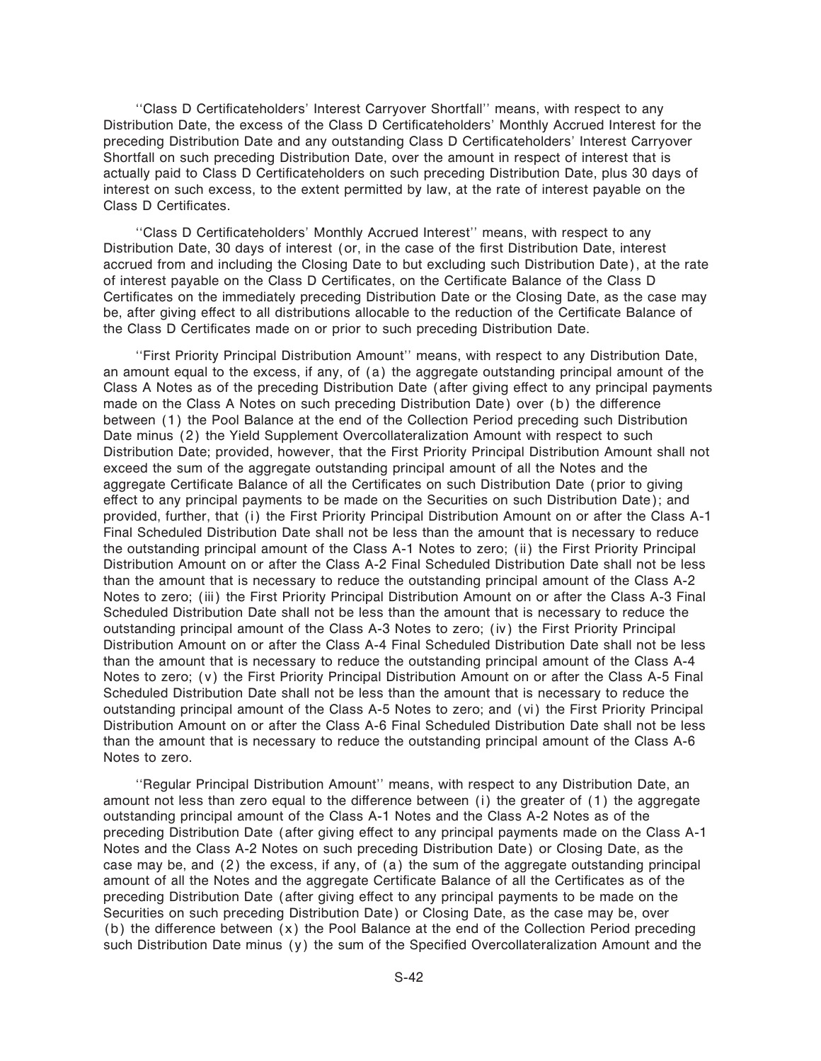"Class D Certificateholders' Interest Carryover Shortfall" means, with respect to any Distribution Date, the excess of the Class D Certificateholders' Monthly Accrued Interest for the preceding Distribution Date and any outstanding Class D Certificateholders' Interest Carryover Shortfall on such preceding Distribution Date, over the amount in respect of interest that is actually paid to Class D Certificateholders on such preceding Distribution Date, plus 30 days of interest on such excess, to the extent permitted by law, at the rate of interest payable on the Class D Certificates.

"Class D Certificateholders' Monthly Accrued Interest" means, with respect to any Distribution Date, 30 days of interest (or, in the case of the first Distribution Date, interest accrued from and including the Closing Date to but excluding such Distribution Date), at the rate of interest payable on the Class D Certificates, on the Certificate Balance of the Class D Certificates on the immediately preceding Distribution Date or the Closing Date, as the case may be, after giving effect to all distributions allocable to the reduction of the Certificate Balance of the Class D Certificates made on or prior to such preceding Distribution Date.

""First Priority Principal Distribution Amount'' means, with respect to any Distribution Date, an amount equal to the excess, if any, of (a) the aggregate outstanding principal amount of the Class A Notes as of the preceding Distribution Date (after giving effect to any principal payments made on the Class A Notes on such preceding Distribution Date) over (b) the difference between (1) the Pool Balance at the end of the Collection Period preceding such Distribution Date minus (2) the Yield Supplement Overcollateralization Amount with respect to such Distribution Date; provided, however, that the First Priority Principal Distribution Amount shall not exceed the sum of the aggregate outstanding principal amount of all the Notes and the aggregate Certificate Balance of all the Certificates on such Distribution Date (prior to giving effect to any principal payments to be made on the Securities on such Distribution Date); and provided, further, that (i) the First Priority Principal Distribution Amount on or after the Class A-1 Final Scheduled Distribution Date shall not be less than the amount that is necessary to reduce the outstanding principal amount of the Class A-1 Notes to zero; (ii) the First Priority Principal Distribution Amount on or after the Class A-2 Final Scheduled Distribution Date shall not be less than the amount that is necessary to reduce the outstanding principal amount of the Class A-2 Notes to zero; (iii) the First Priority Principal Distribution Amount on or after the Class A-3 Final Scheduled Distribution Date shall not be less than the amount that is necessary to reduce the outstanding principal amount of the Class A-3 Notes to zero; (iv) the First Priority Principal Distribution Amount on or after the Class A-4 Final Scheduled Distribution Date shall not be less than the amount that is necessary to reduce the outstanding principal amount of the Class A-4 Notes to zero; (v) the First Priority Principal Distribution Amount on or after the Class A-5 Final Scheduled Distribution Date shall not be less than the amount that is necessary to reduce the outstanding principal amount of the Class A-5 Notes to zero; and (vi) the First Priority Principal Distribution Amount on or after the Class A-6 Final Scheduled Distribution Date shall not be less than the amount that is necessary to reduce the outstanding principal amount of the Class A-6 Notes to zero.

""Regular Principal Distribution Amount'' means, with respect to any Distribution Date, an amount not less than zero equal to the difference between  $(i)$  the greater of  $(1)$  the aggregate outstanding principal amount of the Class A-1 Notes and the Class A-2 Notes as of the preceding Distribution Date (after giving effect to any principal payments made on the Class A-1 Notes and the Class A-2 Notes on such preceding Distribution Date) or Closing Date, as the case may be, and (2) the excess, if any, of (a) the sum of the aggregate outstanding principal amount of all the Notes and the aggregate Certificate Balance of all the Certificates as of the preceding Distribution Date (after giving effect to any principal payments to be made on the Securities on such preceding Distribution Date) or Closing Date, as the case may be, over (b) the difference between  $(x)$  the Pool Balance at the end of the Collection Period preceding such Distribution Date minus  $(y)$  the sum of the Specified Overcollateralization Amount and the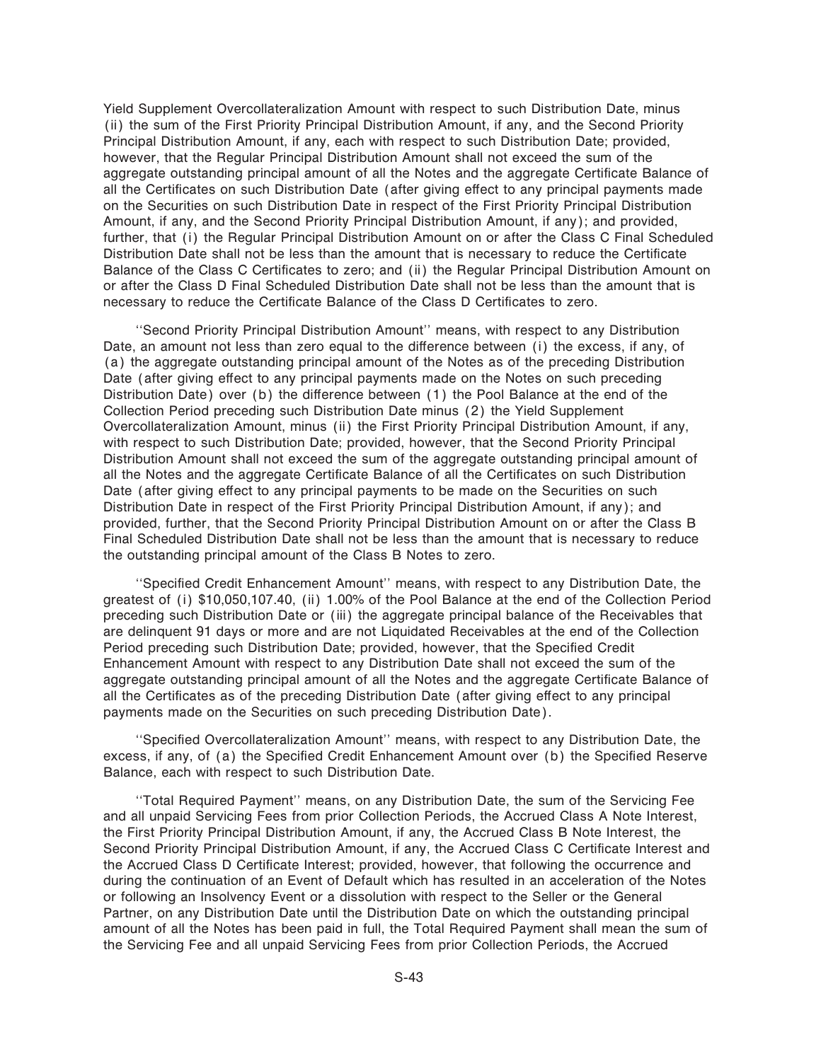Yield Supplement Overcollateralization Amount with respect to such Distribution Date, minus (ii) the sum of the First Priority Principal Distribution Amount, if any, and the Second Priority Principal Distribution Amount, if any, each with respect to such Distribution Date; provided, however, that the Regular Principal Distribution Amount shall not exceed the sum of the aggregate outstanding principal amount of all the Notes and the aggregate Certificate Balance of all the Certificates on such Distribution Date (after giving effect to any principal payments made on the Securities on such Distribution Date in respect of the First Priority Principal Distribution Amount, if any, and the Second Priority Principal Distribution Amount, if any); and provided, further, that (i) the Regular Principal Distribution Amount on or after the Class C Final Scheduled Distribution Date shall not be less than the amount that is necessary to reduce the Certificate Balance of the Class C Certificates to zero; and (ii) the Regular Principal Distribution Amount on or after the Class D Final Scheduled Distribution Date shall not be less than the amount that is necessary to reduce the Certificate Balance of the Class D Certificates to zero.

""Second Priority Principal Distribution Amount'' means, with respect to any Distribution Date, an amount not less than zero equal to the difference between (i) the excess, if any, of (a) the aggregate outstanding principal amount of the Notes as of the preceding Distribution Date (after giving effect to any principal payments made on the Notes on such preceding Distribution Date) over (b) the difference between  $(1)$  the Pool Balance at the end of the Collection Period preceding such Distribution Date minus (2) the Yield Supplement Overcollateralization Amount, minus (ii) the First Priority Principal Distribution Amount, if any, with respect to such Distribution Date; provided, however, that the Second Priority Principal Distribution Amount shall not exceed the sum of the aggregate outstanding principal amount of all the Notes and the aggregate Certificate Balance of all the Certificates on such Distribution Date (after giving effect to any principal payments to be made on the Securities on such Distribution Date in respect of the First Priority Principal Distribution Amount, if any); and provided, further, that the Second Priority Principal Distribution Amount on or after the Class B Final Scheduled Distribution Date shall not be less than the amount that is necessary to reduce the outstanding principal amount of the Class B Notes to zero.

"Specified Credit Enhancement Amount" means, with respect to any Distribution Date, the greatest of (i) \$10,050,107.40, (ii) 1.00% of the Pool Balance at the end of the Collection Period preceding such Distribution Date or (iii) the aggregate principal balance of the Receivables that are delinquent 91 days or more and are not Liquidated Receivables at the end of the Collection Period preceding such Distribution Date; provided, however, that the Specified Credit Enhancement Amount with respect to any Distribution Date shall not exceed the sum of the aggregate outstanding principal amount of all the Notes and the aggregate Certificate Balance of all the Certificates as of the preceding Distribution Date (after giving effect to any principal payments made on the Securities on such preceding Distribution Date).

"Specified Overcollateralization Amount" means, with respect to any Distribution Date, the excess, if any, of (a) the Specified Credit Enhancement Amount over (b) the Specified Reserve Balance, each with respect to such Distribution Date.

""Total Required Payment'' means, on any Distribution Date, the sum of the Servicing Fee and all unpaid Servicing Fees from prior Collection Periods, the Accrued Class A Note Interest, the First Priority Principal Distribution Amount, if any, the Accrued Class B Note Interest, the Second Priority Principal Distribution Amount, if any, the Accrued Class C Certificate Interest and the Accrued Class D Certificate Interest; provided, however, that following the occurrence and during the continuation of an Event of Default which has resulted in an acceleration of the Notes or following an Insolvency Event or a dissolution with respect to the Seller or the General Partner, on any Distribution Date until the Distribution Date on which the outstanding principal amount of all the Notes has been paid in full, the Total Required Payment shall mean the sum of the Servicing Fee and all unpaid Servicing Fees from prior Collection Periods, the Accrued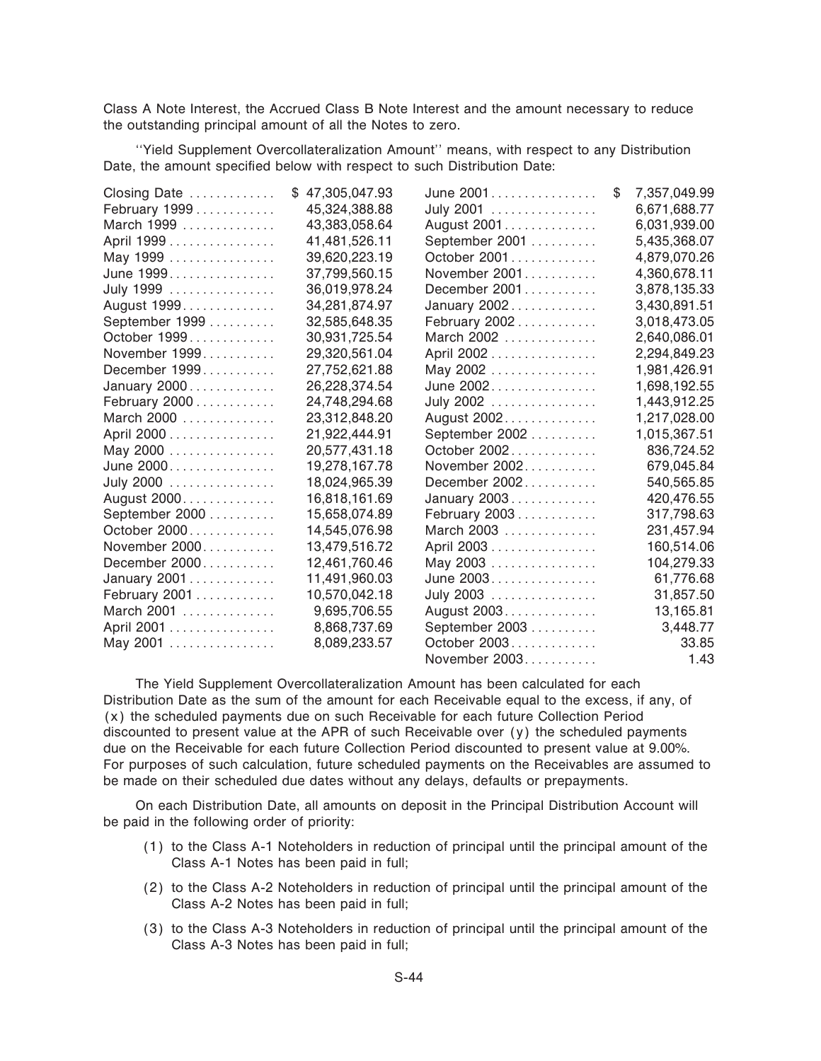Class A Note Interest, the Accrued Class B Note Interest and the amount necessary to reduce the outstanding principal amount of all the Notes to zero.

""Yield Supplement Overcollateralization Amount'' means, with respect to any Distribution Date, the amount specified below with respect to such Distribution Date:

| Closing Date   | 47,305,047.93 | June 2001      | \$<br>7,357,049.99 |
|----------------|---------------|----------------|--------------------|
| February 1999  | 45,324,388.88 | July 2001      | 6,671,688.77       |
| March 1999     | 43,383,058.64 | August 2001    | 6,031,939.00       |
| April 1999     | 41,481,526.11 | September 2001 | 5,435,368.07       |
| May 1999       | 39,620,223.19 | October 2001   | 4,879,070.26       |
| June 1999      | 37,799,560.15 | November 2001  | 4,360,678.11       |
| July 1999      | 36,019,978.24 | December 2001  | 3,878,135.33       |
| August 1999.   | 34,281,874.97 | January 2002   | 3,430,891.51       |
| September 1999 | 32,585,648.35 | February 2002  | 3,018,473.05       |
| October 1999   | 30,931,725.54 | March 2002     | 2,640,086.01       |
| November 1999  | 29,320,561.04 | April 2002     | 2,294,849.23       |
| December 1999  | 27,752,621.88 | May 2002       | 1,981,426.91       |
| January 2000   | 26,228,374.54 | June 2002      | 1,698,192.55       |
| February 2000  | 24,748,294.68 | July 2002      | 1,443,912.25       |
| March 2000     | 23,312,848.20 | August 2002    | 1,217,028.00       |
| April 2000     | 21,922,444.91 | September 2002 | 1,015,367.51       |
| May 2000       | 20,577,431.18 | October 2002   | 836,724.52         |
| June 2000      | 19,278,167.78 | November 2002  | 679,045.84         |
| July 2000      | 18,024,965.39 | December 2002  | 540,565.85         |
| August 2000    | 16,818,161.69 | January 2003   | 420,476.55         |
| September 2000 | 15,658,074.89 | February 2003  | 317,798.63         |
| October 2000   | 14,545,076.98 | March 2003     | 231,457.94         |
| November 2000  | 13,479,516.72 | April 2003     | 160,514.06         |
| December 2000  | 12,461,760.46 | May 2003       | 104,279.33         |
| January 2001   | 11,491,960.03 | June 2003.     | 61,776.68          |
| February 2001  | 10,570,042.18 | July 2003      | 31,857.50          |
| March 2001     | 9,695,706.55  | August 2003.   | 13,165.81          |
| April 2001     | 8,868,737.69  | September 2003 | 3,448.77           |
| May 2001       | 8,089,233.57  | October 2003   | 33.85              |
|                |               | November 2003  | 1.43               |

The Yield Supplement Overcollateralization Amount has been calculated for each Distribution Date as the sum of the amount for each Receivable equal to the excess, if any, of (x) the scheduled payments due on such Receivable for each future Collection Period discounted to present value at the APR of such Receivable over (y) the scheduled payments due on the Receivable for each future Collection Period discounted to present value at 9.00%. For purposes of such calculation, future scheduled payments on the Receivables are assumed to be made on their scheduled due dates without any delays, defaults or prepayments.

On each Distribution Date, all amounts on deposit in the Principal Distribution Account will be paid in the following order of priority:

- (1) to the Class A-1 Noteholders in reduction of principal until the principal amount of the Class A-1 Notes has been paid in full;
- (2) to the Class A-2 Noteholders in reduction of principal until the principal amount of the Class A-2 Notes has been paid in full;
- (3) to the Class A-3 Noteholders in reduction of principal until the principal amount of the Class A-3 Notes has been paid in full;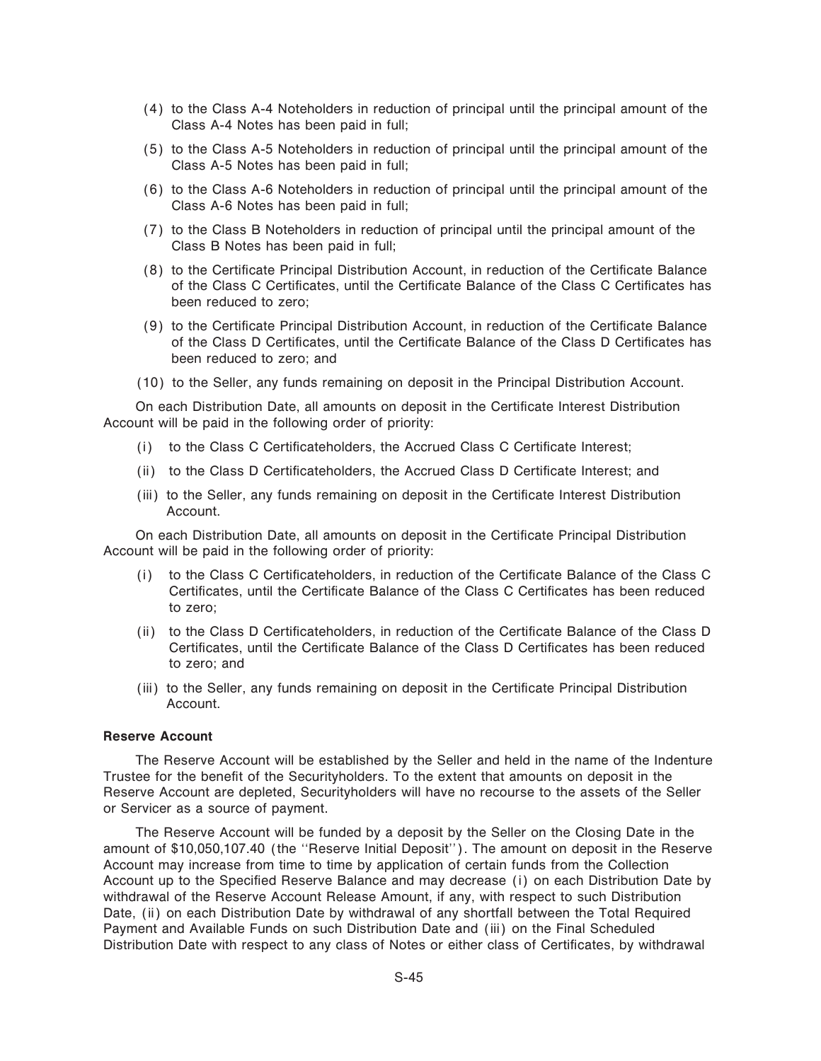- (4) to the Class A-4 Noteholders in reduction of principal until the principal amount of the Class A-4 Notes has been paid in full;
- (5) to the Class A-5 Noteholders in reduction of principal until the principal amount of the Class A-5 Notes has been paid in full;
- (6) to the Class A-6 Noteholders in reduction of principal until the principal amount of the Class A-6 Notes has been paid in full;
- (7) to the Class B Noteholders in reduction of principal until the principal amount of the Class B Notes has been paid in full;
- (8) to the Certificate Principal Distribution Account, in reduction of the Certificate Balance of the Class C Certificates, until the Certificate Balance of the Class C Certificates has been reduced to zero;
- (9) to the Certificate Principal Distribution Account, in reduction of the Certificate Balance of the Class D Certificates, until the Certificate Balance of the Class D Certificates has been reduced to zero; and
- (10) to the Seller, any funds remaining on deposit in the Principal Distribution Account.

On each Distribution Date, all amounts on deposit in the Certificate Interest Distribution Account will be paid in the following order of priority:

- (i) to the Class C Certificateholders, the Accrued Class C Certificate Interest;
- (ii) to the Class D Certificateholders, the Accrued Class D Certificate Interest; and
- (iii) to the Seller, any funds remaining on deposit in the Certificate Interest Distribution Account.

On each Distribution Date, all amounts on deposit in the Certificate Principal Distribution Account will be paid in the following order of priority:

- (i) to the Class C Certificateholders, in reduction of the Certificate Balance of the Class C Certificates, until the Certificate Balance of the Class C Certificates has been reduced to zero;
- (ii) to the Class D Certificateholders, in reduction of the Certificate Balance of the Class D Certificates, until the Certificate Balance of the Class D Certificates has been reduced to zero; and
- (iii) to the Seller, any funds remaining on deposit in the Certificate Principal Distribution Account.

#### **Reserve Account**

The Reserve Account will be established by the Seller and held in the name of the Indenture Trustee for the benefit of the Securityholders. To the extent that amounts on deposit in the Reserve Account are depleted, Securityholders will have no recourse to the assets of the Seller or Servicer as a source of payment.

The Reserve Account will be funded by a deposit by the Seller on the Closing Date in the amount of \$10,050,107.40 (the ""Reserve Initial Deposit''). The amount on deposit in the Reserve Account may increase from time to time by application of certain funds from the Collection Account up to the Specified Reserve Balance and may decrease (i) on each Distribution Date by withdrawal of the Reserve Account Release Amount, if any, with respect to such Distribution Date, (ii) on each Distribution Date by withdrawal of any shortfall between the Total Required Payment and Available Funds on such Distribution Date and (iii) on the Final Scheduled Distribution Date with respect to any class of Notes or either class of Certificates, by withdrawal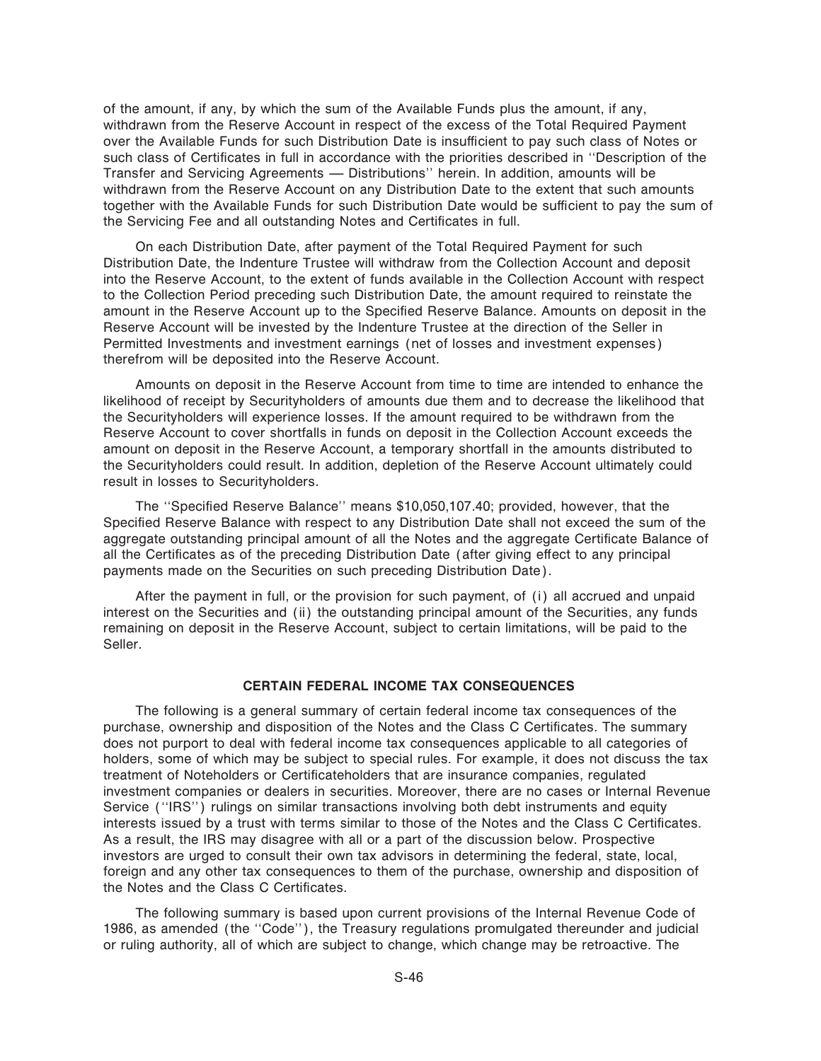of the amount, if any, by which the sum of the Available Funds plus the amount, if any, withdrawn from the Reserve Account in respect of the excess of the Total Required Payment over the Available Funds for such Distribution Date is insufficient to pay such class of Notes or such class of Certificates in full in accordance with the priorities described in "Description of the Transfer and Servicing Agreements — Distributions'' herein. In addition, amounts will be withdrawn from the Reserve Account on any Distribution Date to the extent that such amounts together with the Available Funds for such Distribution Date would be sufficient to pay the sum of the Servicing Fee and all outstanding Notes and Certificates in full.

On each Distribution Date, after payment of the Total Required Payment for such Distribution Date, the Indenture Trustee will withdraw from the Collection Account and deposit into the Reserve Account, to the extent of funds available in the Collection Account with respect to the Collection Period preceding such Distribution Date, the amount required to reinstate the amount in the Reserve Account up to the Specified Reserve Balance. Amounts on deposit in the Reserve Account will be invested by the Indenture Trustee at the direction of the Seller in Permitted Investments and investment earnings (net of losses and investment expenses) therefrom will be deposited into the Reserve Account.

Amounts on deposit in the Reserve Account from time to time are intended to enhance the likelihood of receipt by Securityholders of amounts due them and to decrease the likelihood that the Securityholders will experience losses. If the amount required to be withdrawn from the Reserve Account to cover shortfalls in funds on deposit in the Collection Account exceeds the amount on deposit in the Reserve Account, a temporary shortfall in the amounts distributed to the Securityholders could result. In addition, depletion of the Reserve Account ultimately could result in losses to Securityholders.

The "Specified Reserve Balance" means \$10,050,107.40; provided, however, that the Specified Reserve Balance with respect to any Distribution Date shall not exceed the sum of the aggregate outstanding principal amount of all the Notes and the aggregate Certificate Balance of all the Certificates as of the preceding Distribution Date (after giving effect to any principal payments made on the Securities on such preceding Distribution Date).

After the payment in full, or the provision for such payment, of (i) all accrued and unpaid interest on the Securities and (ii) the outstanding principal amount of the Securities, any funds remaining on deposit in the Reserve Account, subject to certain limitations, will be paid to the Seller.

#### **CERTAIN FEDERAL INCOME TAX CONSEQUENCES**

The following is a general summary of certain federal income tax consequences of the purchase, ownership and disposition of the Notes and the Class C Certificates. The summary does not purport to deal with federal income tax consequences applicable to all categories of holders, some of which may be subject to special rules. For example, it does not discuss the tax treatment of Noteholders or Certificateholders that are insurance companies, regulated investment companies or dealers in securities. Moreover, there are no cases or Internal Revenue Service (""IRS'') rulings on similar transactions involving both debt instruments and equity interests issued by a trust with terms similar to those of the Notes and the Class C Certificates. As a result, the IRS may disagree with all or a part of the discussion below. Prospective investors are urged to consult their own tax advisors in determining the federal, state, local, foreign and any other tax consequences to them of the purchase, ownership and disposition of the Notes and the Class C Certificates.

The following summary is based upon current provisions of the Internal Revenue Code of 1986, as amended (the "Code"), the Treasury regulations promulgated thereunder and judicial or ruling authority, all of which are subject to change, which change may be retroactive. The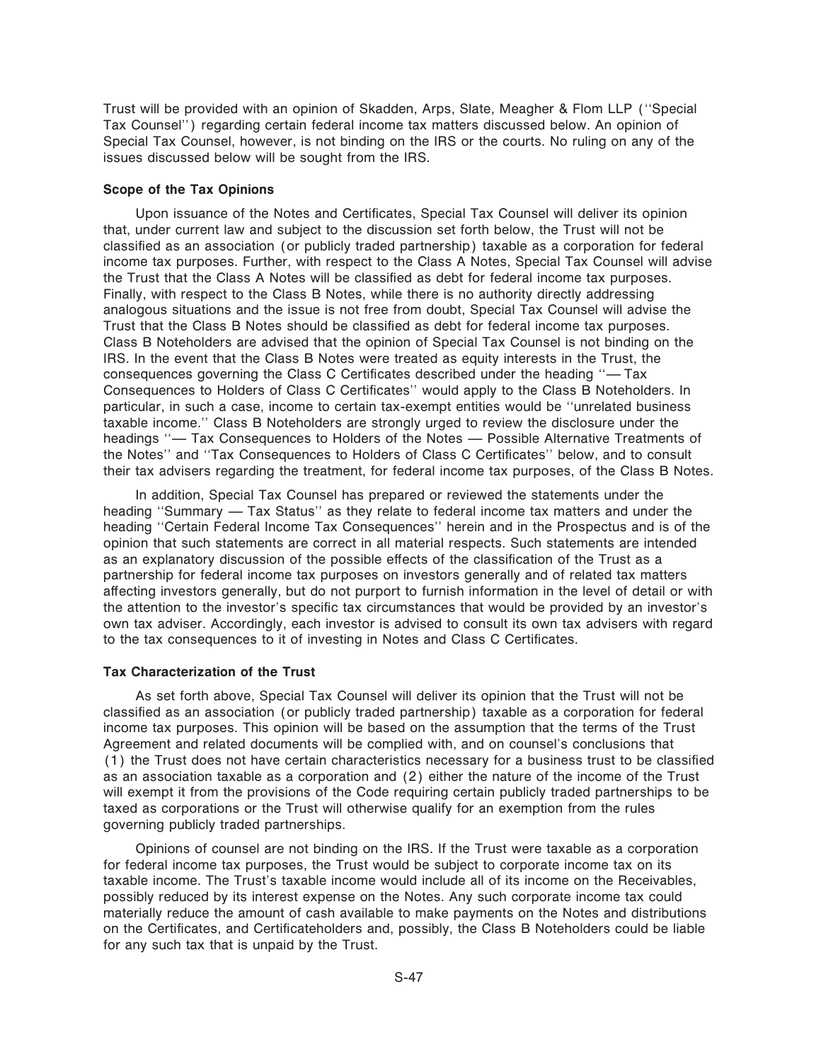Trust will be provided with an opinion of Skadden, Arps, Slate, Meagher & Flom LLP (""Special Tax Counsel'') regarding certain federal income tax matters discussed below. An opinion of Special Tax Counsel, however, is not binding on the IRS or the courts. No ruling on any of the issues discussed below will be sought from the IRS.

#### **Scope of the Tax Opinions**

Upon issuance of the Notes and Certificates, Special Tax Counsel will deliver its opinion that, under current law and subject to the discussion set forth below, the Trust will not be classified as an association (or publicly traded partnership) taxable as a corporation for federal income tax purposes. Further, with respect to the Class A Notes, Special Tax Counsel will advise the Trust that the Class A Notes will be classified as debt for federal income tax purposes. Finally, with respect to the Class B Notes, while there is no authority directly addressing analogous situations and the issue is not free from doubt, Special Tax Counsel will advise the Trust that the Class B Notes should be classified as debt for federal income tax purposes. Class B Noteholders are advised that the opinion of Special Tax Counsel is not binding on the IRS. In the event that the Class B Notes were treated as equity interests in the Trust, the consequences governing the Class C Certificates described under the heading  $-$  Tax Consequences to Holders of Class C Certificates" would apply to the Class B Noteholders. In particular, in such a case, income to certain tax-exempt entities would be ""unrelated business taxable income.'' Class B Noteholders are strongly urged to review the disclosure under the headings "- Tax Consequences to Holders of the Notes - Possible Alternative Treatments of the Notes" and "Tax Consequences to Holders of Class C Certificates" below, and to consult their tax advisers regarding the treatment, for federal income tax purposes, of the Class B Notes.

In addition, Special Tax Counsel has prepared or reviewed the statements under the heading "Summary — Tax Status" as they relate to federal income tax matters and under the heading ""Certain Federal Income Tax Consequences'' herein and in the Prospectus and is of the opinion that such statements are correct in all material respects. Such statements are intended as an explanatory discussion of the possible effects of the classification of the Trust as a partnership for federal income tax purposes on investors generally and of related tax matters affecting investors generally, but do not purport to furnish information in the level of detail or with the attention to the investor's specific tax circumstances that would be provided by an investor's own tax adviser. Accordingly, each investor is advised to consult its own tax advisers with regard to the tax consequences to it of investing in Notes and Class C Certificates.

#### **Tax Characterization of the Trust**

As set forth above, Special Tax Counsel will deliver its opinion that the Trust will not be classified as an association (or publicly traded partnership) taxable as a corporation for federal income tax purposes. This opinion will be based on the assumption that the terms of the Trust Agreement and related documents will be complied with, and on counsel's conclusions that (1) the Trust does not have certain characteristics necessary for a business trust to be classified as an association taxable as a corporation and (2) either the nature of the income of the Trust will exempt it from the provisions of the Code requiring certain publicly traded partnerships to be taxed as corporations or the Trust will otherwise qualify for an exemption from the rules governing publicly traded partnerships.

Opinions of counsel are not binding on the IRS. If the Trust were taxable as a corporation for federal income tax purposes, the Trust would be subject to corporate income tax on its taxable income. The Trust's taxable income would include all of its income on the Receivables, possibly reduced by its interest expense on the Notes. Any such corporate income tax could materially reduce the amount of cash available to make payments on the Notes and distributions on the Certificates, and Certificateholders and, possibly, the Class B Noteholders could be liable for any such tax that is unpaid by the Trust.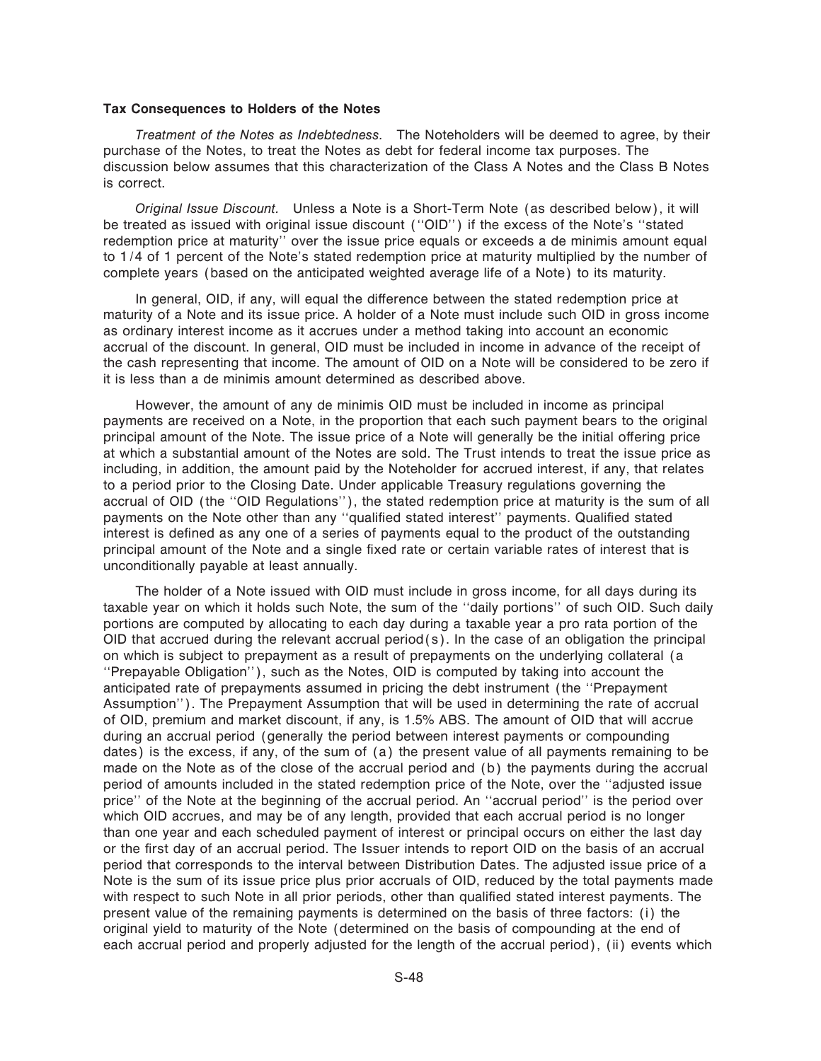#### **Tax Consequences to Holders of the Notes**

*Treatment of the Notes as Indebtedness.* The Noteholders will be deemed to agree, by their purchase of the Notes, to treat the Notes as debt for federal income tax purposes. The discussion below assumes that this characterization of the Class A Notes and the Class B Notes is correct.

*Original Issue Discount.* Unless a Note is a Short-Term Note (as described below), it will be treated as issued with original issue discount (""OID'') if the excess of the Note's ""stated redemption price at maturity'' over the issue price equals or exceeds a de minimis amount equal to 1/4 of 1 percent of the Note's stated redemption price at maturity multiplied by the number of complete years (based on the anticipated weighted average life of a Note) to its maturity.

In general, OID, if any, will equal the difference between the stated redemption price at maturity of a Note and its issue price. A holder of a Note must include such OID in gross income as ordinary interest income as it accrues under a method taking into account an economic accrual of the discount. In general, OID must be included in income in advance of the receipt of the cash representing that income. The amount of OID on a Note will be considered to be zero if it is less than a de minimis amount determined as described above.

However, the amount of any de minimis OID must be included in income as principal payments are received on a Note, in the proportion that each such payment bears to the original principal amount of the Note. The issue price of a Note will generally be the initial offering price at which a substantial amount of the Notes are sold. The Trust intends to treat the issue price as including, in addition, the amount paid by the Noteholder for accrued interest, if any, that relates to a period prior to the Closing Date. Under applicable Treasury regulations governing the accrual of OID (the "OID Regulations"), the stated redemption price at maturity is the sum of all payments on the Note other than any "qualified stated interest" payments. Qualified stated interest is defined as any one of a series of payments equal to the product of the outstanding principal amount of the Note and a single fixed rate or certain variable rates of interest that is unconditionally payable at least annually.

The holder of a Note issued with OID must include in gross income, for all days during its taxable year on which it holds such Note, the sum of the "daily portions" of such OID. Such daily portions are computed by allocating to each day during a taxable year a pro rata portion of the OID that accrued during the relevant accrual period( $s$ ). In the case of an obligation the principal on which is subject to prepayment as a result of prepayments on the underlying collateral (a ""Prepayable Obligation''), such as the Notes, OID is computed by taking into account the anticipated rate of prepayments assumed in pricing the debt instrument (the ""Prepayment Assumption''). The Prepayment Assumption that will be used in determining the rate of accrual of OID, premium and market discount, if any, is 1.5% ABS. The amount of OID that will accrue during an accrual period (generally the period between interest payments or compounding dates) is the excess, if any, of the sum of (a) the present value of all payments remaining to be made on the Note as of the close of the accrual period and (b) the payments during the accrual period of amounts included in the stated redemption price of the Note, over the "adjusted issue price" of the Note at the beginning of the accrual period. An "accrual period" is the period over which OID accrues, and may be of any length, provided that each accrual period is no longer than one year and each scheduled payment of interest or principal occurs on either the last day or the first day of an accrual period. The Issuer intends to report OID on the basis of an accrual period that corresponds to the interval between Distribution Dates. The adjusted issue price of a Note is the sum of its issue price plus prior accruals of OID, reduced by the total payments made with respect to such Note in all prior periods, other than qualified stated interest payments. The present value of the remaining payments is determined on the basis of three factors: (i) the original yield to maturity of the Note (determined on the basis of compounding at the end of each accrual period and properly adjusted for the length of the accrual period), (ii) events which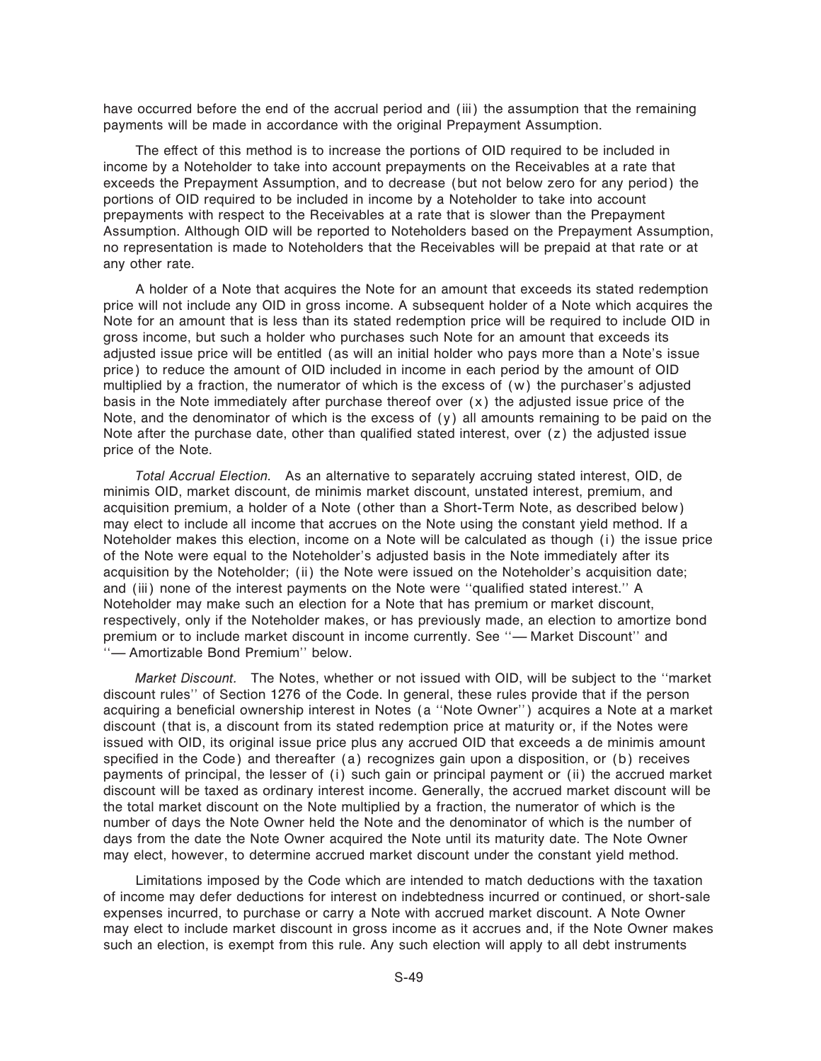have occurred before the end of the accrual period and (iii) the assumption that the remaining payments will be made in accordance with the original Prepayment Assumption.

The effect of this method is to increase the portions of OID required to be included in income by a Noteholder to take into account prepayments on the Receivables at a rate that exceeds the Prepayment Assumption, and to decrease (but not below zero for any period) the portions of OID required to be included in income by a Noteholder to take into account prepayments with respect to the Receivables at a rate that is slower than the Prepayment Assumption. Although OID will be reported to Noteholders based on the Prepayment Assumption, no representation is made to Noteholders that the Receivables will be prepaid at that rate or at any other rate.

A holder of a Note that acquires the Note for an amount that exceeds its stated redemption price will not include any OID in gross income. A subsequent holder of a Note which acquires the Note for an amount that is less than its stated redemption price will be required to include OID in gross income, but such a holder who purchases such Note for an amount that exceeds its adjusted issue price will be entitled (as will an initial holder who pays more than a Note's issue price) to reduce the amount of OID included in income in each period by the amount of OID multiplied by a fraction, the numerator of which is the excess of (w) the purchaser's adjusted basis in the Note immediately after purchase thereof over (x) the adjusted issue price of the Note, and the denominator of which is the excess of (y) all amounts remaining to be paid on the Note after the purchase date, other than qualified stated interest, over  $(z)$  the adjusted issue price of the Note.

*Total Accrual Election.* As an alternative to separately accruing stated interest, OID, de minimis OID, market discount, de minimis market discount, unstated interest, premium, and acquisition premium, a holder of a Note (other than a Short-Term Note, as described below) may elect to include all income that accrues on the Note using the constant yield method. If a Noteholder makes this election, income on a Note will be calculated as though (i) the issue price of the Note were equal to the Noteholder's adjusted basis in the Note immediately after its acquisition by the Noteholder; (ii) the Note were issued on the Noteholder's acquisition date; and (iii) none of the interest payments on the Note were "qualified stated interest." A Noteholder may make such an election for a Note that has premium or market discount, respectively, only if the Noteholder makes, or has previously made, an election to amortize bond premium or to include market discount in income currently. See "-Market Discount" and "- Amortizable Bond Premium" below.

*Market Discount.* The Notes, whether or not issued with OID, will be subject to the ""market discount rules'' of Section 1276 of the Code. In general, these rules provide that if the person acquiring a beneficial ownership interest in Notes (a "Note Owner") acquires a Note at a market discount (that is, a discount from its stated redemption price at maturity or, if the Notes were issued with OID, its original issue price plus any accrued OID that exceeds a de minimis amount specified in the Code) and thereafter (a) recognizes gain upon a disposition, or (b) receives payments of principal, the lesser of (i) such gain or principal payment or (ii) the accrued market discount will be taxed as ordinary interest income. Generally, the accrued market discount will be the total market discount on the Note multiplied by a fraction, the numerator of which is the number of days the Note Owner held the Note and the denominator of which is the number of days from the date the Note Owner acquired the Note until its maturity date. The Note Owner may elect, however, to determine accrued market discount under the constant yield method.

Limitations imposed by the Code which are intended to match deductions with the taxation of income may defer deductions for interest on indebtedness incurred or continued, or short-sale expenses incurred, to purchase or carry a Note with accrued market discount. A Note Owner may elect to include market discount in gross income as it accrues and, if the Note Owner makes such an election, is exempt from this rule. Any such election will apply to all debt instruments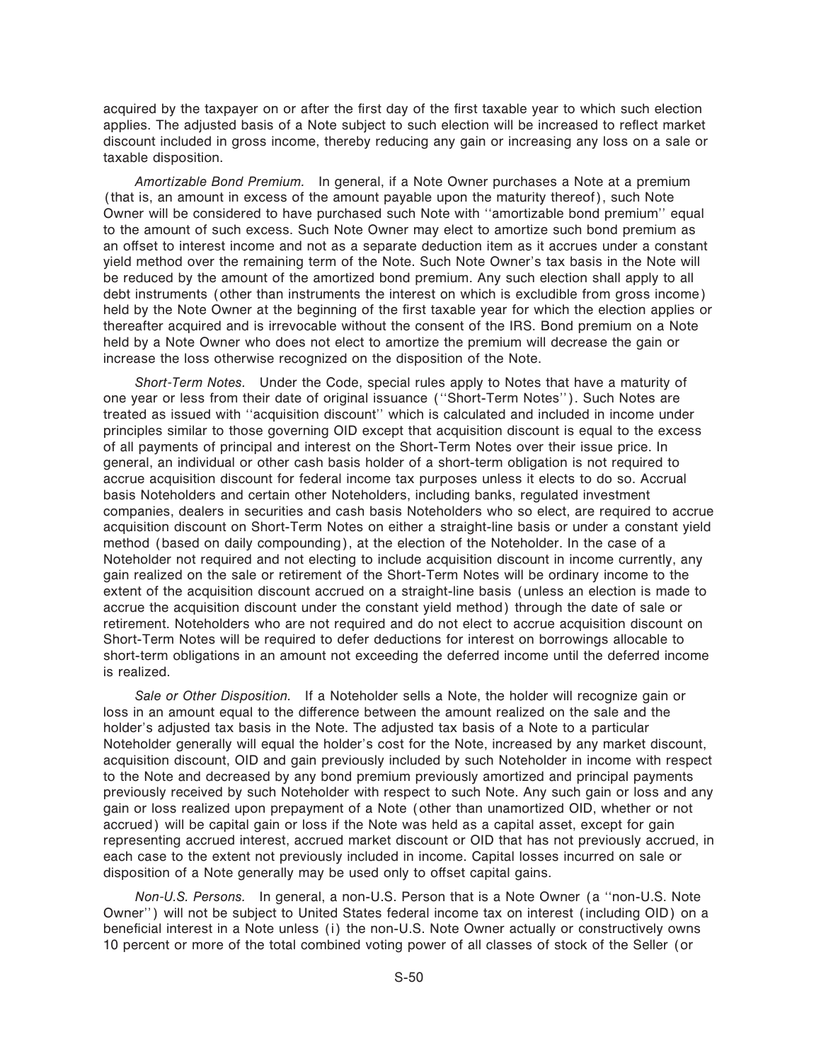acquired by the taxpayer on or after the first day of the first taxable year to which such election applies. The adjusted basis of a Note subject to such election will be increased to reflect market discount included in gross income, thereby reducing any gain or increasing any loss on a sale or taxable disposition.

*Amortizable Bond Premium.* In general, if a Note Owner purchases a Note at a premium (that is, an amount in excess of the amount payable upon the maturity thereof), such Note Owner will be considered to have purchased such Note with "amortizable bond premium" equal to the amount of such excess. Such Note Owner may elect to amortize such bond premium as an offset to interest income and not as a separate deduction item as it accrues under a constant yield method over the remaining term of the Note. Such Note Owner's tax basis in the Note will be reduced by the amount of the amortized bond premium. Any such election shall apply to all debt instruments (other than instruments the interest on which is excludible from gross income) held by the Note Owner at the beginning of the first taxable year for which the election applies or thereafter acquired and is irrevocable without the consent of the IRS. Bond premium on a Note held by a Note Owner who does not elect to amortize the premium will decrease the gain or increase the loss otherwise recognized on the disposition of the Note.

*Short-Term Notes.* Under the Code, special rules apply to Notes that have a maturity of one year or less from their date of original issuance (""Short-Term Notes''). Such Notes are treated as issued with ""acquisition discount'' which is calculated and included in income under principles similar to those governing OID except that acquisition discount is equal to the excess of all payments of principal and interest on the Short-Term Notes over their issue price. In general, an individual or other cash basis holder of a short-term obligation is not required to accrue acquisition discount for federal income tax purposes unless it elects to do so. Accrual basis Noteholders and certain other Noteholders, including banks, regulated investment companies, dealers in securities and cash basis Noteholders who so elect, are required to accrue acquisition discount on Short-Term Notes on either a straight-line basis or under a constant yield method (based on daily compounding), at the election of the Noteholder. In the case of a Noteholder not required and not electing to include acquisition discount in income currently, any gain realized on the sale or retirement of the Short-Term Notes will be ordinary income to the extent of the acquisition discount accrued on a straight-line basis (unless an election is made to accrue the acquisition discount under the constant yield method) through the date of sale or retirement. Noteholders who are not required and do not elect to accrue acquisition discount on Short-Term Notes will be required to defer deductions for interest on borrowings allocable to short-term obligations in an amount not exceeding the deferred income until the deferred income is realized.

*Sale or Other Disposition.* If a Noteholder sells a Note, the holder will recognize gain or loss in an amount equal to the difference between the amount realized on the sale and the holder's adjusted tax basis in the Note. The adjusted tax basis of a Note to a particular Noteholder generally will equal the holder's cost for the Note, increased by any market discount, acquisition discount, OID and gain previously included by such Noteholder in income with respect to the Note and decreased by any bond premium previously amortized and principal payments previously received by such Noteholder with respect to such Note. Any such gain or loss and any gain or loss realized upon prepayment of a Note (other than unamortized OID, whether or not accrued) will be capital gain or loss if the Note was held as a capital asset, except for gain representing accrued interest, accrued market discount or OID that has not previously accrued, in each case to the extent not previously included in income. Capital losses incurred on sale or disposition of a Note generally may be used only to offset capital gains.

*Non-U.S. Persons.* In general, a non-U.S. Person that is a Note Owner (a ""non-U.S. Note Owner'') will not be subject to United States federal income tax on interest (including OID) on a beneficial interest in a Note unless (i) the non-U.S. Note Owner actually or constructively owns 10 percent or more of the total combined voting power of all classes of stock of the Seller (or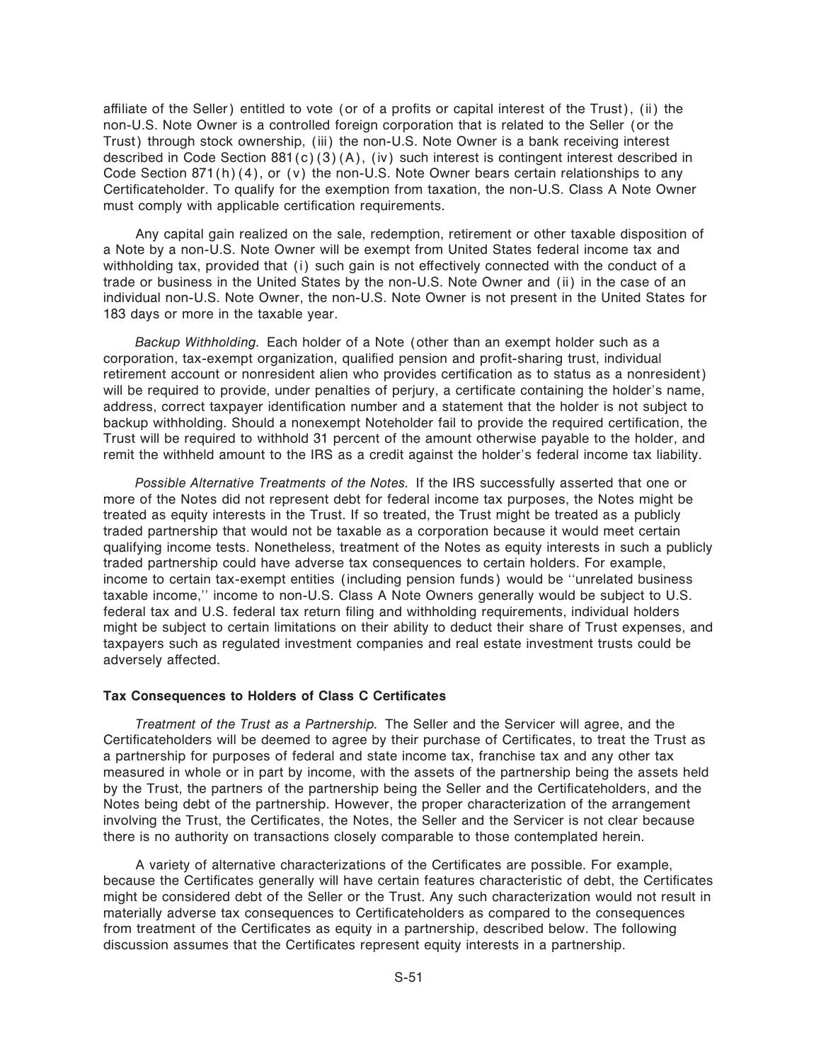affiliate of the Seller) entitled to vote (or of a profits or capital interest of the Trust), (ii) the non-U.S. Note Owner is a controlled foreign corporation that is related to the Seller (or the Trust) through stock ownership, (iii) the non-U.S. Note Owner is a bank receiving interest described in Code Section 881(c)(3)(A), (iv) such interest is contingent interest described in Code Section 871(h)(4), or (v) the non-U.S. Note Owner bears certain relationships to any Certificateholder. To qualify for the exemption from taxation, the non-U.S. Class A Note Owner must comply with applicable certification requirements.

Any capital gain realized on the sale, redemption, retirement or other taxable disposition of a Note by a non-U.S. Note Owner will be exempt from United States federal income tax and withholding tax, provided that (i) such gain is not effectively connected with the conduct of a trade or business in the United States by the non-U.S. Note Owner and (ii) in the case of an individual non-U.S. Note Owner, the non-U.S. Note Owner is not present in the United States for 183 days or more in the taxable year.

*Backup Withholding.* Each holder of a Note (other than an exempt holder such as a corporation, tax-exempt organization, qualified pension and profit-sharing trust, individual retirement account or nonresident alien who provides certification as to status as a nonresident) will be required to provide, under penalties of perjury, a certificate containing the holder's name, address, correct taxpayer identification number and a statement that the holder is not subject to backup withholding. Should a nonexempt Noteholder fail to provide the required certification, the Trust will be required to withhold 31 percent of the amount otherwise payable to the holder, and remit the withheld amount to the IRS as a credit against the holder's federal income tax liability.

*Possible Alternative Treatments of the Notes.* If the IRS successfully asserted that one or more of the Notes did not represent debt for federal income tax purposes, the Notes might be treated as equity interests in the Trust. If so treated, the Trust might be treated as a publicly traded partnership that would not be taxable as a corporation because it would meet certain qualifying income tests. Nonetheless, treatment of the Notes as equity interests in such a publicly traded partnership could have adverse tax consequences to certain holders. For example, income to certain tax-exempt entities (including pension funds) would be "unrelated business taxable income,'' income to non-U.S. Class A Note Owners generally would be subject to U.S. federal tax and U.S. federal tax return filing and withholding requirements, individual holders might be subject to certain limitations on their ability to deduct their share of Trust expenses, and taxpayers such as regulated investment companies and real estate investment trusts could be adversely affected.

#### **Tax Consequences to Holders of Class C Certificates**

*Treatment of the Trust as a Partnership.* The Seller and the Servicer will agree, and the Certificateholders will be deemed to agree by their purchase of Certificates, to treat the Trust as a partnership for purposes of federal and state income tax, franchise tax and any other tax measured in whole or in part by income, with the assets of the partnership being the assets held by the Trust, the partners of the partnership being the Seller and the Certificateholders, and the Notes being debt of the partnership. However, the proper characterization of the arrangement involving the Trust, the Certificates, the Notes, the Seller and the Servicer is not clear because there is no authority on transactions closely comparable to those contemplated herein.

A variety of alternative characterizations of the Certificates are possible. For example, because the Certificates generally will have certain features characteristic of debt, the Certificates might be considered debt of the Seller or the Trust. Any such characterization would not result in materially adverse tax consequences to Certificateholders as compared to the consequences from treatment of the Certificates as equity in a partnership, described below. The following discussion assumes that the Certificates represent equity interests in a partnership.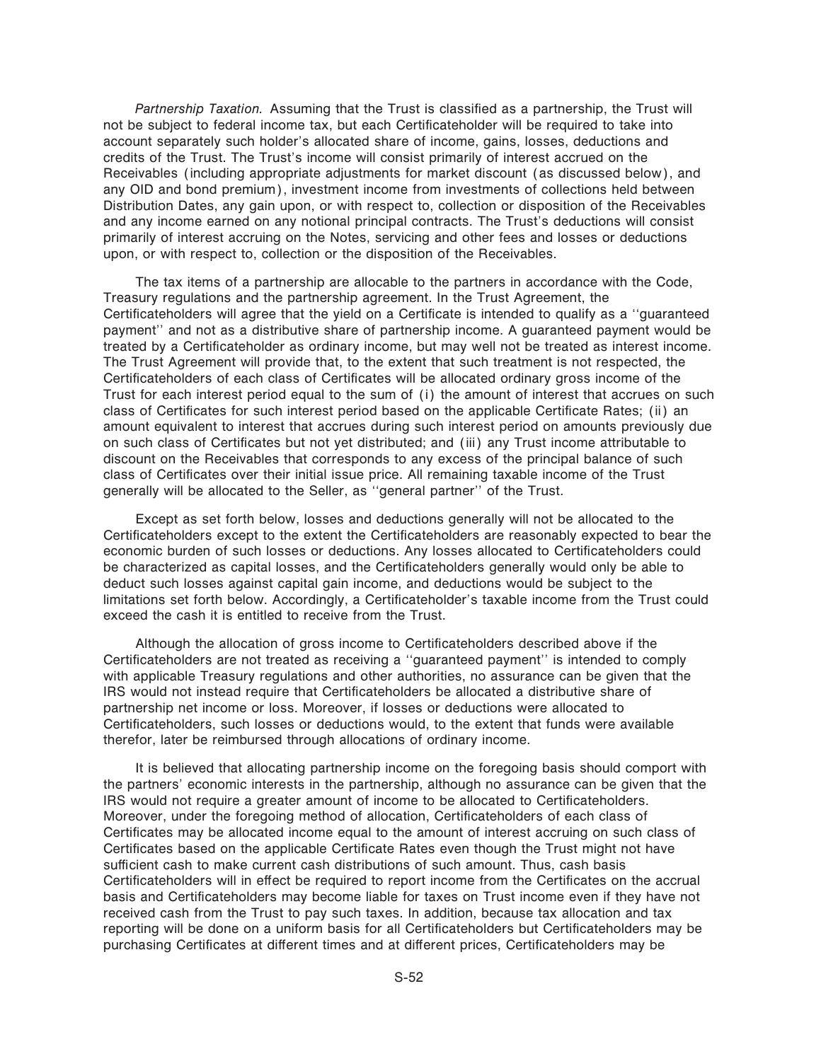Partnership Taxation. Assuming that the Trust is classified as a partnership, the Trust will not be subject to federal income tax, but each Certificateholder will be required to take into account separately such holder's allocated share of income, gains, losses, deductions and credits of the Trust. The Trust's income will consist primarily of interest accrued on the Receivables (including appropriate adjustments for market discount (as discussed below), and any OID and bond premium), investment income from investments of collections held between Distribution Dates, any gain upon, or with respect to, collection or disposition of the Receivables and any income earned on any notional principal contracts. The Trust's deductions will consist primarily of interest accruing on the Notes, servicing and other fees and losses or deductions upon, or with respect to, collection or the disposition of the Receivables.

The tax items of a partnership are allocable to the partners in accordance with the Code, Treasury regulations and the partnership agreement. In the Trust Agreement, the Certificateholders will agree that the yield on a Certificate is intended to qualify as a "guaranteed payment'' and not as a distributive share of partnership income. A guaranteed payment would be treated by a Certificateholder as ordinary income, but may well not be treated as interest income. The Trust Agreement will provide that, to the extent that such treatment is not respected, the Certificateholders of each class of Certificates will be allocated ordinary gross income of the Trust for each interest period equal to the sum of (i) the amount of interest that accrues on such class of Certificates for such interest period based on the applicable Certificate Rates; (ii) an amount equivalent to interest that accrues during such interest period on amounts previously due on such class of Certificates but not yet distributed; and (iii) any Trust income attributable to discount on the Receivables that corresponds to any excess of the principal balance of such class of Certificates over their initial issue price. All remaining taxable income of the Trust generally will be allocated to the Seller, as ""general partner'' of the Trust.

Except as set forth below, losses and deductions generally will not be allocated to the Certificateholders except to the extent the Certificateholders are reasonably expected to bear the economic burden of such losses or deductions. Any losses allocated to Certificateholders could be characterized as capital losses, and the Certificateholders generally would only be able to deduct such losses against capital gain income, and deductions would be subject to the limitations set forth below. Accordingly, a Certificateholder's taxable income from the Trust could exceed the cash it is entitled to receive from the Trust.

Although the allocation of gross income to Certificateholders described above if the Certificateholders are not treated as receiving a "guaranteed payment" is intended to comply with applicable Treasury regulations and other authorities, no assurance can be given that the IRS would not instead require that Certificateholders be allocated a distributive share of partnership net income or loss. Moreover, if losses or deductions were allocated to Certificateholders, such losses or deductions would, to the extent that funds were available therefor, later be reimbursed through allocations of ordinary income.

It is believed that allocating partnership income on the foregoing basis should comport with the partners' economic interests in the partnership, although no assurance can be given that the IRS would not require a greater amount of income to be allocated to Certificateholders. Moreover, under the foregoing method of allocation, Certificateholders of each class of Certificates may be allocated income equal to the amount of interest accruing on such class of Certificates based on the applicable Certificate Rates even though the Trust might not have sufficient cash to make current cash distributions of such amount. Thus, cash basis Certificateholders will in effect be required to report income from the Certificates on the accrual basis and Certificateholders may become liable for taxes on Trust income even if they have not received cash from the Trust to pay such taxes. In addition, because tax allocation and tax reporting will be done on a uniform basis for all Certificateholders but Certificateholders may be purchasing Certificates at different times and at different prices, Certificateholders may be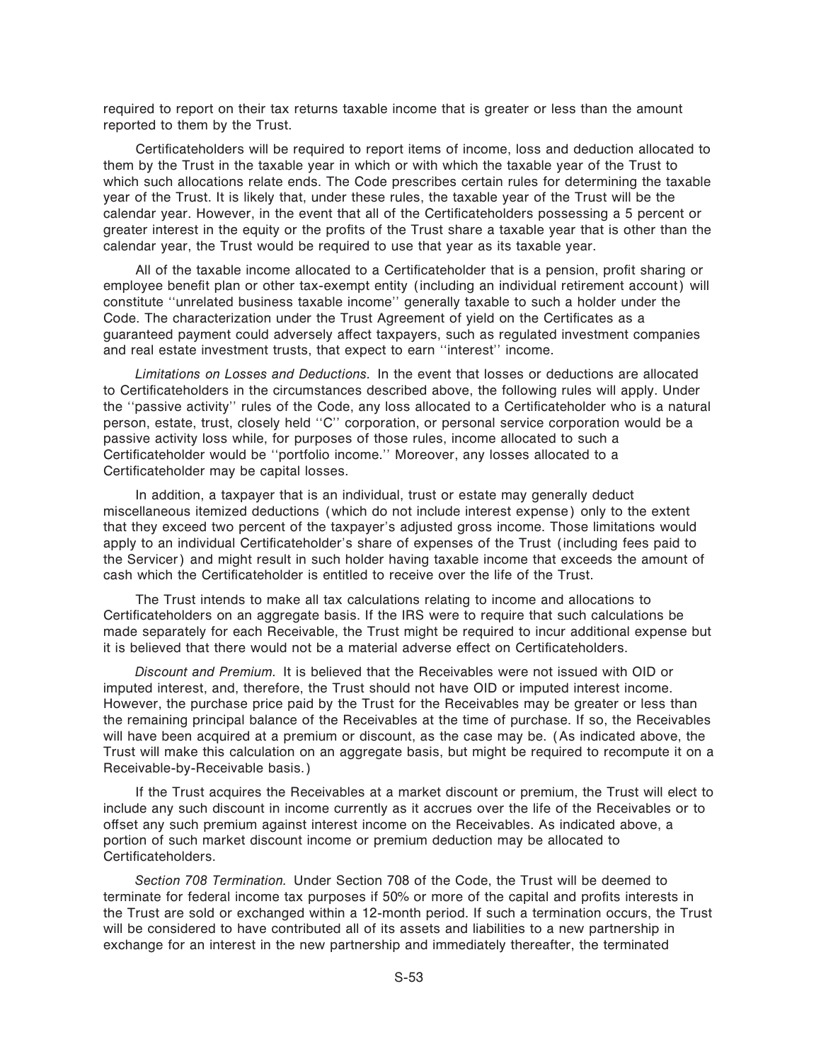required to report on their tax returns taxable income that is greater or less than the amount reported to them by the Trust.

Certificateholders will be required to report items of income, loss and deduction allocated to them by the Trust in the taxable year in which or with which the taxable year of the Trust to which such allocations relate ends. The Code prescribes certain rules for determining the taxable year of the Trust. It is likely that, under these rules, the taxable year of the Trust will be the calendar year. However, in the event that all of the Certificateholders possessing a 5 percent or greater interest in the equity or the profits of the Trust share a taxable year that is other than the calendar year, the Trust would be required to use that year as its taxable year.

All of the taxable income allocated to a Certificateholder that is a pension, profit sharing or employee benefit plan or other tax-exempt entity (including an individual retirement account) will constitute "unrelated business taxable income" generally taxable to such a holder under the Code. The characterization under the Trust Agreement of yield on the Certificates as a guaranteed payment could adversely affect taxpayers, such as regulated investment companies and real estate investment trusts, that expect to earn ""interest'' income.

*Limitations on Losses and Deductions.* In the event that losses or deductions are allocated to Certificateholders in the circumstances described above, the following rules will apply. Under the "passive activity" rules of the Code, any loss allocated to a Certificateholder who is a natural person, estate, trust, closely held "C" corporation, or personal service corporation would be a passive activity loss while, for purposes of those rules, income allocated to such a Certificateholder would be "portfolio income." Moreover, any losses allocated to a Certificateholder may be capital losses.

In addition, a taxpayer that is an individual, trust or estate may generally deduct miscellaneous itemized deductions (which do not include interest expense) only to the extent that they exceed two percent of the taxpayer's adjusted gross income. Those limitations would apply to an individual Certificateholder's share of expenses of the Trust (including fees paid to the Servicer) and might result in such holder having taxable income that exceeds the amount of cash which the Certificateholder is entitled to receive over the life of the Trust.

The Trust intends to make all tax calculations relating to income and allocations to Certificateholders on an aggregate basis. If the IRS were to require that such calculations be made separately for each Receivable, the Trust might be required to incur additional expense but it is believed that there would not be a material adverse effect on Certificateholders.

*Discount and Premium.* It is believed that the Receivables were not issued with OID or imputed interest, and, therefore, the Trust should not have OID or imputed interest income. However, the purchase price paid by the Trust for the Receivables may be greater or less than the remaining principal balance of the Receivables at the time of purchase. If so, the Receivables will have been acquired at a premium or discount, as the case may be. (As indicated above, the Trust will make this calculation on an aggregate basis, but might be required to recompute it on a Receivable-by-Receivable basis.)

If the Trust acquires the Receivables at a market discount or premium, the Trust will elect to include any such discount in income currently as it accrues over the life of the Receivables or to offset any such premium against interest income on the Receivables. As indicated above, a portion of such market discount income or premium deduction may be allocated to Certificateholders.

*Section 708 Termination.* Under Section 708 of the Code, the Trust will be deemed to terminate for federal income tax purposes if 50% or more of the capital and profits interests in the Trust are sold or exchanged within a 12-month period. If such a termination occurs, the Trust will be considered to have contributed all of its assets and liabilities to a new partnership in exchange for an interest in the new partnership and immediately thereafter, the terminated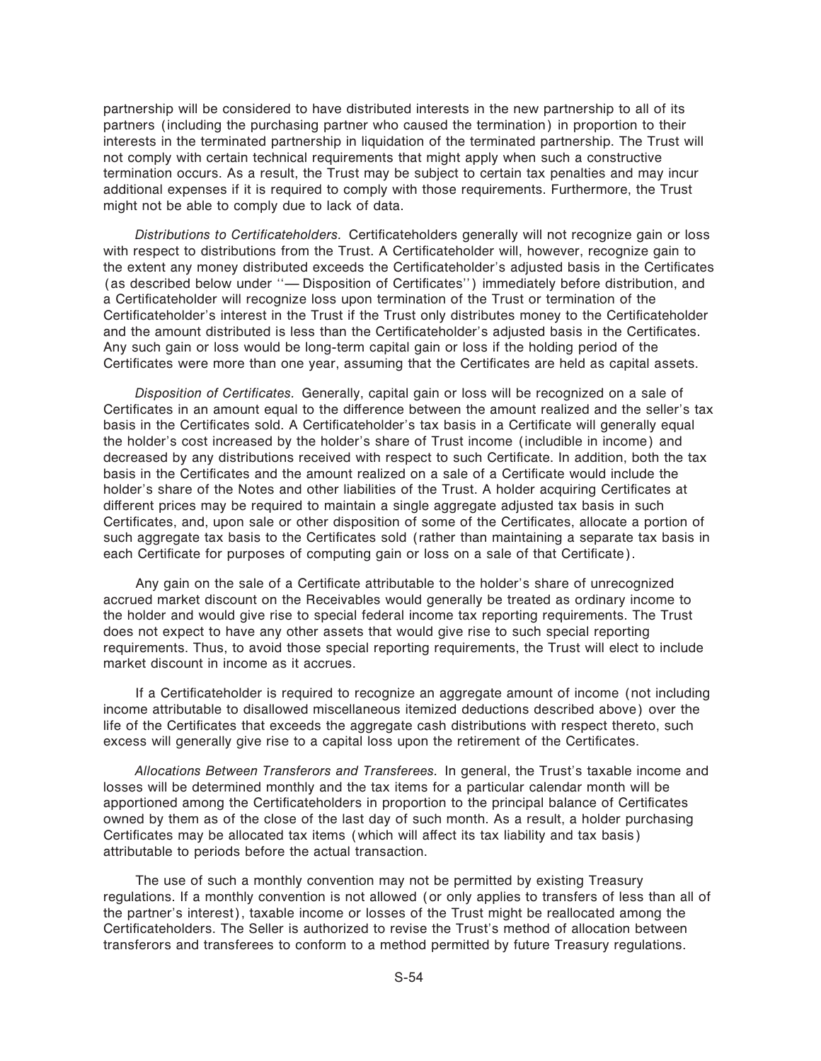partnership will be considered to have distributed interests in the new partnership to all of its partners (including the purchasing partner who caused the termination) in proportion to their interests in the terminated partnership in liquidation of the terminated partnership. The Trust will not comply with certain technical requirements that might apply when such a constructive termination occurs. As a result, the Trust may be subject to certain tax penalties and may incur additional expenses if it is required to comply with those requirements. Furthermore, the Trust might not be able to comply due to lack of data.

Distributions to Certificateholders. Certificateholders generally will not recognize gain or loss with respect to distributions from the Trust. A Certificateholder will, however, recognize gain to the extent any money distributed exceeds the Certificateholder's adjusted basis in the Certificates (as described below under "- Disposition of Certificates") immediately before distribution, and a Certificateholder will recognize loss upon termination of the Trust or termination of the Certificateholder's interest in the Trust if the Trust only distributes money to the Certificateholder and the amount distributed is less than the Certificateholder's adjusted basis in the Certificates. Any such gain or loss would be long-term capital gain or loss if the holding period of the Certificates were more than one year, assuming that the Certificates are held as capital assets.

*Disposition of Certificates.* Generally, capital gain or loss will be recognized on a sale of Certificates in an amount equal to the difference between the amount realized and the seller's tax basis in the Certificates sold. A Certificateholder's tax basis in a Certificate will generally equal the holder's cost increased by the holder's share of Trust income (includible in income) and decreased by any distributions received with respect to such Certificate. In addition, both the tax basis in the Certificates and the amount realized on a sale of a Certificate would include the holder's share of the Notes and other liabilities of the Trust. A holder acquiring Certificates at different prices may be required to maintain a single aggregate adjusted tax basis in such Certificates, and, upon sale or other disposition of some of the Certificates, allocate a portion of such aggregate tax basis to the Certificates sold (rather than maintaining a separate tax basis in each Certificate for purposes of computing gain or loss on a sale of that Certificate).

Any gain on the sale of a Certificate attributable to the holder's share of unrecognized accrued market discount on the Receivables would generally be treated as ordinary income to the holder and would give rise to special federal income tax reporting requirements. The Trust does not expect to have any other assets that would give rise to such special reporting requirements. Thus, to avoid those special reporting requirements, the Trust will elect to include market discount in income as it accrues.

If a Certificateholder is required to recognize an aggregate amount of income (not including income attributable to disallowed miscellaneous itemized deductions described above) over the life of the Certificates that exceeds the aggregate cash distributions with respect thereto, such excess will generally give rise to a capital loss upon the retirement of the Certificates.

*Allocations Between Transferors and Transferees.* In general, the Trust's taxable income and losses will be determined monthly and the tax items for a particular calendar month will be apportioned among the Certificateholders in proportion to the principal balance of Certificates owned by them as of the close of the last day of such month. As a result, a holder purchasing Certificates may be allocated tax items (which will affect its tax liability and tax basis) attributable to periods before the actual transaction.

The use of such a monthly convention may not be permitted by existing Treasury regulations. If a monthly convention is not allowed (or only applies to transfers of less than all of the partner's interest), taxable income or losses of the Trust might be reallocated among the Certificateholders. The Seller is authorized to revise the Trust's method of allocation between transferors and transferees to conform to a method permitted by future Treasury regulations.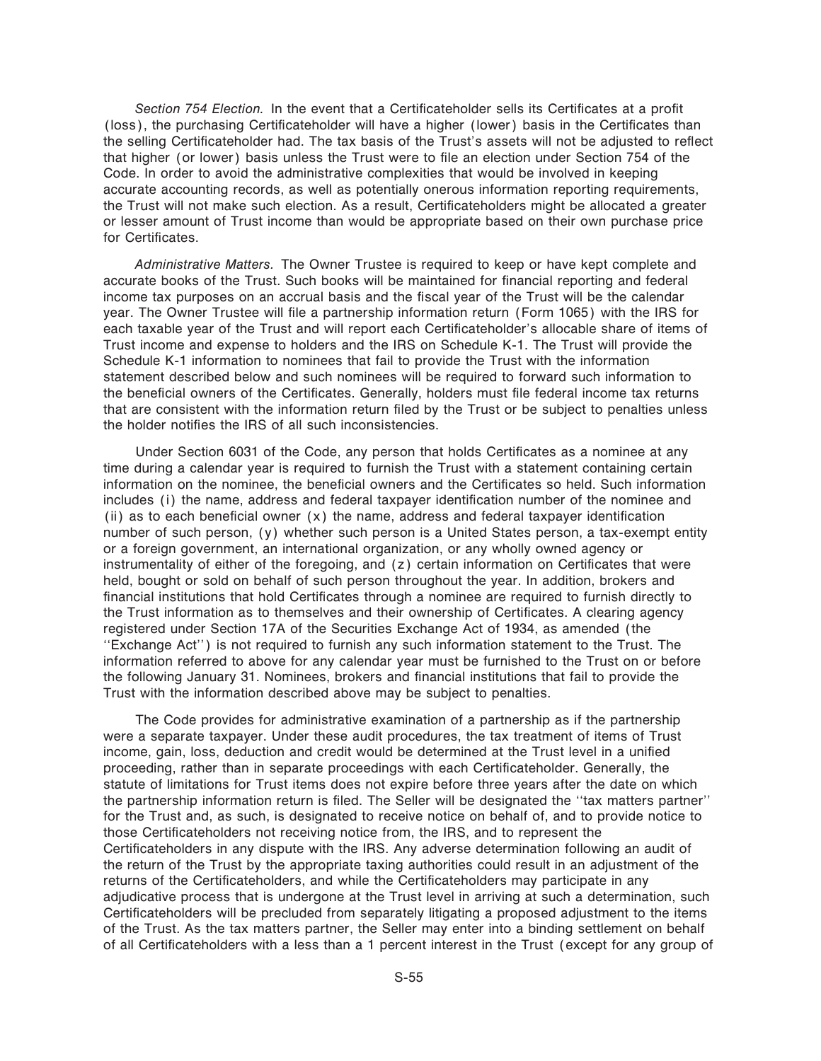Section 754 Election. In the event that a Certificateholder sells its Certificates at a profit (loss), the purchasing Certificateholder will have a higher (lower) basis in the Certificates than the selling Certificateholder had. The tax basis of the Trust's assets will not be adjusted to reflect that higher (or lower) basis unless the Trust were to file an election under Section 754 of the Code. In order to avoid the administrative complexities that would be involved in keeping accurate accounting records, as well as potentially onerous information reporting requirements, the Trust will not make such election. As a result, Certificateholders might be allocated a greater or lesser amount of Trust income than would be appropriate based on their own purchase price for Certificates.

*Administrative Matters.* The Owner Trustee is required to keep or have kept complete and accurate books of the Trust. Such books will be maintained for financial reporting and federal income tax purposes on an accrual basis and the fiscal year of the Trust will be the calendar year. The Owner Trustee will file a partnership information return (Form 1065) with the IRS for each taxable year of the Trust and will report each Certificateholder's allocable share of items of Trust income and expense to holders and the IRS on Schedule K-1. The Trust will provide the Schedule K-1 information to nominees that fail to provide the Trust with the information statement described below and such nominees will be required to forward such information to the beneficial owners of the Certificates. Generally, holders must file federal income tax returns that are consistent with the information return filed by the Trust or be subject to penalties unless the holder notifies the IRS of all such inconsistencies.

Under Section 6031 of the Code, any person that holds Certificates as a nominee at any time during a calendar year is required to furnish the Trust with a statement containing certain information on the nominee, the beneficial owners and the Certificates so held. Such information includes (i) the name, address and federal taxpayer identification number of the nominee and (ii) as to each beneficial owner  $(x)$  the name, address and federal taxpayer identification number of such person, (y) whether such person is a United States person, a tax-exempt entity or a foreign government, an international organization, or any wholly owned agency or instrumentality of either of the foregoing, and (z) certain information on Certificates that were held, bought or sold on behalf of such person throughout the year. In addition, brokers and financial institutions that hold Certificates through a nominee are required to furnish directly to the Trust information as to themselves and their ownership of Certificates. A clearing agency registered under Section 17A of the Securities Exchange Act of 1934, as amended (the "Exchange Act") is not required to furnish any such information statement to the Trust. The information referred to above for any calendar year must be furnished to the Trust on or before the following January 31. Nominees, brokers and financial institutions that fail to provide the Trust with the information described above may be subject to penalties.

The Code provides for administrative examination of a partnership as if the partnership were a separate taxpayer. Under these audit procedures, the tax treatment of items of Trust income, gain, loss, deduction and credit would be determined at the Trust level in a unified proceeding, rather than in separate proceedings with each Certificateholder. Generally, the statute of limitations for Trust items does not expire before three years after the date on which the partnership information return is filed. The Seller will be designated the "tax matters partner" for the Trust and, as such, is designated to receive notice on behalf of, and to provide notice to those Certificateholders not receiving notice from, the IRS, and to represent the Certificateholders in any dispute with the IRS. Any adverse determination following an audit of the return of the Trust by the appropriate taxing authorities could result in an adjustment of the returns of the Certificateholders, and while the Certificateholders may participate in any adjudicative process that is undergone at the Trust level in arriving at such a determination, such Certificateholders will be precluded from separately litigating a proposed adjustment to the items of the Trust. As the tax matters partner, the Seller may enter into a binding settlement on behalf of all Certificateholders with a less than a 1 percent interest in the Trust (except for any group of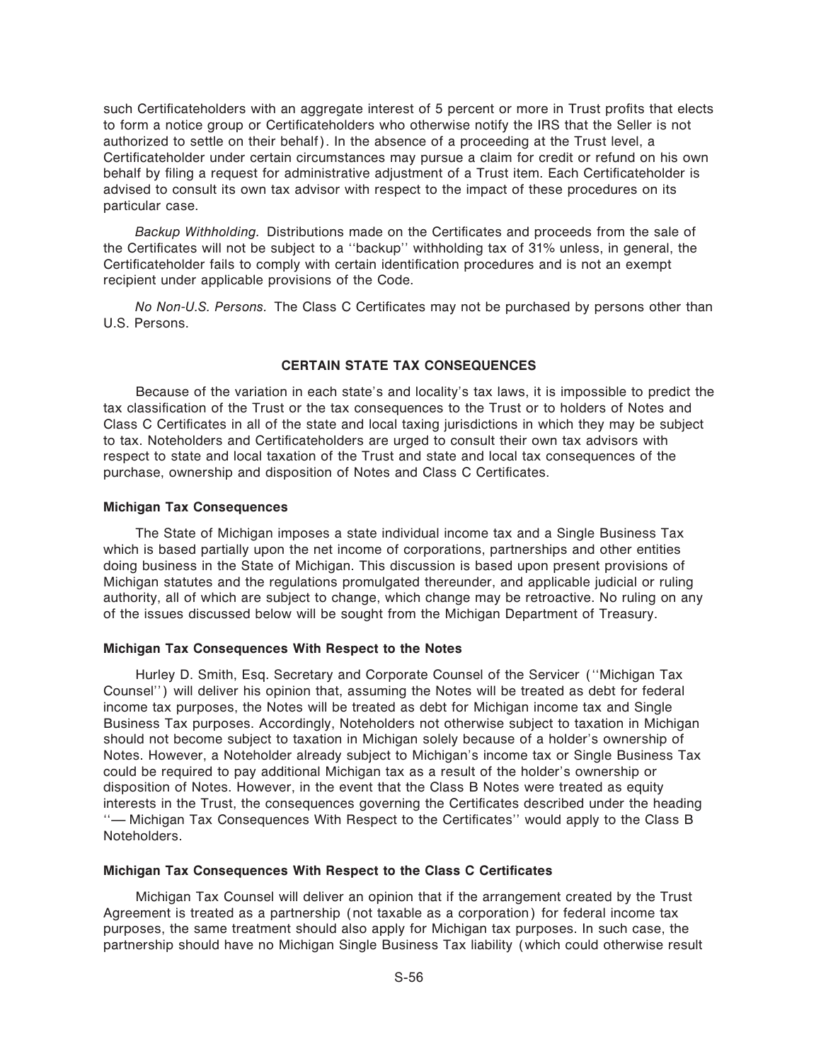such Certificateholders with an aggregate interest of 5 percent or more in Trust profits that elects to form a notice group or Certificateholders who otherwise notify the IRS that the Seller is not authorized to settle on their behalf). In the absence of a proceeding at the Trust level, a Certificateholder under certain circumstances may pursue a claim for credit or refund on his own behalf by filing a request for administrative adjustment of a Trust item. Each Certificateholder is advised to consult its own tax advisor with respect to the impact of these procedures on its particular case.

Backup Withholding. Distributions made on the Certificates and proceeds from the sale of the Certificates will not be subject to a "backup" withholding tax of 31% unless, in general, the Certificateholder fails to comply with certain identification procedures and is not an exempt recipient under applicable provisions of the Code.

*No Non-U.S. Persons.* The Class C Certificates may not be purchased by persons other than U.S. Persons.

#### **CERTAIN STATE TAX CONSEQUENCES**

Because of the variation in each state's and locality's tax laws, it is impossible to predict the tax classification of the Trust or the tax consequences to the Trust or to holders of Notes and Class C Certificates in all of the state and local taxing jurisdictions in which they may be subject to tax. Noteholders and Certificateholders are urged to consult their own tax advisors with respect to state and local taxation of the Trust and state and local tax consequences of the purchase, ownership and disposition of Notes and Class C Certificates.

#### **Michigan Tax Consequences**

The State of Michigan imposes a state individual income tax and a Single Business Tax which is based partially upon the net income of corporations, partnerships and other entities doing business in the State of Michigan. This discussion is based upon present provisions of Michigan statutes and the regulations promulgated thereunder, and applicable judicial or ruling authority, all of which are subject to change, which change may be retroactive. No ruling on any of the issues discussed below will be sought from the Michigan Department of Treasury.

#### **Michigan Tax Consequences With Respect to the Notes**

Hurley D. Smith, Esq. Secretary and Corporate Counsel of the Servicer (""Michigan Tax Counsel'') will deliver his opinion that, assuming the Notes will be treated as debt for federal income tax purposes, the Notes will be treated as debt for Michigan income tax and Single Business Tax purposes. Accordingly, Noteholders not otherwise subject to taxation in Michigan should not become subject to taxation in Michigan solely because of a holder's ownership of Notes. However, a Noteholder already subject to Michigan's income tax or Single Business Tax could be required to pay additional Michigan tax as a result of the holder's ownership or disposition of Notes. However, in the event that the Class B Notes were treated as equity interests in the Trust, the consequences governing the Certificates described under the heading "— Michigan Tax Consequences With Respect to the Certificates" would apply to the Class B Noteholders.

#### **Michigan Tax Consequences With Respect to the Class C Certificates**

Michigan Tax Counsel will deliver an opinion that if the arrangement created by the Trust Agreement is treated as a partnership (not taxable as a corporation) for federal income tax purposes, the same treatment should also apply for Michigan tax purposes. In such case, the partnership should have no Michigan Single Business Tax liability (which could otherwise result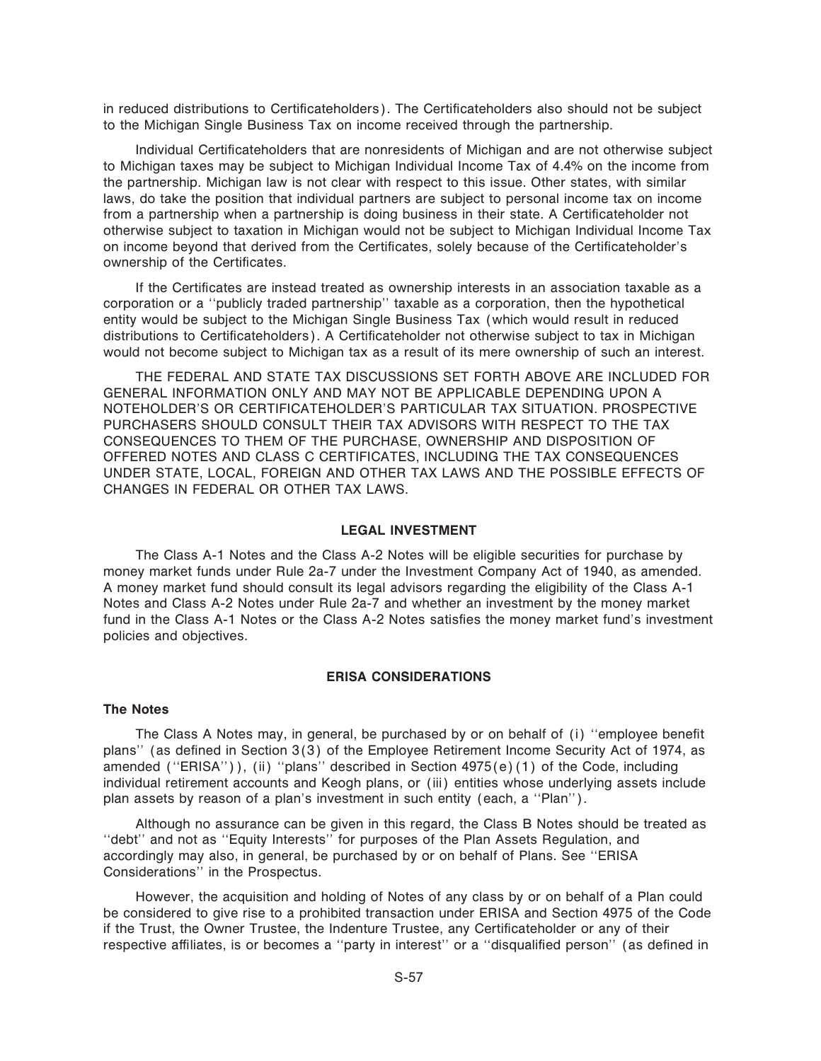in reduced distributions to Certificateholders). The Certificateholders also should not be subject to the Michigan Single Business Tax on income received through the partnership.

Individual Certificateholders that are nonresidents of Michigan and are not otherwise subject to Michigan taxes may be subject to Michigan Individual Income Tax of 4.4% on the income from the partnership. Michigan law is not clear with respect to this issue. Other states, with similar laws, do take the position that individual partners are subject to personal income tax on income from a partnership when a partnership is doing business in their state. A Certificateholder not otherwise subject to taxation in Michigan would not be subject to Michigan Individual Income Tax on income beyond that derived from the Certificates, solely because of the Certificateholder's ownership of the Certificates.

If the Certificates are instead treated as ownership interests in an association taxable as a corporation or a ""publicly traded partnership'' taxable as a corporation, then the hypothetical entity would be subject to the Michigan Single Business Tax (which would result in reduced distributions to Certificateholders). A Certificateholder not otherwise subject to tax in Michigan would not become subject to Michigan tax as a result of its mere ownership of such an interest.

THE FEDERAL AND STATE TAX DISCUSSIONS SET FORTH ABOVE ARE INCLUDED FOR GENERAL INFORMATION ONLY AND MAY NOT BE APPLICABLE DEPENDING UPON A NOTEHOLDER'S OR CERTIFICATEHOLDER'S PARTICULAR TAX SITUATION. PROSPECTIVE PURCHASERS SHOULD CONSULT THEIR TAX ADVISORS WITH RESPECT TO THE TAX CONSEQUENCES TO THEM OF THE PURCHASE, OWNERSHIP AND DISPOSITION OF OFFERED NOTES AND CLASS C CERTIFICATES, INCLUDING THE TAX CONSEQUENCES UNDER STATE, LOCAL, FOREIGN AND OTHER TAX LAWS AND THE POSSIBLE EFFECTS OF CHANGES IN FEDERAL OR OTHER TAX LAWS.

### **LEGAL INVESTMENT**

The Class A-1 Notes and the Class A-2 Notes will be eligible securities for purchase by money market funds under Rule 2a-7 under the Investment Company Act of 1940, as amended. A money market fund should consult its legal advisors regarding the eligibility of the Class A-1 Notes and Class A-2 Notes under Rule 2a-7 and whether an investment by the money market fund in the Class A-1 Notes or the Class A-2 Notes satisfies the money market fund's investment policies and objectives.

#### **ERISA CONSIDERATIONS**

#### **The Notes**

The Class A Notes may, in general, be purchased by or on behalf of (i) "employee benefit plans" (as defined in Section 3(3) of the Employee Retirement Income Security Act of 1974, as amended ("ERISA")), (ii) "plans" described in Section 4975(e)(1) of the Code, including individual retirement accounts and Keogh plans, or (iii) entities whose underlying assets include plan assets by reason of a plan's investment in such entity (each, a ""Plan'').

Although no assurance can be given in this regard, the Class B Notes should be treated as "debt" and not as "Equity Interests" for purposes of the Plan Assets Regulation, and accordingly may also, in general, be purchased by or on behalf of Plans. See ""ERISA Considerations'' in the Prospectus.

However, the acquisition and holding of Notes of any class by or on behalf of a Plan could be considered to give rise to a prohibited transaction under ERISA and Section 4975 of the Code if the Trust, the Owner Trustee, the Indenture Trustee, any Certificateholder or any of their respective affiliates, is or becomes a "party in interest" or a "disqualified person" (as defined in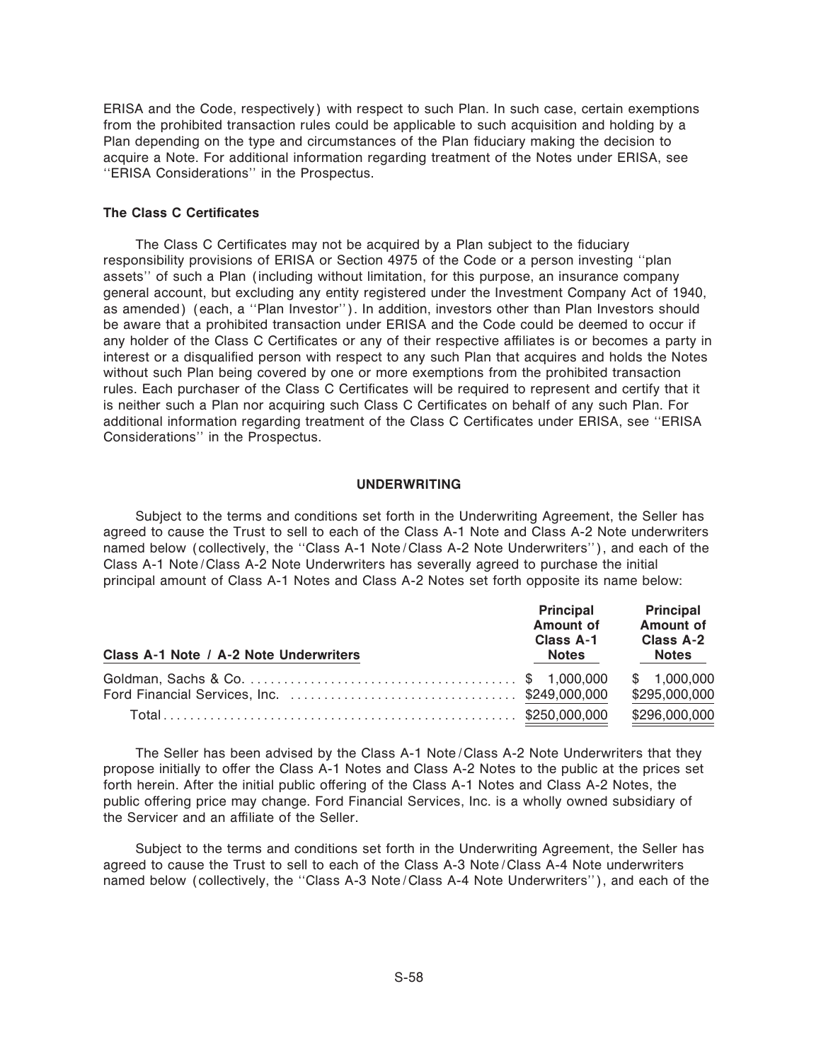ERISA and the Code, respectively) with respect to such Plan. In such case, certain exemptions from the prohibited transaction rules could be applicable to such acquisition and holding by a Plan depending on the type and circumstances of the Plan fiduciary making the decision to acquire a Note. For additional information regarding treatment of the Notes under ERISA, see "ERISA Considerations" in the Prospectus.

### **The Class C Certificates**

The Class C Certificates may not be acquired by a Plan subject to the fiduciary responsibility provisions of ERISA or Section 4975 of the Code or a person investing ""plan assets'' of such a Plan (including without limitation, for this purpose, an insurance company general account, but excluding any entity registered under the Investment Company Act of 1940, as amended) (each, a "Plan Investor"). In addition, investors other than Plan Investors should be aware that a prohibited transaction under ERISA and the Code could be deemed to occur if any holder of the Class C Certificates or any of their respective affiliates is or becomes a party in interest or a disqualified person with respect to any such Plan that acquires and holds the Notes without such Plan being covered by one or more exemptions from the prohibited transaction rules. Each purchaser of the Class C Certificates will be required to represent and certify that it is neither such a Plan nor acquiring such Class C Certificates on behalf of any such Plan. For additional information regarding treatment of the Class C Certificates under ERISA, see "ERISA Considerations'' in the Prospectus.

#### **UNDERWRITING**

Subject to the terms and conditions set forth in the Underwriting Agreement, the Seller has agreed to cause the Trust to sell to each of the Class A-1 Note and Class A-2 Note underwriters named below (collectively, the ""Class A-1 Note/Class A-2 Note Underwriters''), and each of the Class A-1 Note/Class A-2 Note Underwriters has severally agreed to purchase the initial principal amount of Class A-1 Notes and Class A-2 Notes set forth opposite its name below:

| Class A-1 Note / A-2 Note Underwriters | <b>Principal</b><br><b>Amount of</b><br>Class A-1<br><b>Notes</b> | <b>Principal</b><br><b>Amount of</b><br>Class A-2<br>Notes |
|----------------------------------------|-------------------------------------------------------------------|------------------------------------------------------------|
|                                        |                                                                   | \$1,000,000<br>\$295,000,000                               |
|                                        |                                                                   | \$296,000,000                                              |

The Seller has been advised by the Class A-1 Note/Class A-2 Note Underwriters that they propose initially to offer the Class A-1 Notes and Class A-2 Notes to the public at the prices set forth herein. After the initial public offering of the Class A-1 Notes and Class A-2 Notes, the public offering price may change. Ford Financial Services, Inc. is a wholly owned subsidiary of the Servicer and an affiliate of the Seller.

Subject to the terms and conditions set forth in the Underwriting Agreement, the Seller has agreed to cause the Trust to sell to each of the Class A-3 Note/Class A-4 Note underwriters named below (collectively, the ""Class A-3 Note/Class A-4 Note Underwriters''), and each of the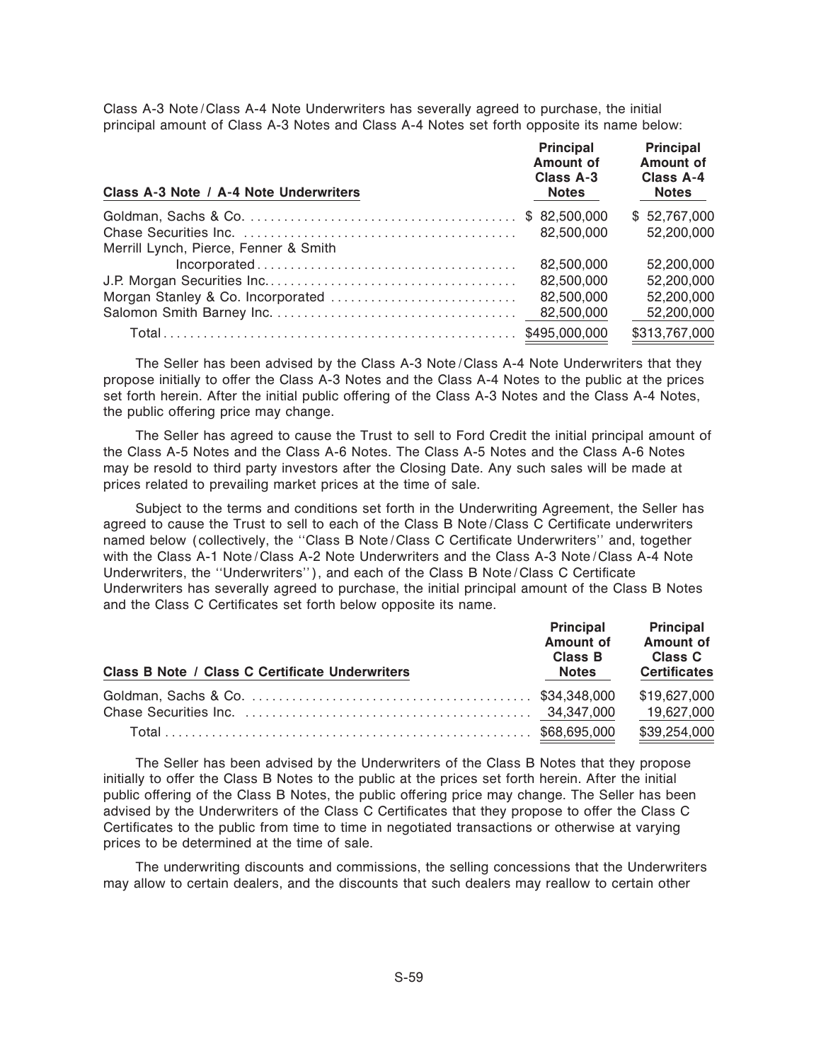Class A-3 Note/Class A-4 Note Underwriters has severally agreed to purchase, the initial principal amount of Class A-3 Notes and Class A-4 Notes set forth opposite its name below:

| Class A-3 Note / A-4 Note Underwriters | <b>Principal</b><br><b>Amount of</b><br>Class A-3<br><b>Notes</b> | <b>Principal</b><br><b>Amount of</b><br>Class A-4<br><b>Notes</b> |
|----------------------------------------|-------------------------------------------------------------------|-------------------------------------------------------------------|
|                                        |                                                                   | \$52,767,000                                                      |
|                                        | 82,500,000                                                        | 52,200,000                                                        |
| Merrill Lynch, Pierce, Fenner & Smith  |                                                                   |                                                                   |
|                                        | 82,500,000                                                        | 52,200,000                                                        |
|                                        | 82,500,000                                                        | 52,200,000                                                        |
|                                        | 82,500,000                                                        | 52,200,000                                                        |
|                                        | 82,500,000                                                        | 52,200,000                                                        |
|                                        |                                                                   | \$313,767,000                                                     |

The Seller has been advised by the Class A-3 Note/Class A-4 Note Underwriters that they propose initially to offer the Class A-3 Notes and the Class A-4 Notes to the public at the prices set forth herein. After the initial public offering of the Class A-3 Notes and the Class A-4 Notes, the public offering price may change.

The Seller has agreed to cause the Trust to sell to Ford Credit the initial principal amount of the Class A-5 Notes and the Class A-6 Notes. The Class A-5 Notes and the Class A-6 Notes may be resold to third party investors after the Closing Date. Any such sales will be made at prices related to prevailing market prices at the time of sale.

Subject to the terms and conditions set forth in the Underwriting Agreement, the Seller has agreed to cause the Trust to sell to each of the Class B Note/Class C Certificate underwriters named below (collectively, the "Class B Note/Class C Certificate Underwriters" and, together with the Class A-1 Note/Class A-2 Note Underwriters and the Class A-3 Note/Class A-4 Note Underwriters, the "Underwriters"), and each of the Class B Note/Class C Certificate Underwriters has severally agreed to purchase, the initial principal amount of the Class B Notes and the Class C Certificates set forth below opposite its name.

| <b>Class B Note / Class C Certificate Underwriters</b> | <b>Principal</b><br>Amount of<br>Class B<br><b>Notes</b> | <b>Principal</b><br>Amount of<br>Class C<br><b>Certificates</b> |
|--------------------------------------------------------|----------------------------------------------------------|-----------------------------------------------------------------|
|                                                        |                                                          | \$19,627,000                                                    |
|                                                        |                                                          | 19,627,000                                                      |
|                                                        |                                                          | \$39,254,000                                                    |

The Seller has been advised by the Underwriters of the Class B Notes that they propose initially to offer the Class B Notes to the public at the prices set forth herein. After the initial public offering of the Class B Notes, the public offering price may change. The Seller has been advised by the Underwriters of the Class C Certificates that they propose to offer the Class C Certificates to the public from time to time in negotiated transactions or otherwise at varying prices to be determined at the time of sale.

The underwriting discounts and commissions, the selling concessions that the Underwriters may allow to certain dealers, and the discounts that such dealers may reallow to certain other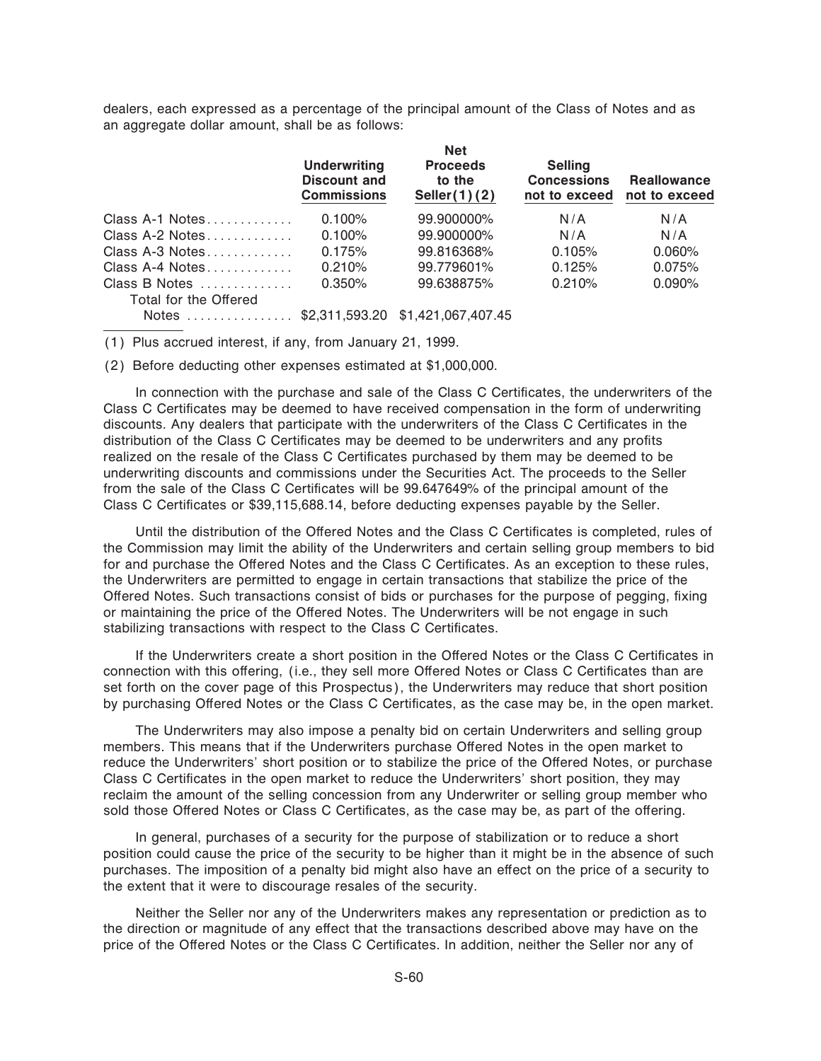dealers, each expressed as a percentage of the principal amount of the Class of Notes and as an aggregate dollar amount, shall be as follows:

**Net**

| <b>Underwriting</b><br><b>Discount and</b><br><b>Commissions</b> | <b>Proceeds</b><br>to the<br>Seller(1)(2) | <b>Selling</b><br><b>Concessions</b><br>not to exceed  | <b>Reallowance</b><br>not to exceed |
|------------------------------------------------------------------|-------------------------------------------|--------------------------------------------------------|-------------------------------------|
| 0.100%                                                           | 99.900000%                                | N/A                                                    | N/A                                 |
| 0.100%                                                           | 99.900000%                                | N/A                                                    | N/A                                 |
| 0.175%                                                           | 99.816368%                                | 0.105%                                                 | 0.060%                              |
| 0.210%                                                           | 99.779601%                                | 0.125%                                                 | 0.075%                              |
| 0.350%                                                           | 99.638875%                                | 0.210%                                                 | 0.090%                              |
|                                                                  |                                           |                                                        |                                     |
|                                                                  |                                           |                                                        |                                     |
|                                                                  |                                           | <b>Net</b><br>Notes  \$2,311,593.20 \$1,421,067,407.45 |                                     |

(1) Plus accrued interest, if any, from January 21, 1999.

(2) Before deducting other expenses estimated at \$1,000,000.

In connection with the purchase and sale of the Class C Certificates, the underwriters of the Class C Certificates may be deemed to have received compensation in the form of underwriting discounts. Any dealers that participate with the underwriters of the Class C Certificates in the distribution of the Class C Certificates may be deemed to be underwriters and any profits realized on the resale of the Class C Certificates purchased by them may be deemed to be underwriting discounts and commissions under the Securities Act. The proceeds to the Seller from the sale of the Class C Certificates will be 99.647649% of the principal amount of the Class C Certificates or \$39,115,688.14, before deducting expenses payable by the Seller.

Until the distribution of the Offered Notes and the Class C Certificates is completed, rules of the Commission may limit the ability of the Underwriters and certain selling group members to bid for and purchase the Offered Notes and the Class C Certificates. As an exception to these rules, the Underwriters are permitted to engage in certain transactions that stabilize the price of the Offered Notes. Such transactions consist of bids or purchases for the purpose of pegging, fixing or maintaining the price of the Offered Notes. The Underwriters will be not engage in such stabilizing transactions with respect to the Class C Certificates.

If the Underwriters create a short position in the Offered Notes or the Class C Certificates in connection with this offering, (i.e., they sell more Offered Notes or Class C Certificates than are set forth on the cover page of this Prospectus), the Underwriters may reduce that short position by purchasing Offered Notes or the Class C Certificates, as the case may be, in the open market.

The Underwriters may also impose a penalty bid on certain Underwriters and selling group members. This means that if the Underwriters purchase Offered Notes in the open market to reduce the Underwriters' short position or to stabilize the price of the Offered Notes, or purchase Class C Certificates in the open market to reduce the Underwriters' short position, they may reclaim the amount of the selling concession from any Underwriter or selling group member who sold those Offered Notes or Class C Certificates, as the case may be, as part of the offering.

In general, purchases of a security for the purpose of stabilization or to reduce a short position could cause the price of the security to be higher than it might be in the absence of such purchases. The imposition of a penalty bid might also have an effect on the price of a security to the extent that it were to discourage resales of the security.

Neither the Seller nor any of the Underwriters makes any representation or prediction as to the direction or magnitude of any effect that the transactions described above may have on the price of the Offered Notes or the Class C Certificates. In addition, neither the Seller nor any of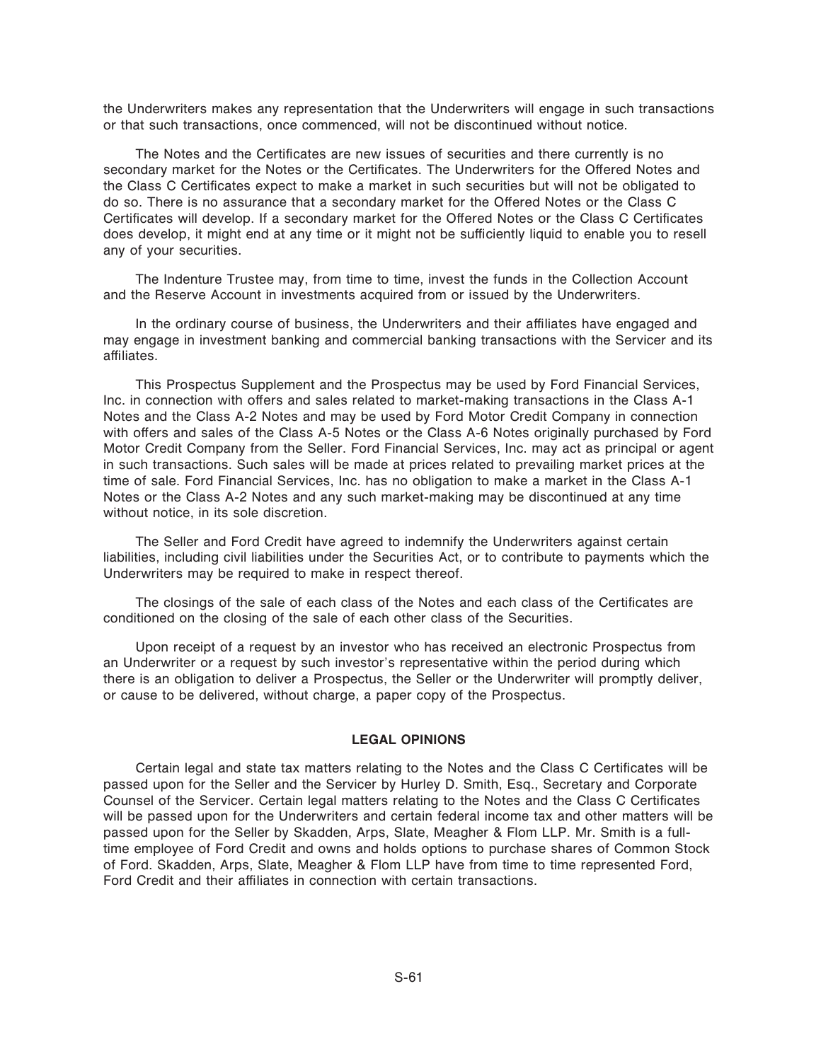the Underwriters makes any representation that the Underwriters will engage in such transactions or that such transactions, once commenced, will not be discontinued without notice.

The Notes and the Certificates are new issues of securities and there currently is no secondary market for the Notes or the Certificates. The Underwriters for the Offered Notes and the Class C Certificates expect to make a market in such securities but will not be obligated to do so. There is no assurance that a secondary market for the Offered Notes or the Class C Certificates will develop. If a secondary market for the Offered Notes or the Class C Certificates does develop, it might end at any time or it might not be sufficiently liquid to enable you to resell any of your securities.

The Indenture Trustee may, from time to time, invest the funds in the Collection Account and the Reserve Account in investments acquired from or issued by the Underwriters.

In the ordinary course of business, the Underwriters and their affiliates have engaged and may engage in investment banking and commercial banking transactions with the Servicer and its affiliates.

This Prospectus Supplement and the Prospectus may be used by Ford Financial Services, Inc. in connection with offers and sales related to market-making transactions in the Class A-1 Notes and the Class A-2 Notes and may be used by Ford Motor Credit Company in connection with offers and sales of the Class A-5 Notes or the Class A-6 Notes originally purchased by Ford Motor Credit Company from the Seller. Ford Financial Services, Inc. may act as principal or agent in such transactions. Such sales will be made at prices related to prevailing market prices at the time of sale. Ford Financial Services, Inc. has no obligation to make a market in the Class A-1 Notes or the Class A-2 Notes and any such market-making may be discontinued at any time without notice, in its sole discretion.

The Seller and Ford Credit have agreed to indemnify the Underwriters against certain liabilities, including civil liabilities under the Securities Act, or to contribute to payments which the Underwriters may be required to make in respect thereof.

The closings of the sale of each class of the Notes and each class of the Certificates are conditioned on the closing of the sale of each other class of the Securities.

Upon receipt of a request by an investor who has received an electronic Prospectus from an Underwriter or a request by such investor's representative within the period during which there is an obligation to deliver a Prospectus, the Seller or the Underwriter will promptly deliver, or cause to be delivered, without charge, a paper copy of the Prospectus.

#### **LEGAL OPINIONS**

Certain legal and state tax matters relating to the Notes and the Class C Certificates will be passed upon for the Seller and the Servicer by Hurley D. Smith, Esq., Secretary and Corporate Counsel of the Servicer. Certain legal matters relating to the Notes and the Class C Certificates will be passed upon for the Underwriters and certain federal income tax and other matters will be passed upon for the Seller by Skadden, Arps, Slate, Meagher & Flom LLP. Mr. Smith is a fulltime employee of Ford Credit and owns and holds options to purchase shares of Common Stock of Ford. Skadden, Arps, Slate, Meagher & Flom LLP have from time to time represented Ford, Ford Credit and their affiliates in connection with certain transactions.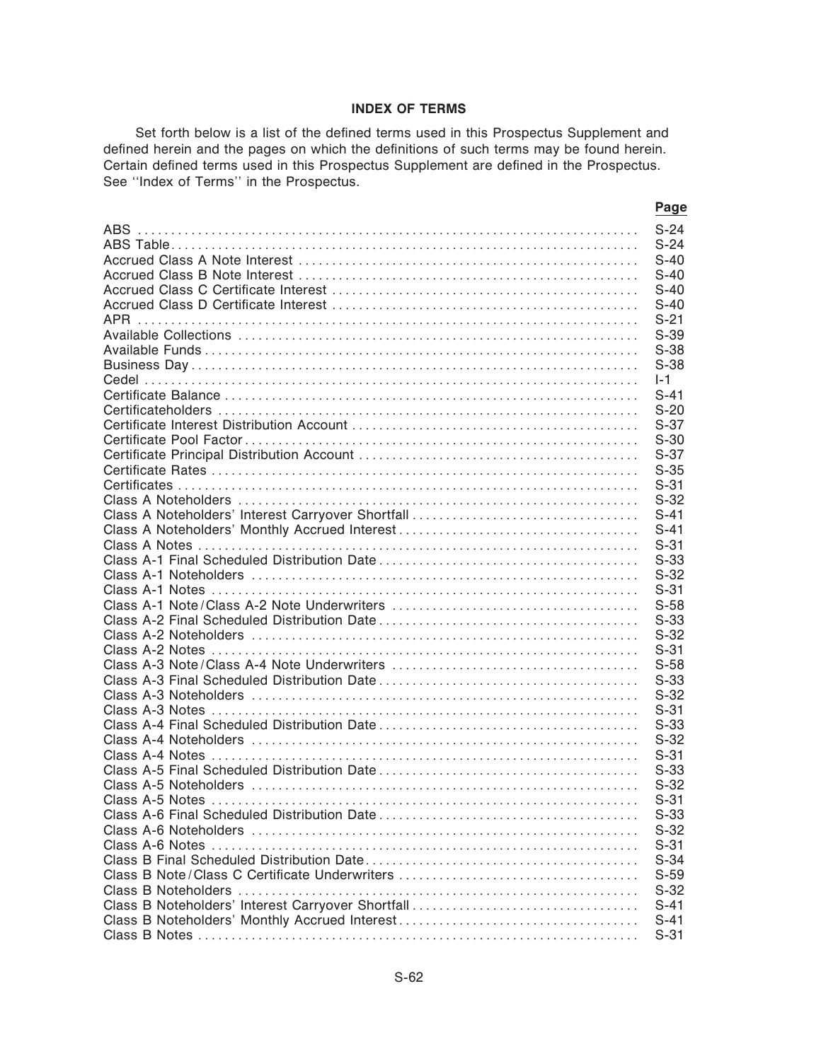### **INDEX OF TERMS**

**Page**

Set forth below is a list of the defined terms used in this Prospectus Supplement and defined herein and the pages on which the definitions of such terms may be found herein. Certain defined terms used in this Prospectus Supplement are defined in the Prospectus. See "Index of Terms" in the Prospectus.

| $S-24$  |
|---------|
| $S-24$  |
| $S-40$  |
| $S-40$  |
| $S-40$  |
| $S-40$  |
| $S-21$  |
| $S-39$  |
| $S-38$  |
| $S-38$  |
| $I - 1$ |
| $S-41$  |
| $S-20$  |
| $S-37$  |
| $S-30$  |
| $S-37$  |
| $S-35$  |
| $S-31$  |
| $S-32$  |
| $S-41$  |
| $S-41$  |
| $S-31$  |
| $S-33$  |
| $S-32$  |
| $S-31$  |
| $S-58$  |
| $S-33$  |
| $S-32$  |
|         |
| $S-31$  |
| $S-58$  |
| $S-33$  |
| $S-32$  |
| $S-31$  |
| $S-33$  |
| $S-32$  |
| $S-31$  |
| $S-33$  |
| $S-32$  |
| $S-31$  |
| $S-33$  |
| $S-32$  |
| $S-31$  |
| $S-34$  |
| $S-59$  |
| $S-32$  |
| $S-41$  |
| $S-41$  |
| $S-31$  |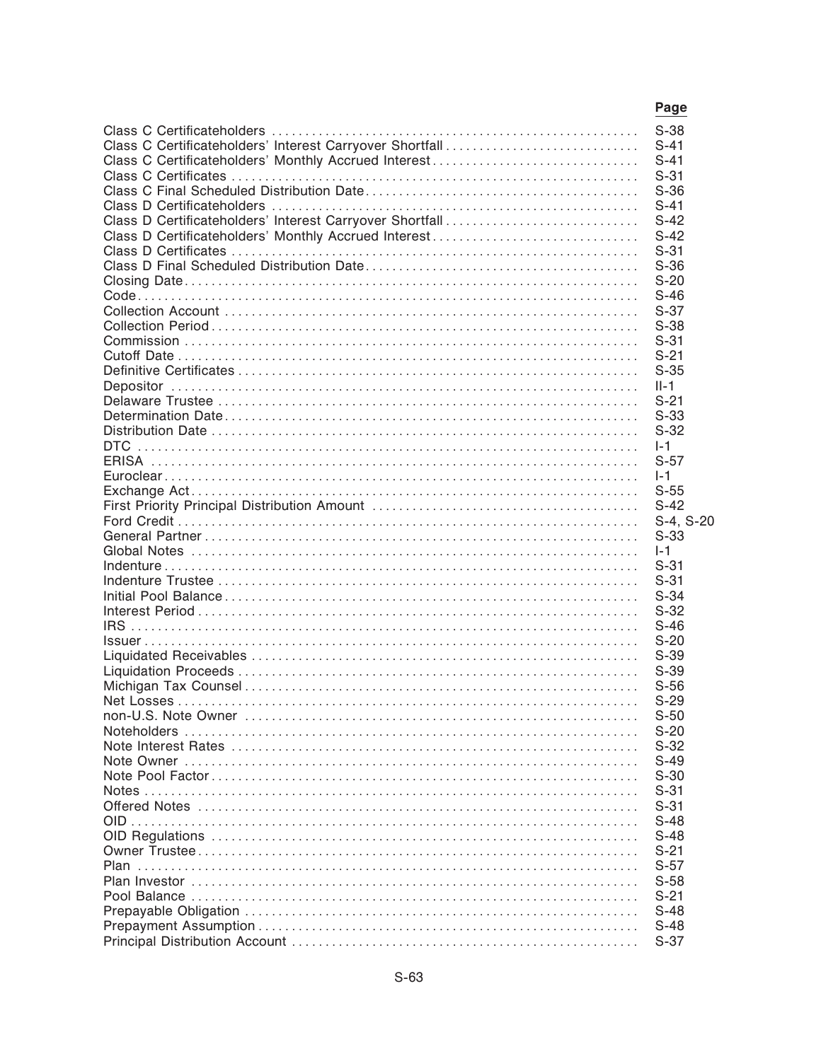|                                                          | Page      |
|----------------------------------------------------------|-----------|
|                                                          | $S-38$    |
| Class C Certificateholders' Interest Carryover Shortfall | $S-41$    |
| Class C Certificateholders' Monthly Accrued Interest     | $S-41$    |
|                                                          | $S-31$    |
|                                                          | $S-36$    |
|                                                          | $S-41$    |
| Class D Certificateholders' Interest Carryover Shortfall | $S-42$    |
|                                                          | $S-42$    |
|                                                          | $S-31$    |
|                                                          | $S-36$    |
|                                                          | $S-20$    |
|                                                          | $S-46$    |
|                                                          | $S-37$    |
|                                                          | $S-38$    |
|                                                          | $S-31$    |
|                                                          | $S-21$    |
|                                                          | $S-35$    |
|                                                          | $II-1$    |
|                                                          | $S-21$    |
|                                                          | $S-33$    |
|                                                          | $S-32$    |
|                                                          | $1-1$     |
|                                                          | $S-57$    |
|                                                          | $I-1$     |
|                                                          | $S-55$    |
|                                                          | $S-42$    |
|                                                          | S-4, S-20 |
|                                                          | $S-33$    |
|                                                          | $I-1$     |
|                                                          | $S-31$    |
|                                                          | $S-31$    |
|                                                          | $S-34$    |
|                                                          | $S-32$    |
|                                                          | $S-46$    |
|                                                          | $S-20$    |
|                                                          | $S-39$    |
|                                                          | $S-39$    |
|                                                          | $S-56$    |
|                                                          | $S-29$    |
|                                                          | $S-50$    |
|                                                          | $S-20$    |
|                                                          | $S-32$    |
|                                                          | $S-49$    |
|                                                          | $S-30$    |
|                                                          | $S-31$    |
|                                                          | $S-31$    |
|                                                          | $S-48$    |
|                                                          | $S-48$    |
|                                                          | $S-21$    |
|                                                          | $S-57$    |
|                                                          | $S-58$    |
|                                                          | $S-21$    |
|                                                          | $S-48$    |
|                                                          | $S-48$    |
|                                                          | $S-37$    |
|                                                          |           |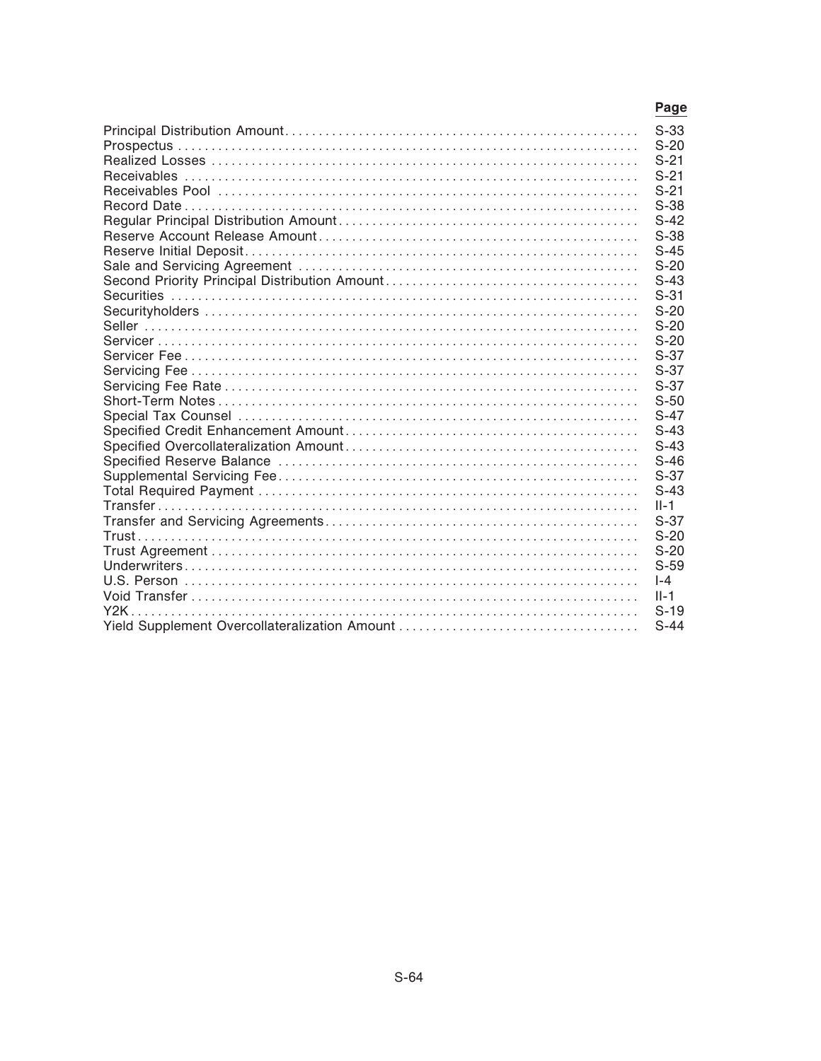| Page     |
|----------|
| $S-33$   |
| $S-20$   |
| $S-21$   |
| $S-21$   |
| $S-21$   |
| $S-38$   |
| $S-42$   |
| $S-38$   |
| $S-45$   |
| $S-20$   |
| $S-43$   |
| $S-31$   |
| $S-20$   |
| $S-20$   |
| $S-20$   |
| $S-37$   |
| $S-37$   |
| $S-37$   |
| $S-50$   |
| $S-47$   |
| $S-43$   |
| $S-43$   |
| $S-46$   |
| $S-37$   |
| $S-43$   |
| $II-1$   |
| $S-37$   |
| $S-20$   |
| $S-20$   |
| $S-59$   |
| $l - 4$  |
| $II - 1$ |
| $S-19$   |
| $S-44$   |
|          |